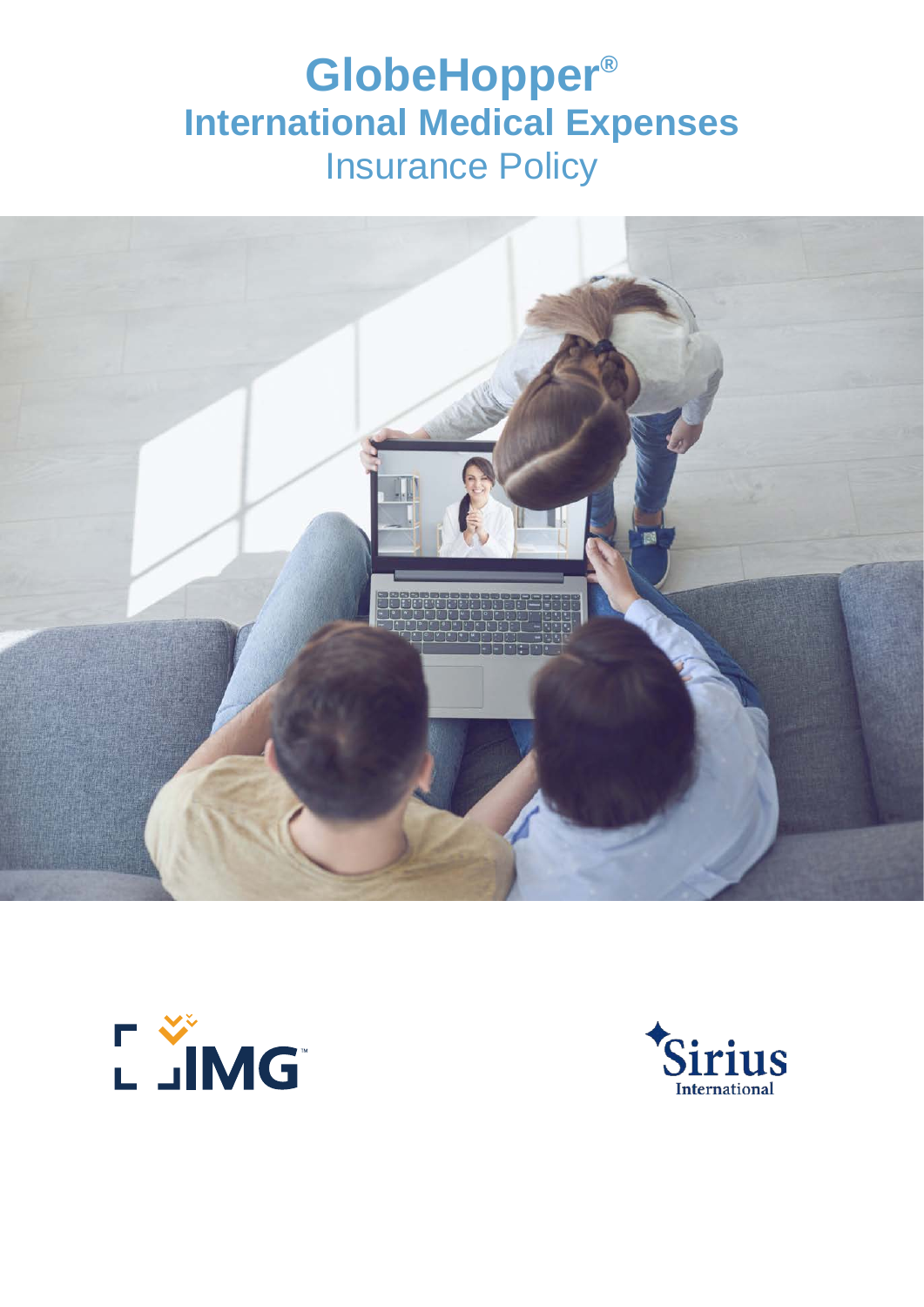# **GlobeHopper® International Medical Expenses** Insurance Policy





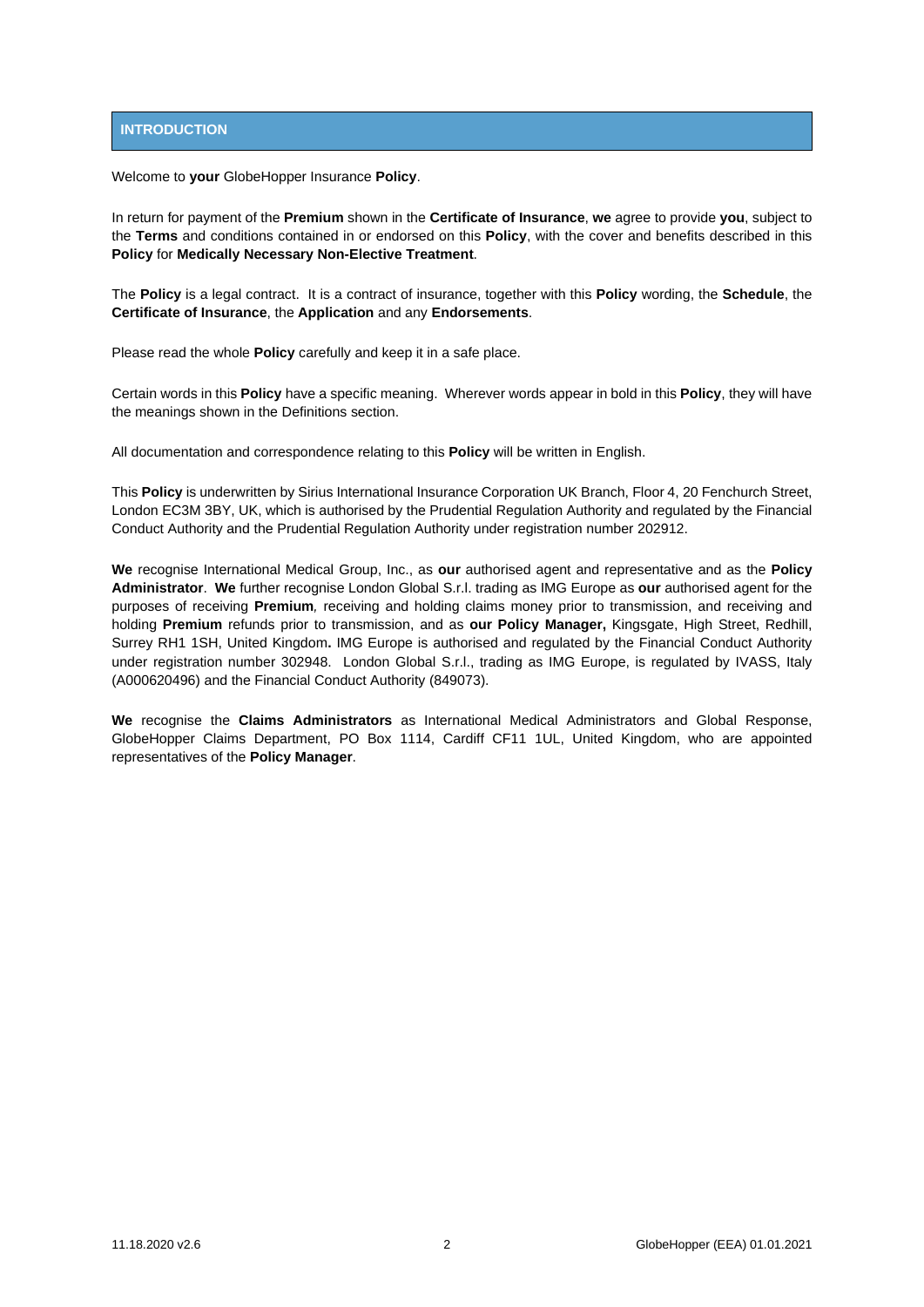# **INTRODUCTION**

Welcome to **your** GlobeHopper Insurance **Policy**.

In return for payment of the **Premium** shown in the **Certificate of Insurance**, **we** agree to provide **you**, subject to the **Terms** and conditions contained in or endorsed on this **Policy**, with the cover and benefits described in this **Policy** for **Medically Necessary Non-Elective Treatment**.

The **Policy** is a legal contract. It is a contract of insurance, together with this **Policy** wording, the **Schedule**, the **Certificate of Insurance**, the **Application** and any **Endorsements**.

Please read the whole **Policy** carefully and keep it in a safe place.

Certain words in this **Policy** have a specific meaning. Wherever words appear in bold in this **Policy**, they will have the meanings shown in the Definitions section.

All documentation and correspondence relating to this **Policy** will be written in English.

This **Policy** is underwritten by Sirius International Insurance Corporation UK Branch, Floor 4, 20 Fenchurch Street, London EC3M 3BY, UK, which is authorised by the Prudential Regulation Authority and regulated by the Financial Conduct Authority and the Prudential Regulation Authority under registration number 202912.

**We** recognise International Medical Group, Inc., as **our** authorised agent and representative and as the **Policy Administrator**. **We** further recognise London Global S.r.l. trading as IMG Europe as **our** authorised agent for the purposes of receiving **Premium***,* receiving and holding claims money prior to transmission, and receiving and holding **Premium** refunds prior to transmission, and as **our Policy Manager,** Kingsgate, High Street, Redhill, Surrey RH1 1SH, United Kingdom**.** IMG Europe is authorised and regulated by the Financial Conduct Authority under registration number 302948. London Global S.r.l., trading as IMG Europe, is regulated by IVASS, Italy (A000620496) and the Financial Conduct Authority (849073).

**We** recognise the **Claims Administrators** as International Medical Administrators and Global Response, GlobeHopper Claims Department, PO Box 1114, Cardiff CF11 1UL, United Kingdom, who are appointed representatives of the **Policy Manager**.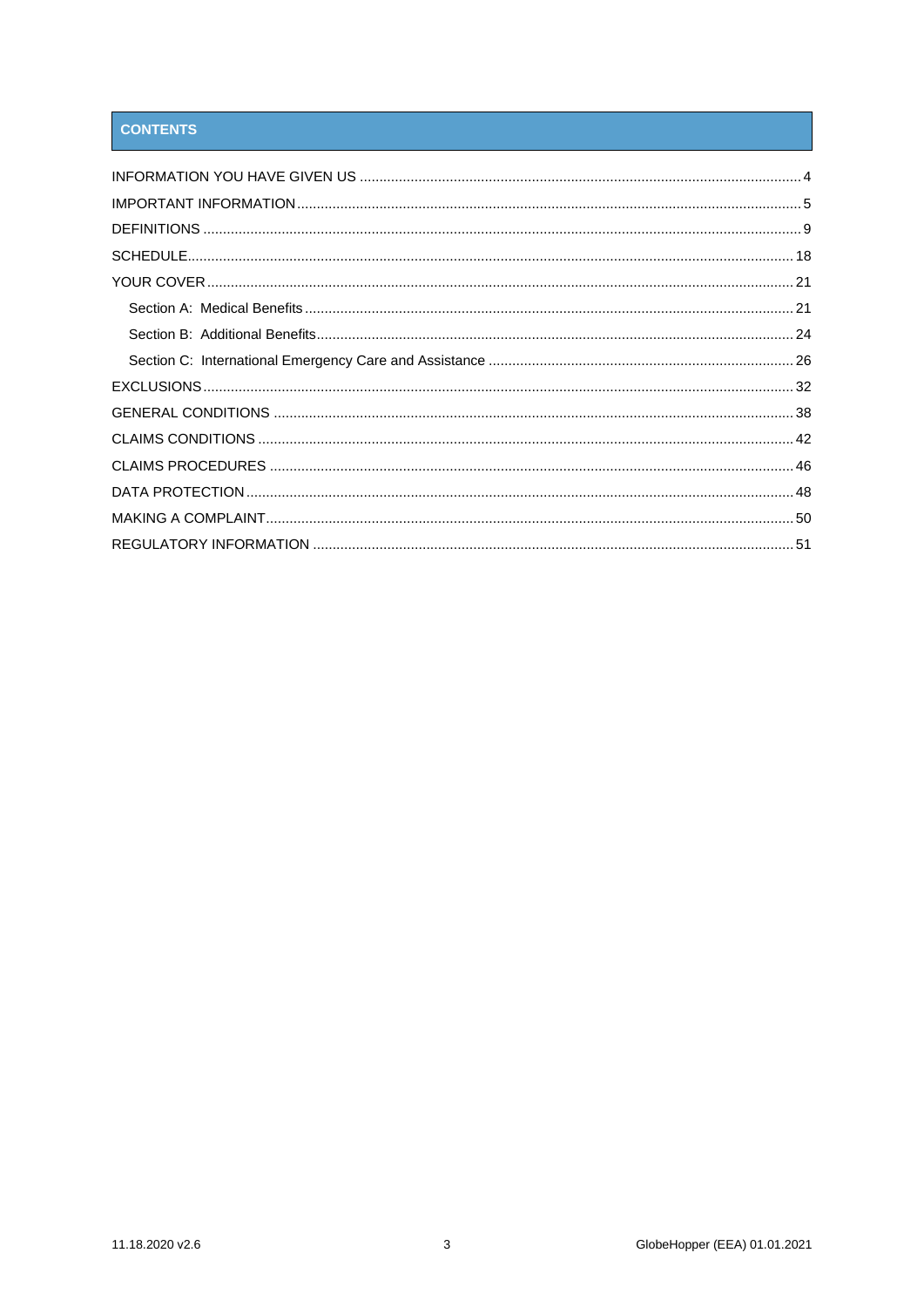# **CONTENTS**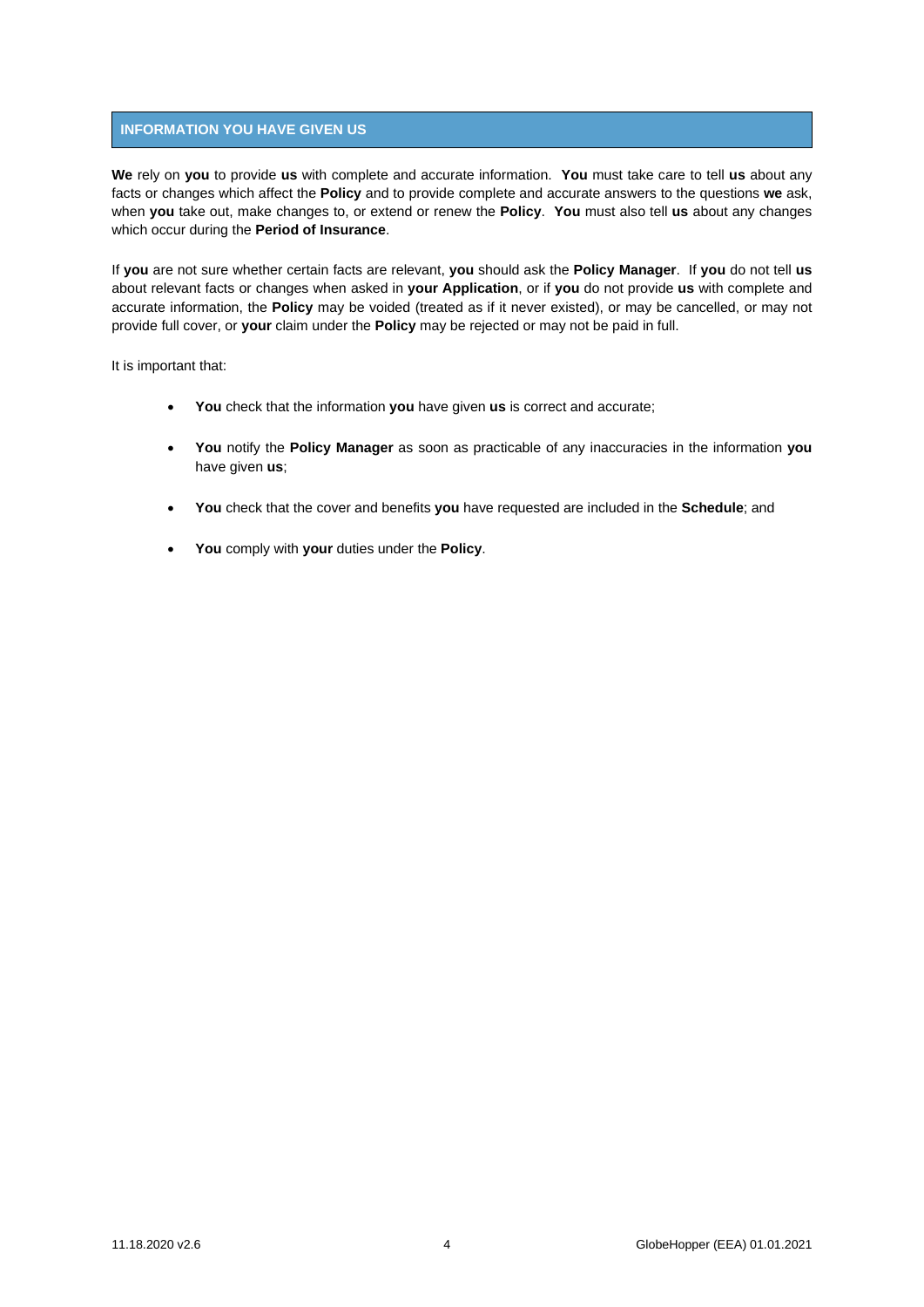# <span id="page-3-0"></span>**INFORMATION YOU HAVE GIVEN US**

**We** rely on **you** to provide **us** with complete and accurate information. **You** must take care to tell **us** about any facts or changes which affect the **Policy** and to provide complete and accurate answers to the questions **we** ask, when **you** take out, make changes to, or extend or renew the **Policy**. **You** must also tell **us** about any changes which occur during the **Period of Insurance**.

If **you** are not sure whether certain facts are relevant, **you** should ask the **Policy Manager**. If **you** do not tell **us**  about relevant facts or changes when asked in **your Application**, or if **you** do not provide **us** with complete and accurate information, the **Policy** may be voided (treated as if it never existed), or may be cancelled, or may not provide full cover, or **your** claim under the **Policy** may be rejected or may not be paid in full.

It is important that:

- **You** check that the information **you** have given **us** is correct and accurate;
- **You** notify the **Policy Manager** as soon as practicable of any inaccuracies in the information **you** have given **us**;
- **You** check that the cover and benefits **you** have requested are included in the **Schedule**; and
- **You** comply with **your** duties under the **Policy**.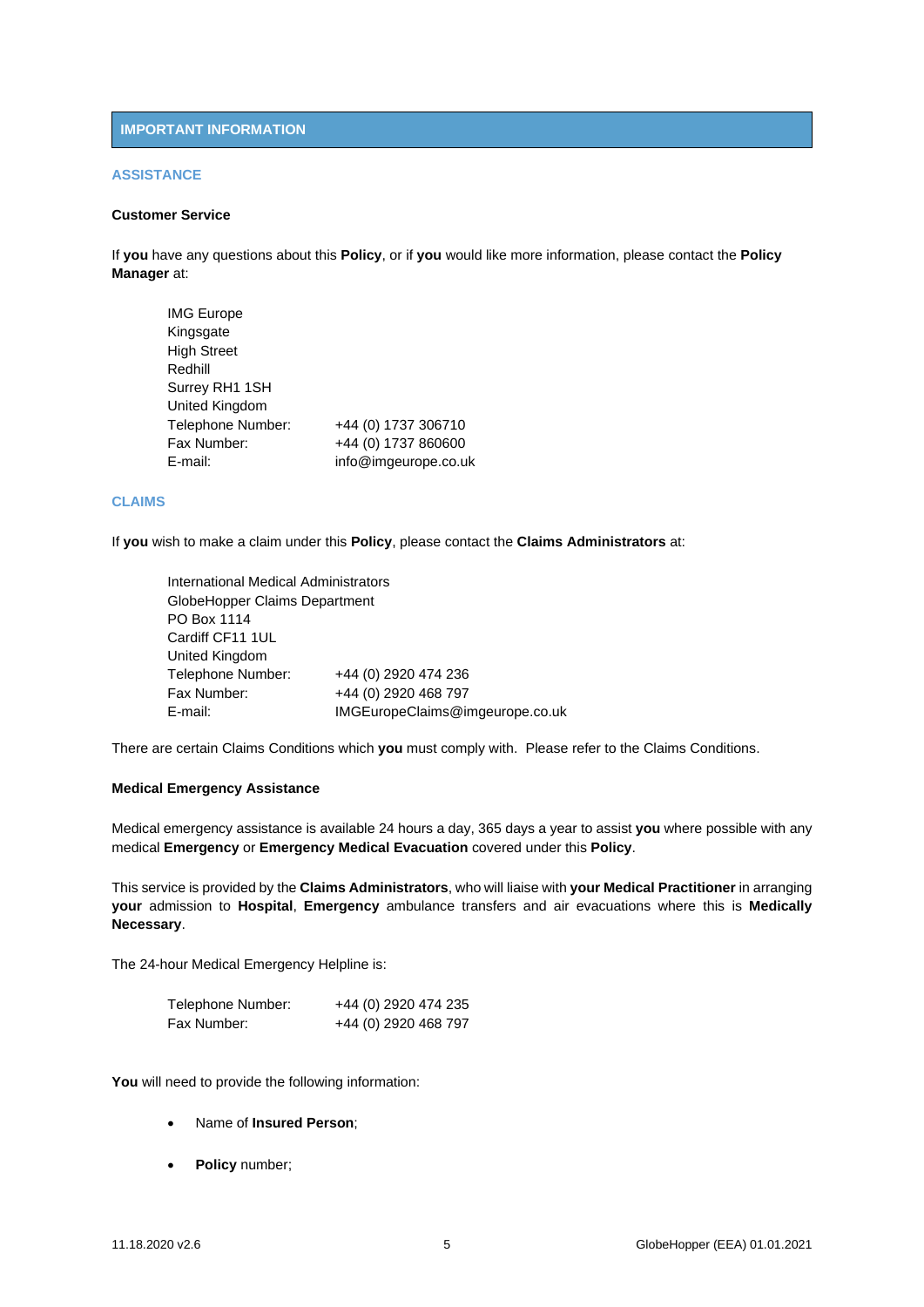# <span id="page-4-0"></span>**IMPORTANT INFORMATION**

## **ASSISTANCE**

# **Customer Service**

If **you** have any questions about this **Policy**, or if **you** would like more information, please contact the **Policy Manager** at:

| <b>IMG Europe</b>  |                      |
|--------------------|----------------------|
| Kingsgate          |                      |
| <b>High Street</b> |                      |
| Redhill            |                      |
| Surrey RH1 1SH     |                      |
| United Kingdom     |                      |
| Telephone Number:  | +44 (0) 1737 306710  |
| Fax Number:        | +44 (0) 1737 860600  |
| E-mail:            | info@imgeurope.co.uk |

# **CLAIMS**

If **you** wish to make a claim under this **Policy**, please contact the **Claims Administrators** at:

| International Medical Administrators |                                 |
|--------------------------------------|---------------------------------|
| GlobeHopper Claims Department        |                                 |
| PO Box 1114                          |                                 |
| Cardiff CF11 1UL                     |                                 |
| United Kingdom                       |                                 |
| Telephone Number:                    | +44 (0) 2920 474 236            |
| Fax Number:                          | +44 (0) 2920 468 797            |
| E-mail:                              | IMGEuropeClaims@imgeurope.co.uk |

There are certain Claims Conditions which **you** must comply with. Please refer to the Claims Conditions.

## **Medical Emergency Assistance**

Medical emergency assistance is available 24 hours a day, 365 days a year to assist **you** where possible with any medical **Emergency** or **Emergency Medical Evacuation** covered under this **Policy**.

This service is provided by the **Claims Administrators**, who will liaise with **your Medical Practitioner** in arranging **your** admission to **Hospital**, **Emergency** ambulance transfers and air evacuations where this is **Medically Necessary**.

The 24-hour Medical Emergency Helpline is:

| Telephone Number: | +44 (0) 2920 474 235 |
|-------------------|----------------------|
| Fax Number:       | +44 (0) 2920 468 797 |

**You** will need to provide the following information:

- Name of **Insured Person**;
- **Policy** number;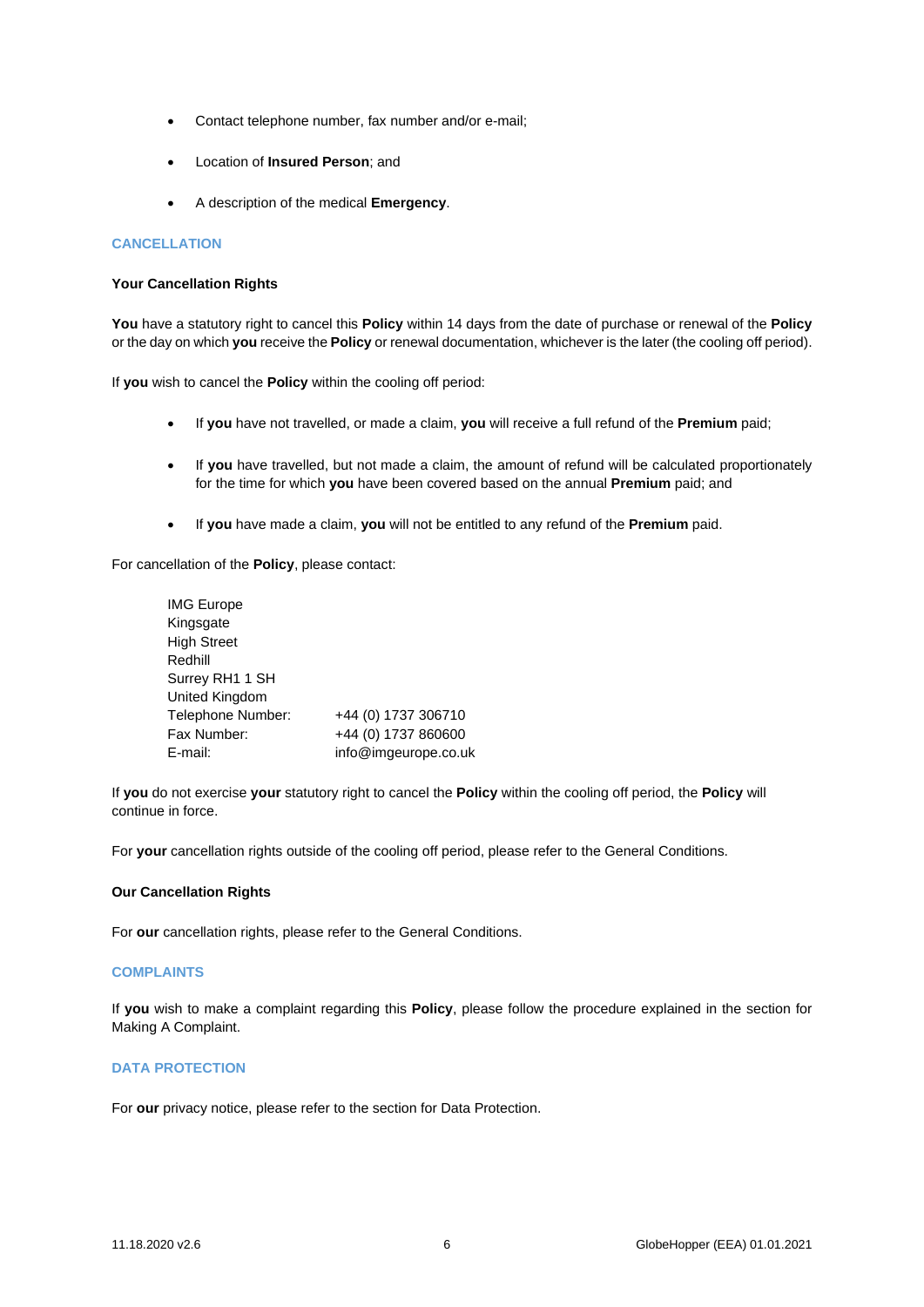- Contact telephone number, fax number and/or e-mail;
- Location of **Insured Person**; and
- A description of the medical **Emergency**.

# **CANCELLATION**

## **Your Cancellation Rights**

**You** have a statutory right to cancel this **Policy** within 14 days from the date of purchase or renewal of the **Policy** or the day on which **you** receive the **Policy** or renewal documentation, whichever is the later (the cooling off period).

If **you** wish to cancel the **Policy** within the cooling off period:

- If **you** have not travelled, or made a claim, **you** will receive a full refund of the **Premium** paid;
- If **you** have travelled, but not made a claim, the amount of refund will be calculated proportionately for the time for which **you** have been covered based on the annual **Premium** paid; and
- If **you** have made a claim, **you** will not be entitled to any refund of the **Premium** paid.

For cancellation of the **Policy**, please contact:

| <b>IMG Europe</b>  |                      |
|--------------------|----------------------|
| Kingsgate          |                      |
| <b>High Street</b> |                      |
| Redhill            |                      |
| Surrey RH1 1 SH    |                      |
| United Kingdom     |                      |
| Telephone Number:  | +44 (0) 1737 306710  |
| Fax Number:        | +44 (0) 1737 860600  |
| E-mail:            | info@imgeurope.co.uk |

If **you** do not exercise **your** statutory right to cancel the **Policy** within the cooling off period, the **Policy** will continue in force.

For **your** cancellation rights outside of the cooling off period, please refer to the General Conditions.

## **Our Cancellation Rights**

For **our** cancellation rights, please refer to the General Conditions.

## **COMPLAINTS**

If **you** wish to make a complaint regarding this **Policy**, please follow the procedure explained in the section for Making A Complaint.

# **DATA PROTECTION**

For **our** privacy notice, please refer to the section for Data Protection.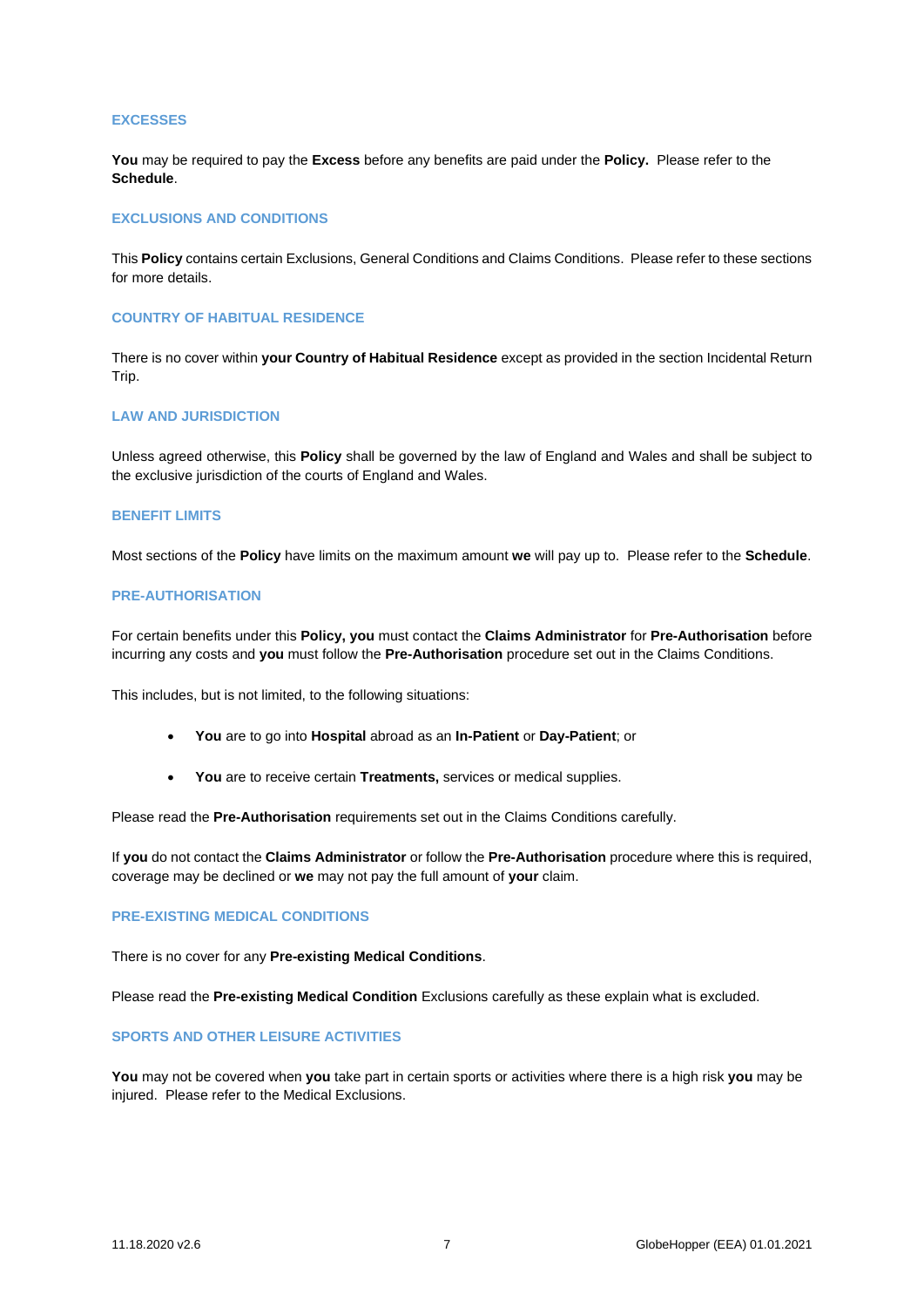## **EXCESSES**

**You** may be required to pay the **Excess** before any benefits are paid under the **Policy.** Please refer to the **Schedule**.

## **EXCLUSIONS AND CONDITIONS**

This **Policy** contains certain Exclusions, General Conditions and Claims Conditions.Please refer to these sections for more details.

## **COUNTRY OF HABITUAL RESIDENCE**

There is no cover within **your Country of Habitual Residence** except as provided in the section Incidental Return Trip.

# **LAW AND JURISDICTION**

Unless agreed otherwise, this **Policy** shall be governed by the law of England and Wales and shall be subject to the exclusive jurisdiction of the courts of England and Wales.

### **BENEFIT LIMITS**

Most sections of the **Policy** have limits on the maximum amount **we** will pay up to. Please refer to the **Schedule**.

#### **PRE-AUTHORISATION**

For certain benefits under this **Policy, you** must contact the **Claims Administrator** for **Pre-Authorisation** before incurring any costs and **you** must follow the **Pre-Authorisation** procedure set out in the Claims Conditions.

This includes, but is not limited, to the following situations:

- **You** are to go into **Hospital** abroad as an **In-Patient** or **Day-Patient**; or
- **You** are to receive certain **Treatments,** services or medical supplies.

Please read the **Pre-Authorisation** requirements set out in the Claims Conditions carefully.

If **you** do not contact the **Claims Administrator** or follow the **Pre-Authorisation** procedure where this is required, coverage may be declined or **we** may not pay the full amount of **your** claim.

## **PRE-EXISTING MEDICAL CONDITIONS**

There is no cover for any **Pre-existing Medical Conditions**.

Please read the **Pre-existing Medical Condition** Exclusions carefully as these explain what is excluded.

#### **SPORTS AND OTHER LEISURE ACTIVITIES**

**You** may not be covered when **you** take part in certain sports or activities where there is a high risk **you** may be injured. Please refer to the Medical Exclusions.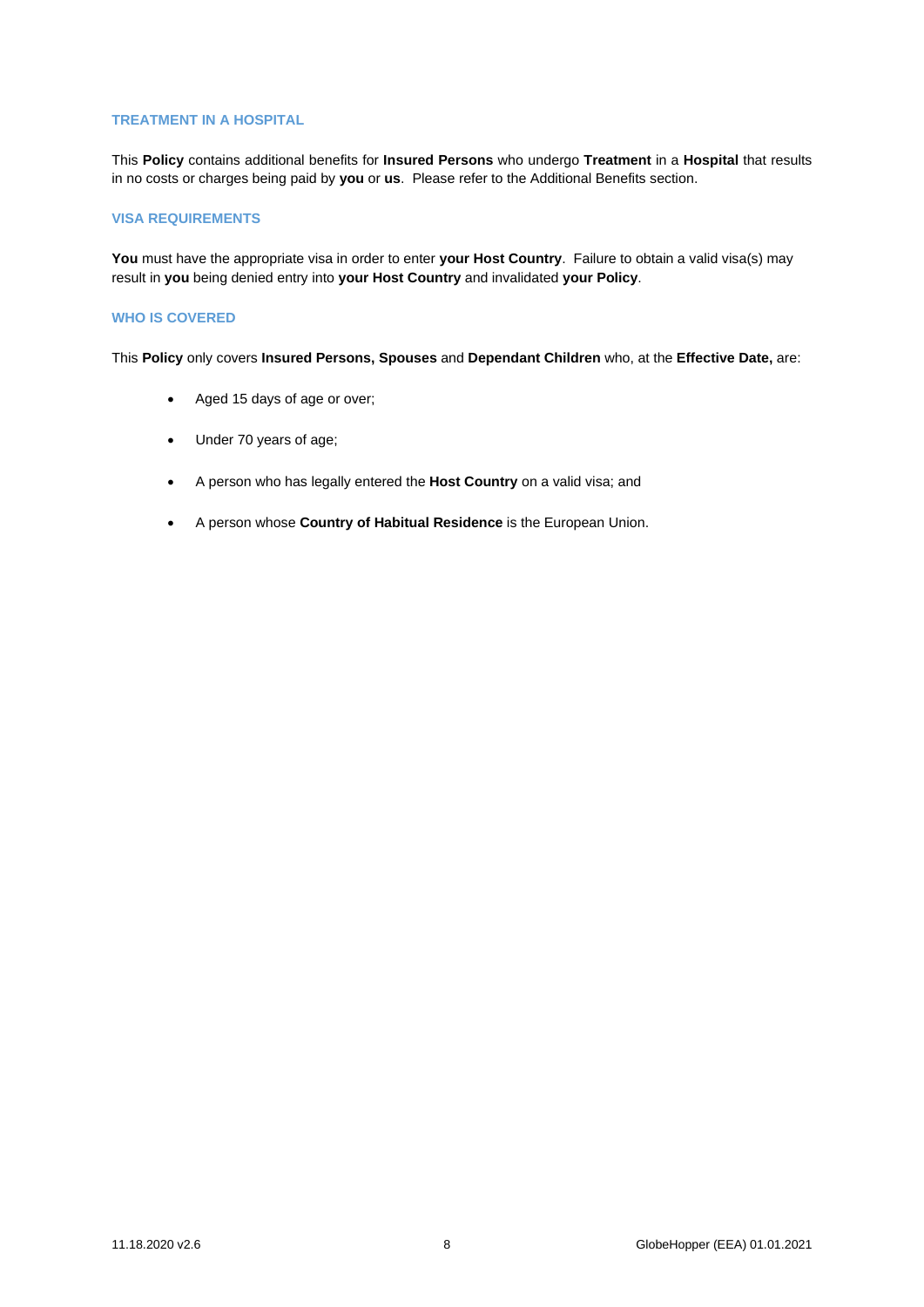## **TREATMENT IN A HOSPITAL**

This **Policy** contains additional benefits for **Insured Persons** who undergo **Treatment** in a **Hospital** that results in no costs or charges being paid by **you** or **us**. Please refer to the Additional Benefits section.

## **VISA REQUIREMENTS**

**You** must have the appropriate visa in order to enter **your Host Country**. Failure to obtain a valid visa(s) may result in **you** being denied entry into **your Host Country** and invalidated **your Policy**.

# **WHO IS COVERED**

This **Policy** only covers **Insured Persons, Spouses** and **Dependant Children** who, at the **Effective Date,** are:

- Aged 15 days of age or over;
- Under 70 years of age;
- A person who has legally entered the **Host Country** on a valid visa; and
- A person whose **Country of Habitual Residence** is the European Union.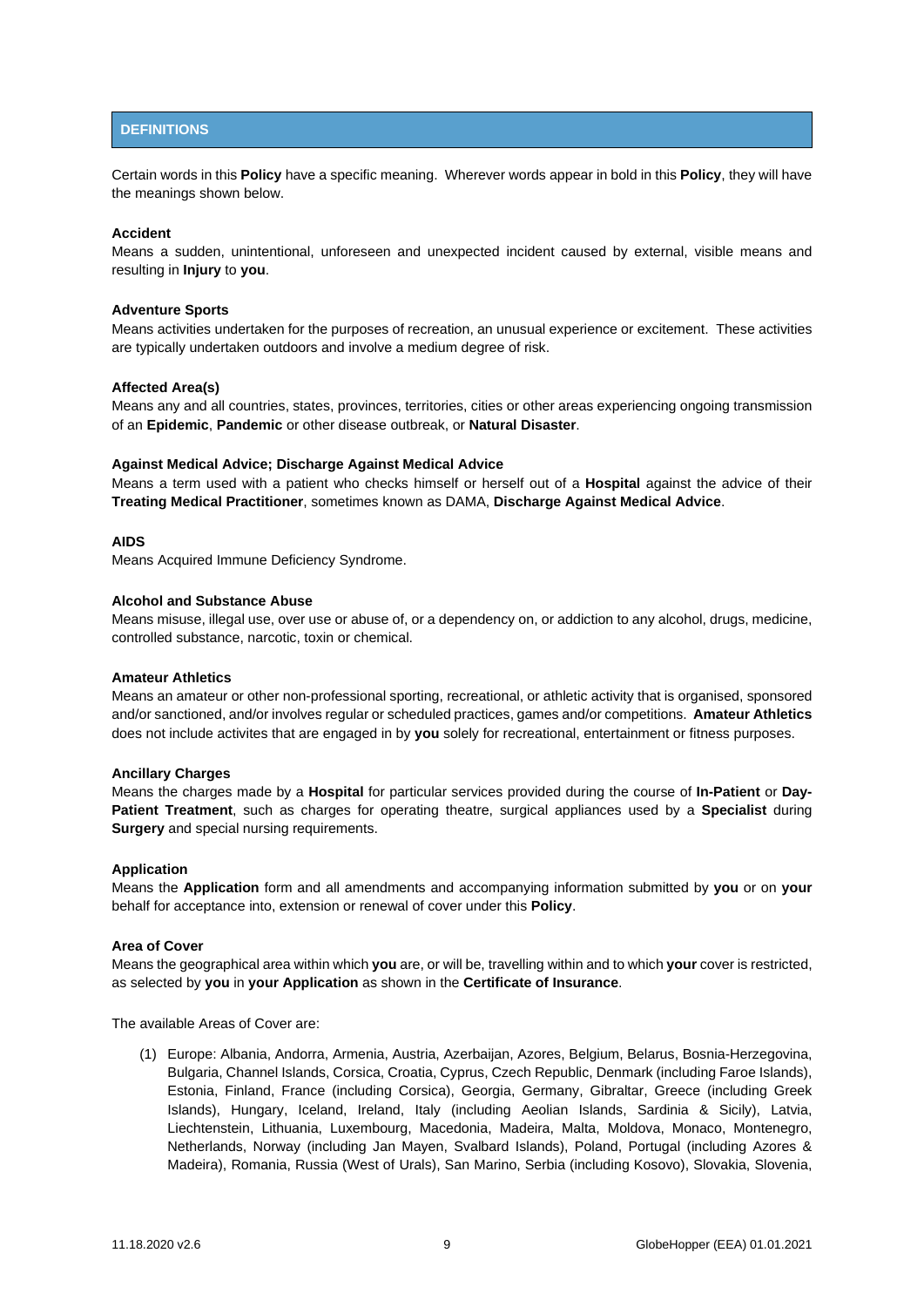# <span id="page-8-0"></span>**DEFINITIONS**

Certain words in this **Policy** have a specific meaning. Wherever words appear in bold in this **Policy**, they will have the meanings shown below.

## **Accident**

Means a sudden, unintentional, unforeseen and unexpected incident caused by external, visible means and resulting in **Injury** to **you**.

#### **Adventure Sports**

Means activities undertaken for the purposes of recreation, an unusual experience or excitement. These activities are typically undertaken outdoors and involve a medium degree of risk.

#### **Affected Area(s)**

Means any and all countries, states, provinces, territories, cities or other areas experiencing ongoing transmission of an **Epidemic**, **Pandemic** or other disease outbreak, or **Natural Disaster**.

#### **Against Medical Advice; Discharge Against Medical Advice**

Means a term used with a patient who checks himself or herself out of a **Hospital** against the advice of their **Treating Medical Practitioner**, sometimes known as DAMA, **Discharge Against Medical Advice**.

# **AIDS**

Means Acquired Immune Deficiency Syndrome.

#### **Alcohol and Substance Abuse**

Means misuse, illegal use, over use or abuse of, or a dependency on, or addiction to any alcohol, drugs, medicine, controlled substance, narcotic, toxin or chemical.

#### **Amateur Athletics**

Means an amateur or other non-professional sporting, recreational, or athletic activity that is organised, sponsored and/or sanctioned, and/or involves regular or scheduled practices, games and/or competitions. **Amateur Athletics** does not include activites that are engaged in by **you** solely for recreational, entertainment or fitness purposes.

#### **Ancillary Charges**

Means the charges made by a **Hospital** for particular services provided during the course of **In-Patient** or **Day-Patient Treatment**, such as charges for operating theatre, surgical appliances used by a **Specialist** during **Surgery** and special nursing requirements.

#### **Application**

Means the **Application** form and all amendments and accompanying information submitted by **you** or on **your**  behalf for acceptance into, extension or renewal of cover under this **Policy**.

## **Area of Cover**

Means the geographical area within which **you** are, or will be, travelling within and to which **your** cover is restricted, as selected by **you** in **your Application** as shown in the **Certificate of Insurance**.

The available Areas of Cover are:

(1) Europe: Albania, Andorra, Armenia, Austria, Azerbaijan, Azores, Belgium, Belarus, Bosnia-Herzegovina, Bulgaria, Channel Islands, Corsica, Croatia, Cyprus, Czech Republic, Denmark (including Faroe Islands), Estonia, Finland, France (including Corsica), Georgia, Germany, Gibraltar, Greece (including Greek Islands), Hungary, Iceland, Ireland, Italy (including Aeolian Islands, Sardinia & Sicily), Latvia, Liechtenstein, Lithuania, Luxembourg, Macedonia, Madeira, Malta, Moldova, Monaco, Montenegro, Netherlands, Norway (including Jan Mayen, Svalbard Islands), Poland, Portugal (including Azores & Madeira), Romania, Russia (West of Urals), San Marino, Serbia (including Kosovo), Slovakia, Slovenia,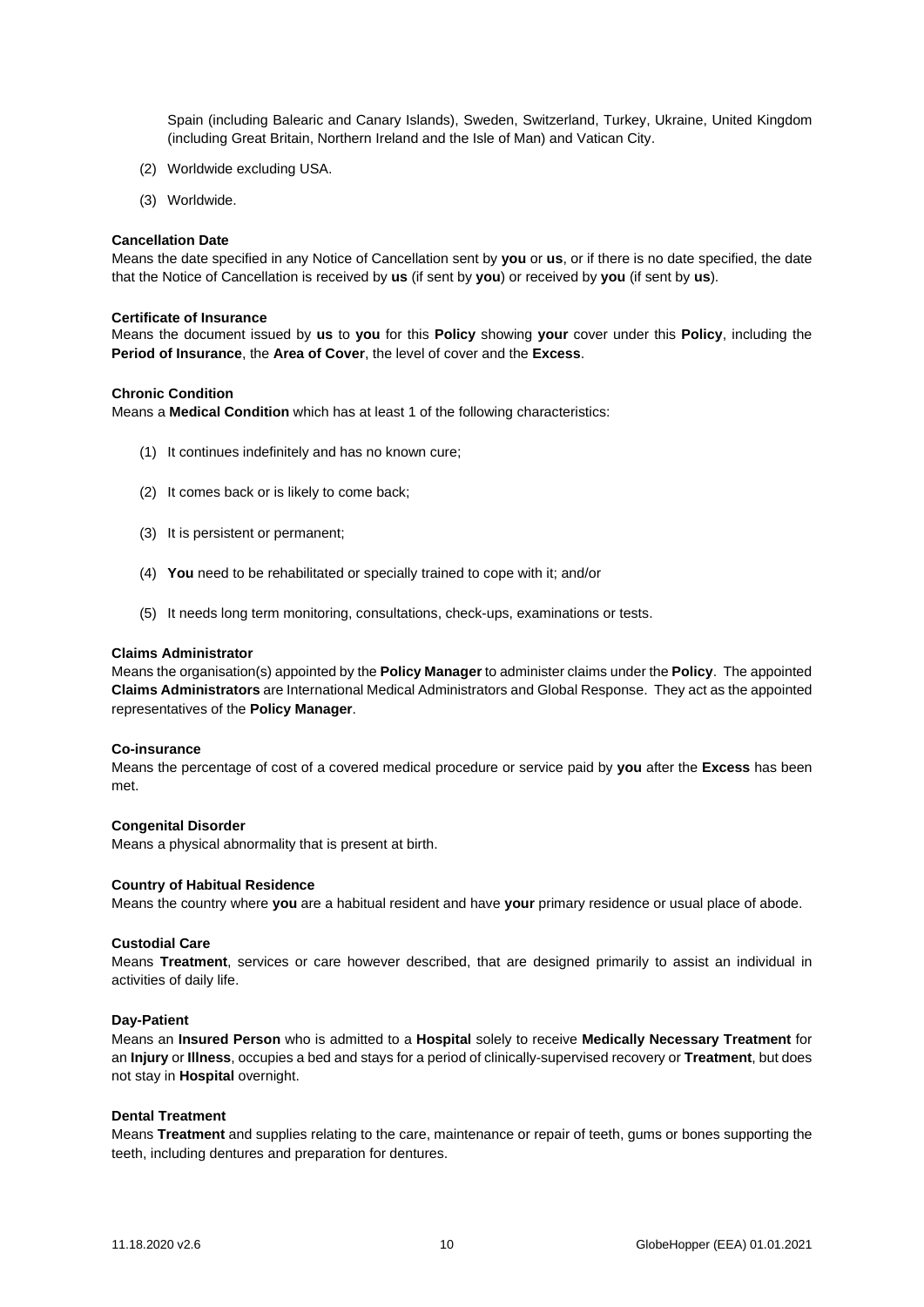Spain (including Balearic and Canary Islands), Sweden, Switzerland, Turkey, Ukraine, United Kingdom (including Great Britain, Northern Ireland and the Isle of Man) and Vatican City.

- (2) Worldwide excluding USA.
- (3) Worldwide.

#### **Cancellation Date**

Means the date specified in any Notice of Cancellation sent by **you** or **us**, or if there is no date specified, the date that the Notice of Cancellation is received by **us** (if sent by **you**) or received by **you** (if sent by **us**).

#### **Certificate of Insurance**

Means the document issued by **us** to **you** for this **Policy** showing **your** cover under this **Policy**, including the **Period of Insurance**, the **Area of Cover**, the level of cover and the **Excess**.

#### **Chronic Condition**

Means a **Medical Condition** which has at least 1 of the following characteristics:

- (1) It continues indefinitely and has no known cure;
- (2) It comes back or is likely to come back;
- (3) It is persistent or permanent;
- (4) **You** need to be rehabilitated or specially trained to cope with it; and/or
- (5) It needs long term monitoring, consultations, check-ups, examinations or tests.

#### **Claims Administrator**

Means the organisation(s) appointed by the **Policy Manager** to administer claims under the **Policy**. The appointed **Claims Administrators** are International Medical Administrators and Global Response. They act as the appointed representatives of the **Policy Manager**.

#### **Co-insurance**

Means the percentage of cost of a covered medical procedure or service paid by **you** after the **Excess** has been met.

#### **Congenital Disorder**

Means a physical abnormality that is present at birth.

#### **Country of Habitual Residence**

Means the country where **you** are a habitual resident and have **your** primary residence or usual place of abode.

#### **Custodial Care**

Means **Treatment**, services or care however described, that are designed primarily to assist an individual in activities of daily life.

#### **Day-Patient**

Means an **Insured Person** who is admitted to a **Hospital** solely to receive **Medically Necessary Treatment** for an **Injury** or **Illness**, occupies a bed and stays for a period of clinically-supervised recovery or **Treatment**, but does not stay in **Hospital** overnight.

# **Dental Treatment**

Means **Treatment** and supplies relating to the care, maintenance or repair of teeth, gums or bones supporting the teeth, including dentures and preparation for dentures.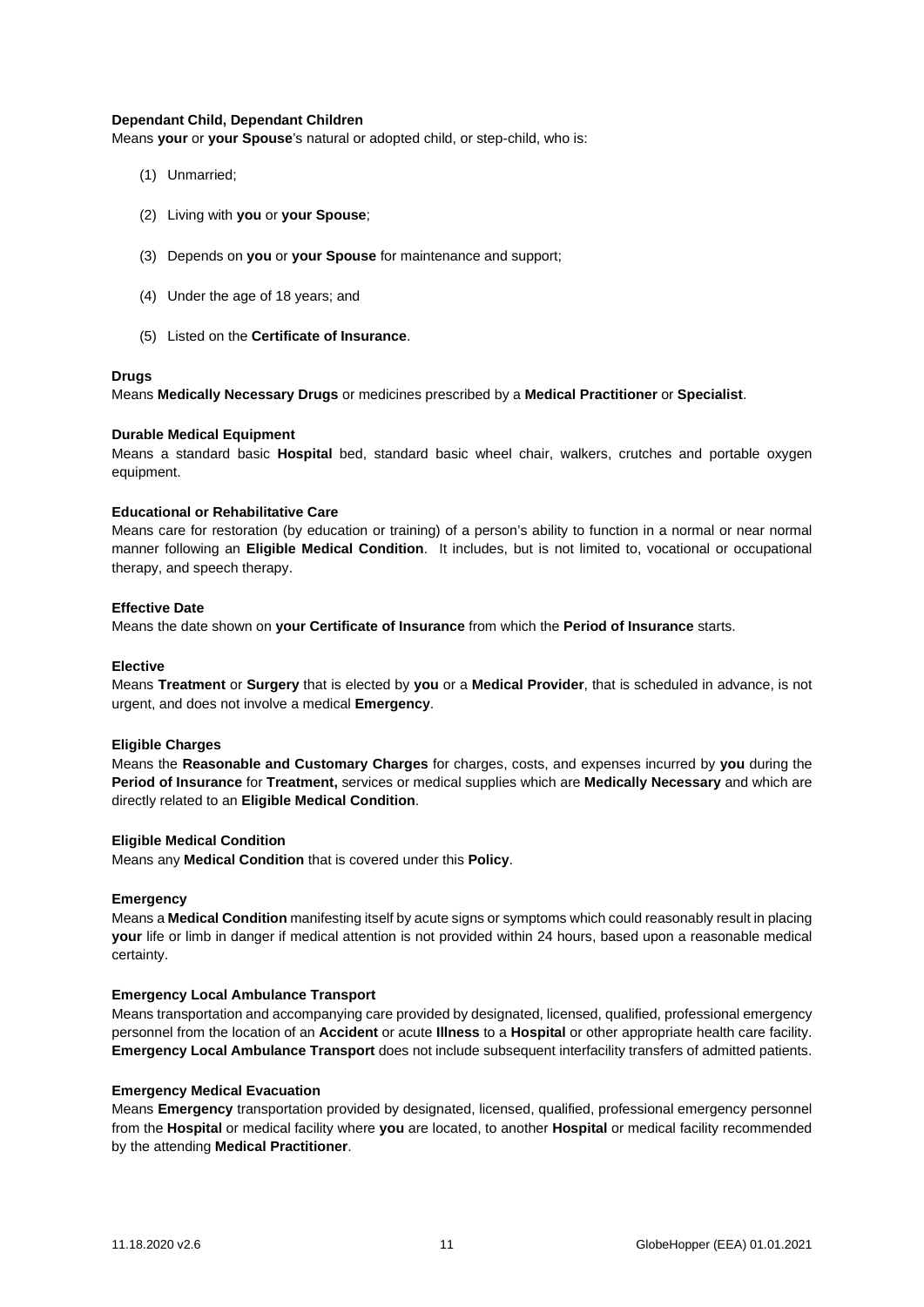## **Dependant Child, Dependant Children**

Means **your** or **your Spouse**'s natural or adopted child, or step-child, who is:

- (1) Unmarried;
- (2) Living with **you** or **your Spouse**;
- (3) Depends on **you** or **your Spouse** for maintenance and support;
- (4) Under the age of 18 years; and
- (5) Listed on the **Certificate of Insurance**.

## **Drugs**

Means **Medically Necessary Drugs** or medicines prescribed by a **Medical Practitioner** or **Specialist**.

## **Durable Medical Equipment**

Means a standard basic **Hospital** bed, standard basic wheel chair, walkers, crutches and portable oxygen equipment.

## **Educational or Rehabilitative Care**

Means care for restoration (by education or training) of a person's ability to function in a normal or near normal manner following an **Eligible Medical Condition**. It includes, but is not limited to, vocational or occupational therapy, and speech therapy.

# **Effective Date**

Means the date shown on **your Certificate of Insurance** from which the **Period of Insurance** starts.

## **Elective**

Means **Treatment** or **Surgery** that is elected by **you** or a **Medical Provider**, that is scheduled in advance, is not urgent, and does not involve a medical **Emergency**.

## **Eligible Charges**

Means the **Reasonable and Customary Charges** for charges, costs, and expenses incurred by **you** during the **Period of Insurance** for **Treatment,** services or medical supplies which are **Medically Necessary** and which are directly related to an **Eligible Medical Condition**.

## **Eligible Medical Condition**

Means any **Medical Condition** that is covered under this **Policy**.

## **Emergency**

Means a **Medical Condition** manifesting itself by acute signs or symptoms which could reasonably result in placing **your** life or limb in danger if medical attention is not provided within 24 hours, based upon a reasonable medical certainty.

## **Emergency Local Ambulance Transport**

Means transportation and accompanying care provided by designated, licensed, qualified, professional emergency personnel from the location of an **Accident** or acute **Illness** to a **Hospital** or other appropriate health care facility. **Emergency Local Ambulance Transport** does not include subsequent interfacility transfers of admitted patients.

## **Emergency Medical Evacuation**

Means **Emergency** transportation provided by designated, licensed, qualified, professional emergency personnel from the **Hospital** or medical facility where **you** are located, to another **Hospital** or medical facility recommended by the attending **Medical Practitioner**.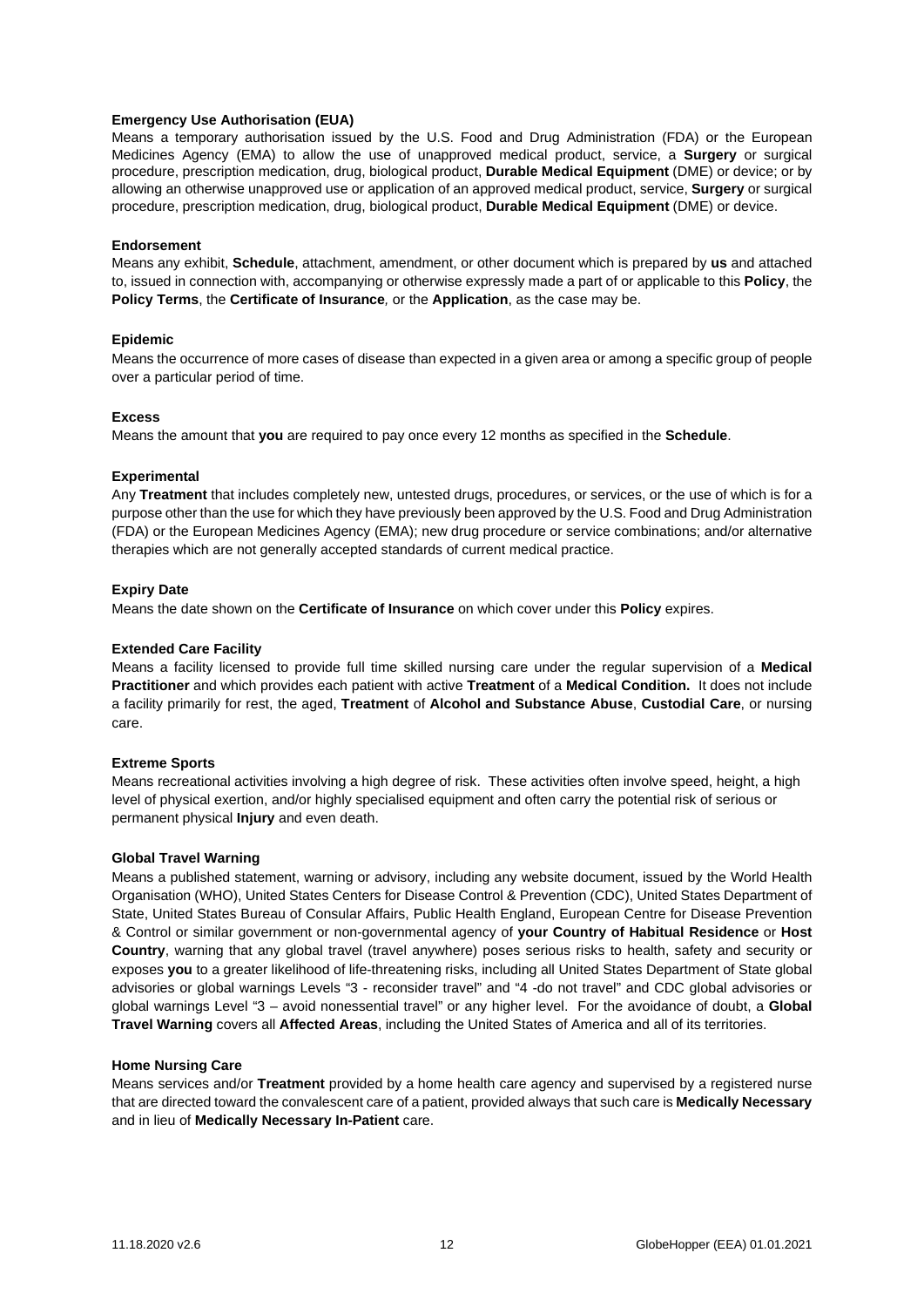## **Emergency Use Authorisation (EUA)**

Means a temporary authorisation issued by the U.S. Food and Drug Administration (FDA) or the European Medicines Agency (EMA) to allow the use of unapproved medical product, service, a **Surgery** or surgical procedure, prescription medication, drug, biological product, **Durable Medical Equipment** (DME) or device; or by allowing an otherwise unapproved use or application of an approved medical product, service, **Surgery** or surgical procedure, prescription medication, drug, biological product, **Durable Medical Equipment** (DME) or device.

## **Endorsement**

Means any exhibit, **Schedule**, attachment, amendment, or other document which is prepared by **us** and attached to, issued in connection with, accompanying or otherwise expressly made a part of or applicable to this **Policy**, the **Policy Terms**, the **Certificate of Insurance***,* or the **Application**, as the case may be.

## **Epidemic**

Means the occurrence of more cases of disease than expected in a given area or among a specific group of people over a particular period of time.

## **Excess**

Means the amount that **you** are required to pay once every 12 months as specified in the **Schedule**.

## **Experimental**

Any **Treatment** that includes completely new, untested drugs, procedures, or services, or the use of which is for a purpose other than the use for which they have previously been approved by the U.S. Food and Drug Administration (FDA) or the European Medicines Agency (EMA); new drug procedure or service combinations; and/or alternative therapies which are not generally accepted standards of current medical practice.

# **Expiry Date**

Means the date shown on the **Certificate of Insurance** on which cover under this **Policy** expires.

# **Extended Care Facility**

Means a facility licensed to provide full time skilled nursing care under the regular supervision of a **Medical Practitioner** and which provides each patient with active **Treatment** of a **Medical Condition.** It does not include a facility primarily for rest, the aged, **Treatment** of **Alcohol and Substance Abuse**, **Custodial Care**, or nursing care.

# **Extreme Sports**

Means recreational activities involving a high degree of risk. These activities often involve speed, height, a high level of physical exertion, and/or highly specialised equipment and often carry the potential risk of serious or permanent physical **Injury** and even death.

## **Global Travel Warning**

Means a published statement, warning or advisory, including any website document, issued by the World Health Organisation (WHO), United States Centers for Disease Control & Prevention (CDC), United States Department of State, United States Bureau of Consular Affairs, Public Health England, European Centre for Disease Prevention & Control or similar government or non-governmental agency of **your Country of Habitual Residence** or **Host Country**, warning that any global travel (travel anywhere) poses serious risks to health, safety and security or exposes **you** to a greater likelihood of life-threatening risks, including all United States Department of State global advisories or global warnings Levels "3 - reconsider travel" and "4 -do not travel" and CDC global advisories or global warnings Level "3 – avoid nonessential travel" or any higher level. For the avoidance of doubt, a **Global Travel Warning** covers all **Affected Areas**, including the United States of America and all of its territories.

## **Home Nursing Care**

Means services and/or **Treatment** provided by a home health care agency and supervised by a registered nurse that are directed toward the convalescent care of a patient, provided always that such care is **Medically Necessary** and in lieu of **Medically Necessary In-Patient** care.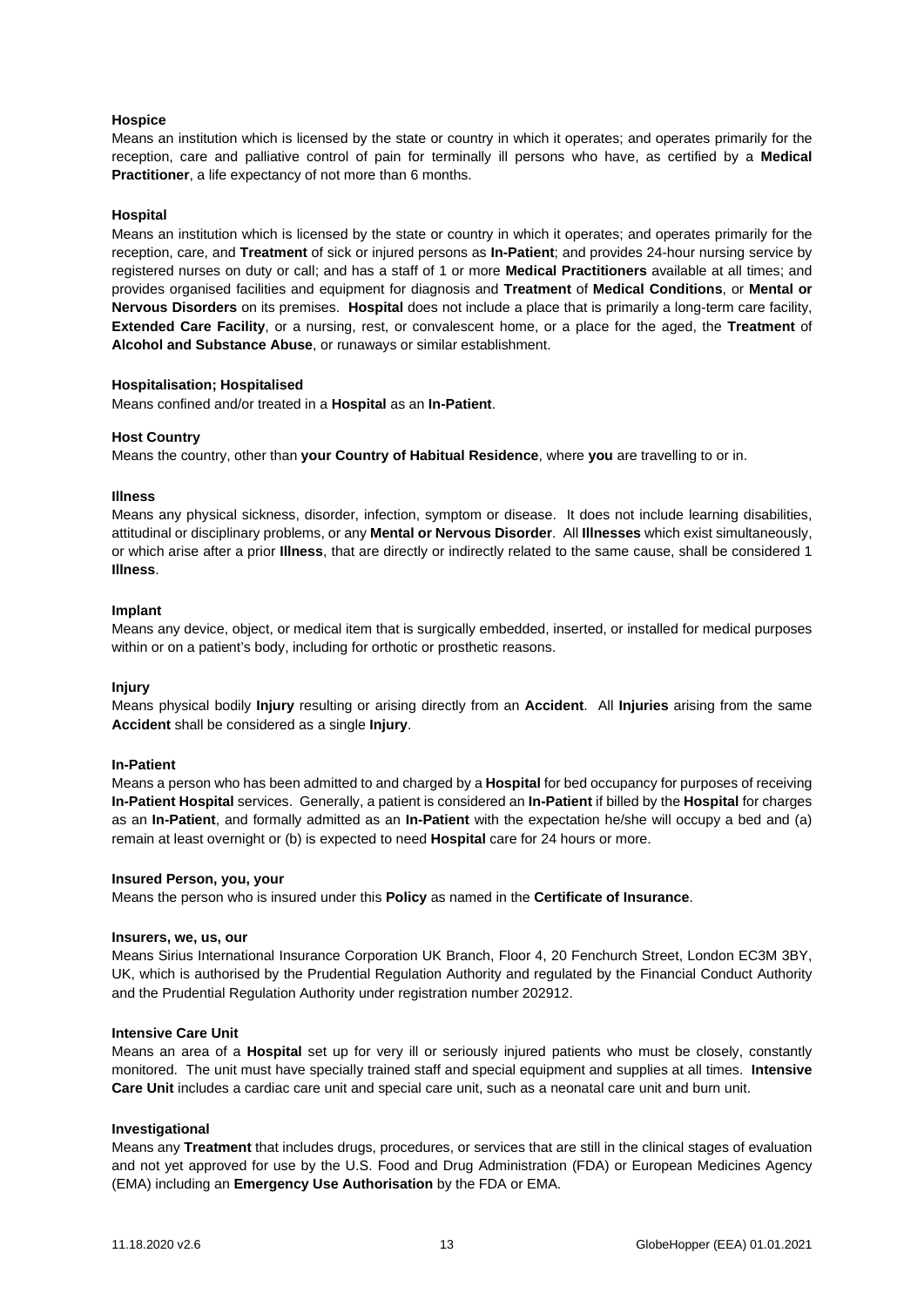## **Hospice**

Means an institution which is licensed by the state or country in which it operates; and operates primarily for the reception, care and palliative control of pain for terminally ill persons who have, as certified by a **Medical Practitioner**, a life expectancy of not more than 6 months.

## **Hospital**

Means an institution which is licensed by the state or country in which it operates; and operates primarily for the reception, care, and **Treatment** of sick or injured persons as **In-Patient**; and provides 24-hour nursing service by registered nurses on duty or call; and has a staff of 1 or more **Medical Practitioners** available at all times; and provides organised facilities and equipment for diagnosis and **Treatment** of **Medical Conditions**, or **Mental or Nervous Disorders** on its premises. **Hospital** does not include a place that is primarily a long-term care facility, **Extended Care Facility**, or a nursing, rest, or convalescent home, or a place for the aged, the **Treatment** of **Alcohol and Substance Abuse**, or runaways or similar establishment.

## **Hospitalisation; Hospitalised**

Means confined and/or treated in a **Hospital** as an **In-Patient**.

## **Host Country**

Means the country, other than **your Country of Habitual Residence**, where **you** are travelling to or in.

#### **Illness**

Means any physical sickness, disorder, infection, symptom or disease. It does not include learning disabilities, attitudinal or disciplinary problems, or any **Mental or Nervous Disorder**. All **Illnesses** which exist simultaneously, or which arise after a prior **Illness**, that are directly or indirectly related to the same cause, shall be considered 1 **Illness**.

#### **Implant**

Means any device, object, or medical item that is surgically embedded, inserted, or installed for medical purposes within or on a patient's body, including for orthotic or prosthetic reasons.

## **Injury**

Means physical bodily **Injury** resulting or arising directly from an **Accident**. All **Injuries** arising from the same **Accident** shall be considered as a single **Injury**.

#### **In-Patient**

Means a person who has been admitted to and charged by a **Hospital** for bed occupancy for purposes of receiving **In-Patient Hospital** services. Generally, a patient is considered an **In-Patient** if billed by the **Hospital** for charges as an **In-Patient**, and formally admitted as an **In-Patient** with the expectation he/she will occupy a bed and (a) remain at least overnight or (b) is expected to need **Hospital** care for 24 hours or more.

## **Insured Person, you, your**

Means the person who is insured under this **Policy** as named in the **Certificate of Insurance**.

#### **Insurers, we, us, our**

Means Sirius International Insurance Corporation UK Branch, Floor 4, 20 Fenchurch Street, London EC3M 3BY, UK, which is authorised by the Prudential Regulation Authority and regulated by the Financial Conduct Authority and the Prudential Regulation Authority under registration number 202912.

## **Intensive Care Unit**

Means an area of a **Hospital** set up for very ill or seriously injured patients who must be closely, constantly monitored. The unit must have specially trained staff and special equipment and supplies at all times. **Intensive Care Unit** includes a cardiac care unit and special care unit, such as a neonatal care unit and burn unit.

#### **Investigational**

Means any **Treatment** that includes drugs, procedures, or services that are still in the clinical stages of evaluation and not yet approved for use by the U.S. Food and Drug Administration (FDA) or European Medicines Agency (EMA) including an **Emergency Use Authorisation** by the FDA or EMA.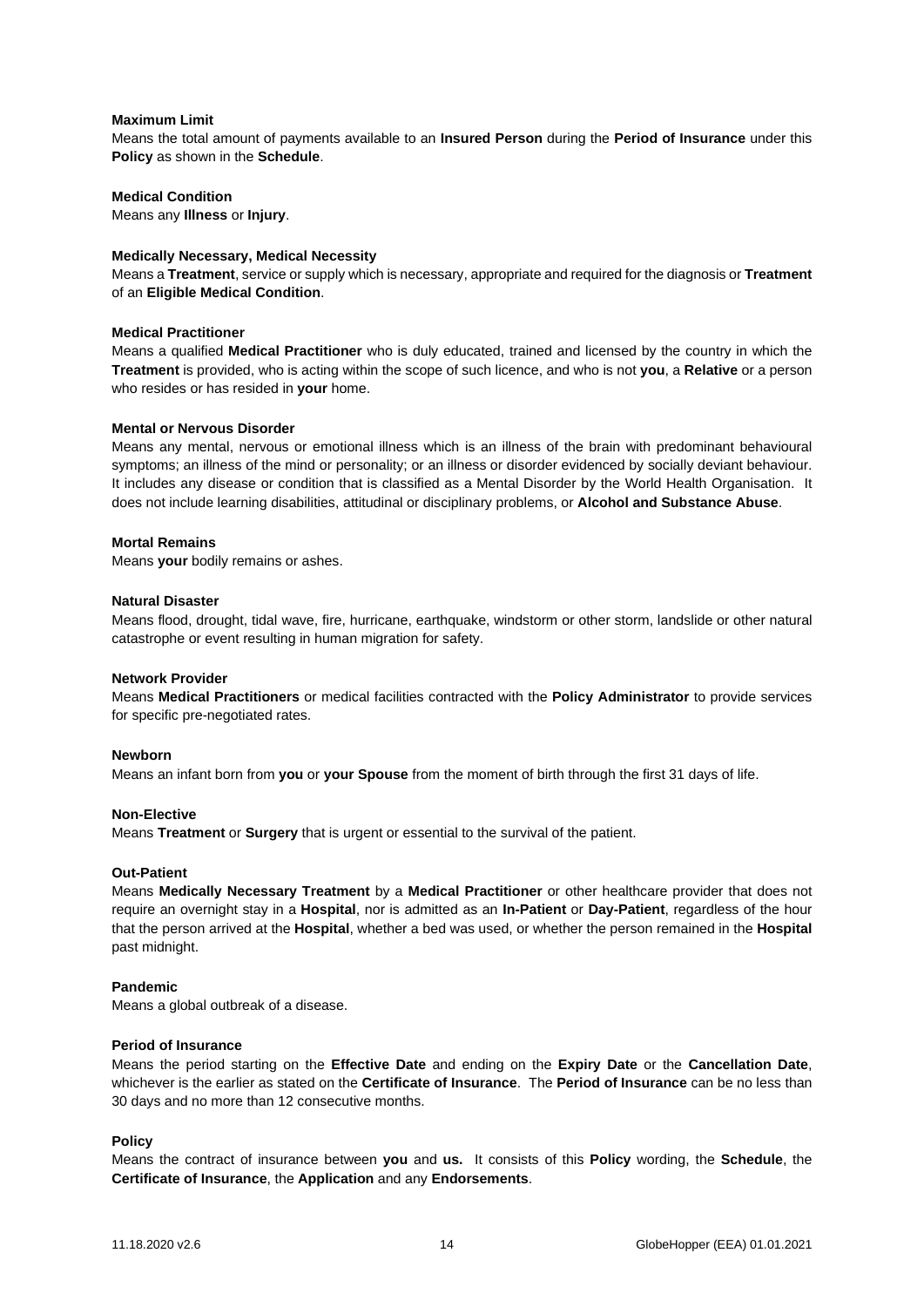## **Maximum Limit**

Means the total amount of payments available to an **Insured Person** during the **Period of Insurance** under this **Policy** as shown in the **Schedule**.

## **Medical Condition**

Means any **Illness** or **Injury**.

## **Medically Necessary, Medical Necessity**

Means a **Treatment**, service or supply which is necessary, appropriate and required for the diagnosis or **Treatment** of an **Eligible Medical Condition**.

## **Medical Practitioner**

Means a qualified **Medical Practitioner** who is duly educated, trained and licensed by the country in which the **Treatment** is provided, who is acting within the scope of such licence, and who is not **you**, a **Relative** or a person who resides or has resided in **your** home.

## **Mental or Nervous Disorder**

Means any mental, nervous or emotional illness which is an illness of the brain with predominant behavioural symptoms; an illness of the mind or personality; or an illness or disorder evidenced by socially deviant behaviour. It includes any disease or condition that is classified as a Mental Disorder by the World Health Organisation. It does not include learning disabilities, attitudinal or disciplinary problems, or **Alcohol and Substance Abuse**.

# **Mortal Remains**

Means **your** bodily remains or ashes.

## **Natural Disaster**

Means flood, drought, tidal wave, fire, hurricane, earthquake, windstorm or other storm, landslide or other natural catastrophe or event resulting in human migration for safety.

## **Network Provider**

Means **Medical Practitioners** or medical facilities contracted with the **Policy Administrator** to provide services for specific pre-negotiated rates.

## **Newborn**

Means an infant born from **you** or **your Spouse** from the moment of birth through the first 31 days of life.

## **Non-Elective**

Means **Treatment** or **Surgery** that is urgent or essential to the survival of the patient.

## **Out-Patient**

Means **Medically Necessary Treatment** by a **Medical Practitioner** or other healthcare provider that does not require an overnight stay in a **Hospital**, nor is admitted as an **In-Patient** or **Day-Patient**, regardless of the hour that the person arrived at the **Hospital**, whether a bed was used, or whether the person remained in the **Hospital** past midnight.

## **Pandemic**

Means a global outbreak of a disease.

## **Period of Insurance**

Means the period starting on the **Effective Date** and ending on the **Expiry Date** or the **Cancellation Date**, whichever is the earlier as stated on the **Certificate of Insurance**. The **Period of Insurance** can be no less than 30 days and no more than 12 consecutive months.

## **Policy**

Means the contract of insurance between **you** and **us.** It consists of this **Policy** wording, the **Schedule**, the **Certificate of Insurance**, the **Application** and any **Endorsements**.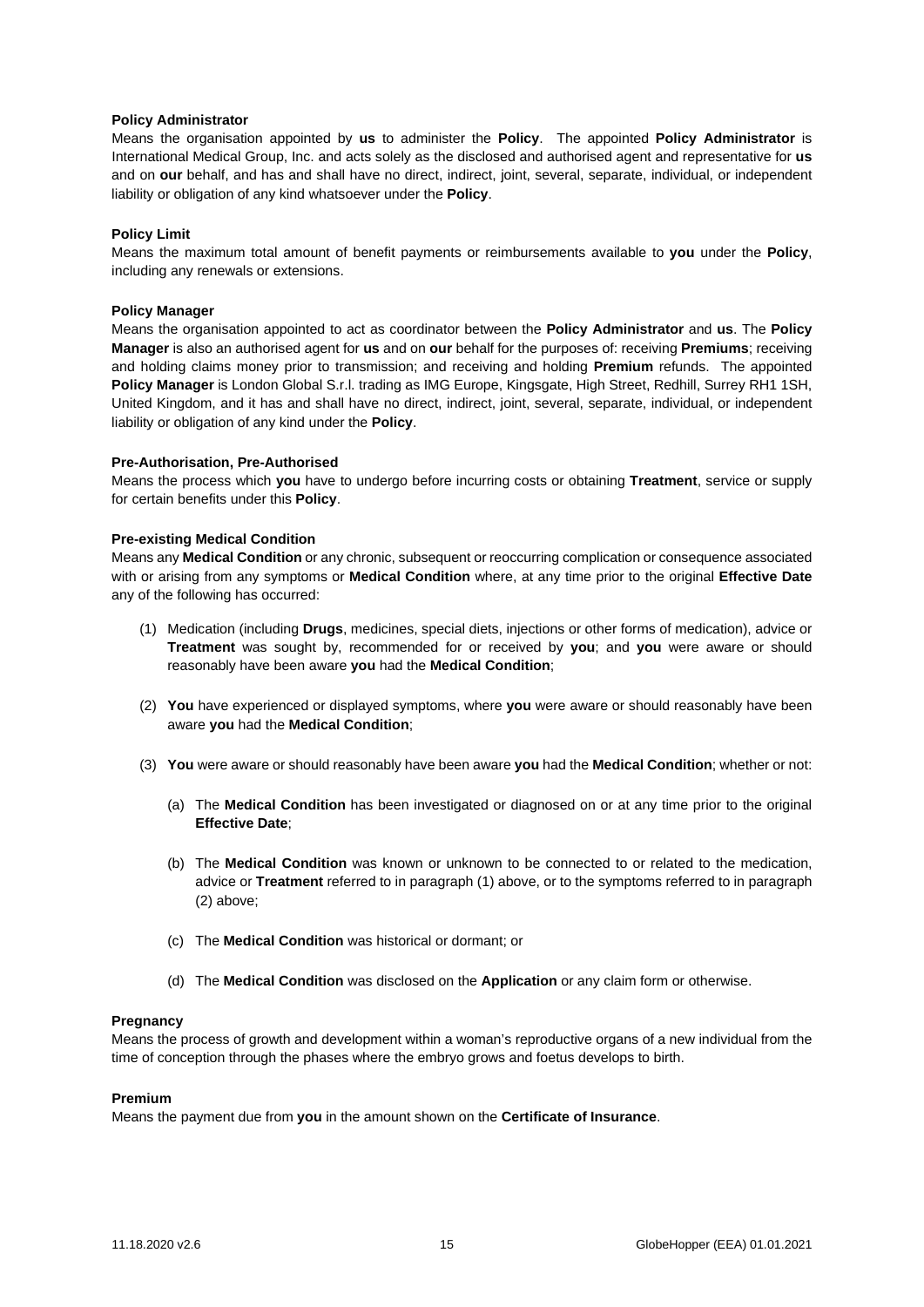## **Policy Administrator**

Means the organisation appointed by **us** to administer the **Policy**. The appointed **Policy Administrator** is International Medical Group, Inc. and acts solely as the disclosed and authorised agent and representative for **us** and on **our** behalf, and has and shall have no direct, indirect, joint, several, separate, individual, or independent liability or obligation of any kind whatsoever under the **Policy**.

# **Policy Limit**

Means the maximum total amount of benefit payments or reimbursements available to **you** under the **Policy**, including any renewals or extensions.

## **Policy Manager**

Means the organisation appointed to act as coordinator between the **Policy Administrator** and **us**. The **Policy Manager** is also an authorised agent for **us** and on **our** behalf for the purposes of: receiving **Premiums**; receiving and holding claims money prior to transmission; and receiving and holding **Premium** refunds. The appointed **Policy Manager** is London Global S.r.l. trading as IMG Europe, Kingsgate, High Street, Redhill, Surrey RH1 1SH, United Kingdom, and it has and shall have no direct, indirect, joint, several, separate, individual, or independent liability or obligation of any kind under the **Policy**.

## **Pre-Authorisation, Pre-Authorised**

Means the process which **you** have to undergo before incurring costs or obtaining **Treatment**, service or supply for certain benefits under this **Policy**.

## **Pre-existing Medical Condition**

Means any **Medical Condition** or any chronic, subsequent or reoccurring complication or consequence associated with or arising from any symptoms or **Medical Condition** where, at any time prior to the original **Effective Date** any of the following has occurred:

- (1) Medication (including **Drugs**, medicines, special diets, injections or other forms of medication), advice or **Treatment** was sought by, recommended for or received by **you**; and **you** were aware or should reasonably have been aware **you** had the **Medical Condition**;
- (2) **You** have experienced or displayed symptoms, where **you** were aware or should reasonably have been aware **you** had the **Medical Condition**;
- (3) **You** were aware or should reasonably have been aware **you** had the **Medical Condition**; whether or not:
	- (a) The **Medical Condition** has been investigated or diagnosed on or at any time prior to the original **Effective Date**;
	- (b) The **Medical Condition** was known or unknown to be connected to or related to the medication, advice or **Treatment** referred to in paragraph (1) above, or to the symptoms referred to in paragraph (2) above;
	- (c) The **Medical Condition** was historical or dormant; or
	- (d) The **Medical Condition** was disclosed on the **Application** or any claim form or otherwise.

## **Pregnancy**

Means the process of growth and development within a woman's reproductive organs of a new individual from the time of conception through the phases where the embryo grows and foetus develops to birth.

## **Premium**

Means the payment due from **you** in the amount shown on the **Certificate of Insurance**.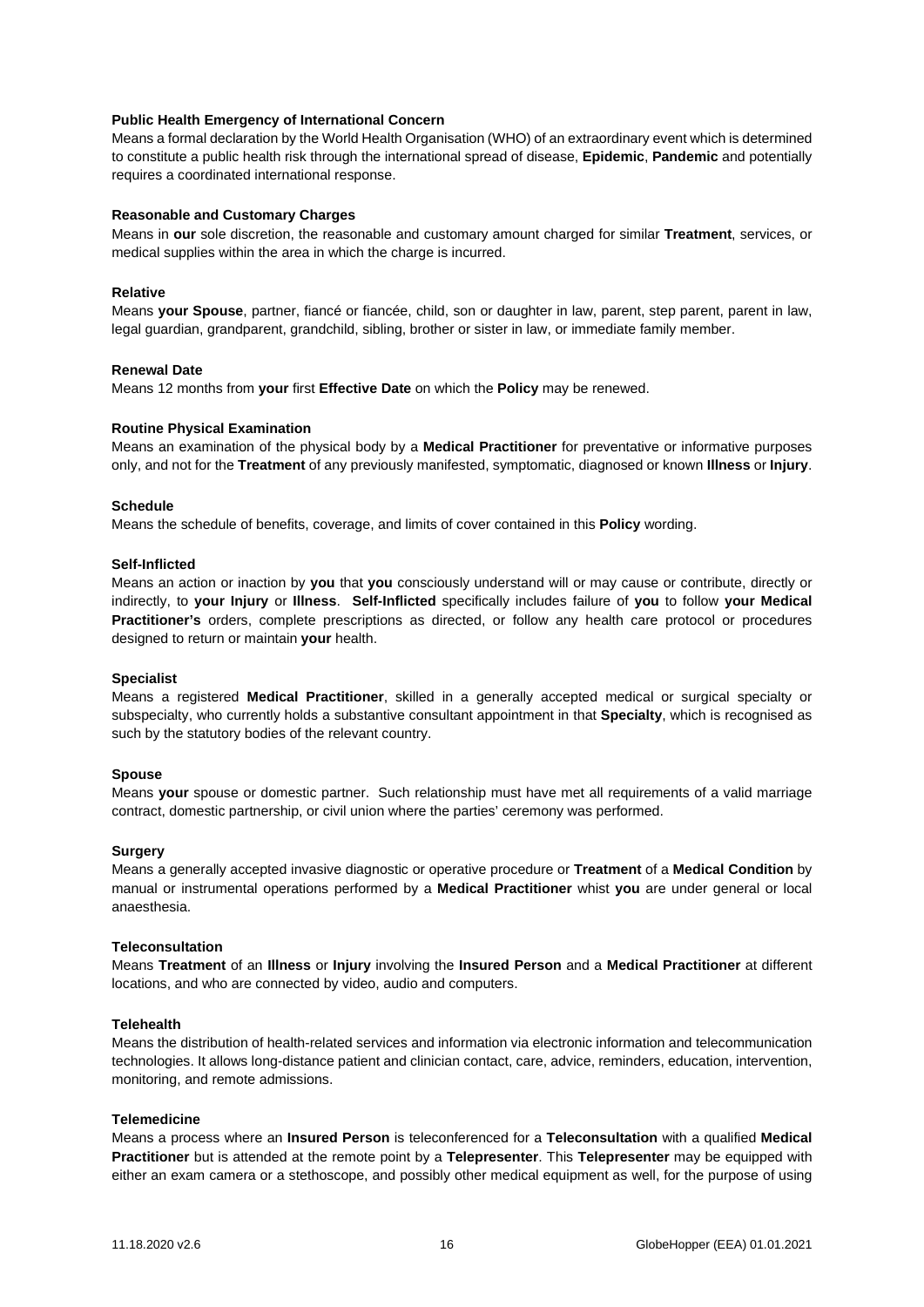## **Public Health Emergency of International Concern**

Means a formal declaration by the World Health Organisation (WHO) of an extraordinary event which is determined to constitute a public health risk through the international spread of disease, **Epidemic**, **Pandemic** and potentially requires a coordinated international response.

## **Reasonable and Customary Charges**

Means in **our** sole discretion, the reasonable and customary amount charged for similar **Treatment**, services, or medical supplies within the area in which the charge is incurred.

## **Relative**

Means **your Spouse**, partner, fiancé or fiancée, child, son or daughter in law, parent, step parent, parent in law, legal guardian, grandparent, grandchild, sibling, brother or sister in law, or immediate family member.

## **Renewal Date**

Means 12 months from **your** first **Effective Date** on which the **Policy** may be renewed.

## **Routine Physical Examination**

Means an examination of the physical body by a **Medical Practitioner** for preventative or informative purposes only, and not for the **Treatment** of any previously manifested, symptomatic, diagnosed or known **Illness** or **Injury**.

## **Schedule**

Means the schedule of benefits, coverage, and limits of cover contained in this **Policy** wording.

## **Self-Inflicted**

Means an action or inaction by **you** that **you** consciously understand will or may cause or contribute, directly or indirectly, to **your Injury** or **Illness**. **Self-Inflicted** specifically includes failure of **you** to follow **your Medical Practitioner's** orders, complete prescriptions as directed, or follow any health care protocol or procedures designed to return or maintain **your** health.

## **Specialist**

Means a registered **Medical Practitioner**, skilled in a generally accepted medical or surgical specialty or subspecialty, who currently holds a substantive consultant appointment in that **Specialty**, which is recognised as such by the statutory bodies of the relevant country.

# **Spouse**

Means **your** spouse or domestic partner. Such relationship must have met all requirements of a valid marriage contract, domestic partnership, or civil union where the parties' ceremony was performed.

## **Surgery**

Means a generally accepted invasive diagnostic or operative procedure or **Treatment** of a **Medical Condition** by manual or instrumental operations performed by a **Medical Practitioner** whist **you** are under general or local anaesthesia.

# **Teleconsultation**

Means **Treatment** of an **Illness** or **Injury** involving the **Insured Person** and a **Medical Practitioner** at different locations, and who are connected by video, audio and computers.

## **Telehealth**

Means the distribution of health-related services and information via electronic information and telecommunication technologies. It allows long-distance patient and clinician contact, care, advice, reminders, education, intervention, monitoring, and remote admissions.

## **Telemedicine**

Means a process where an **Insured Person** is teleconferenced for a **Teleconsultation** with a qualified **Medical Practitioner** but is attended at the remote point by a **Telepresenter**. This **Telepresenter** may be equipped with either an exam camera or a stethoscope, and possibly other medical equipment as well, for the purpose of using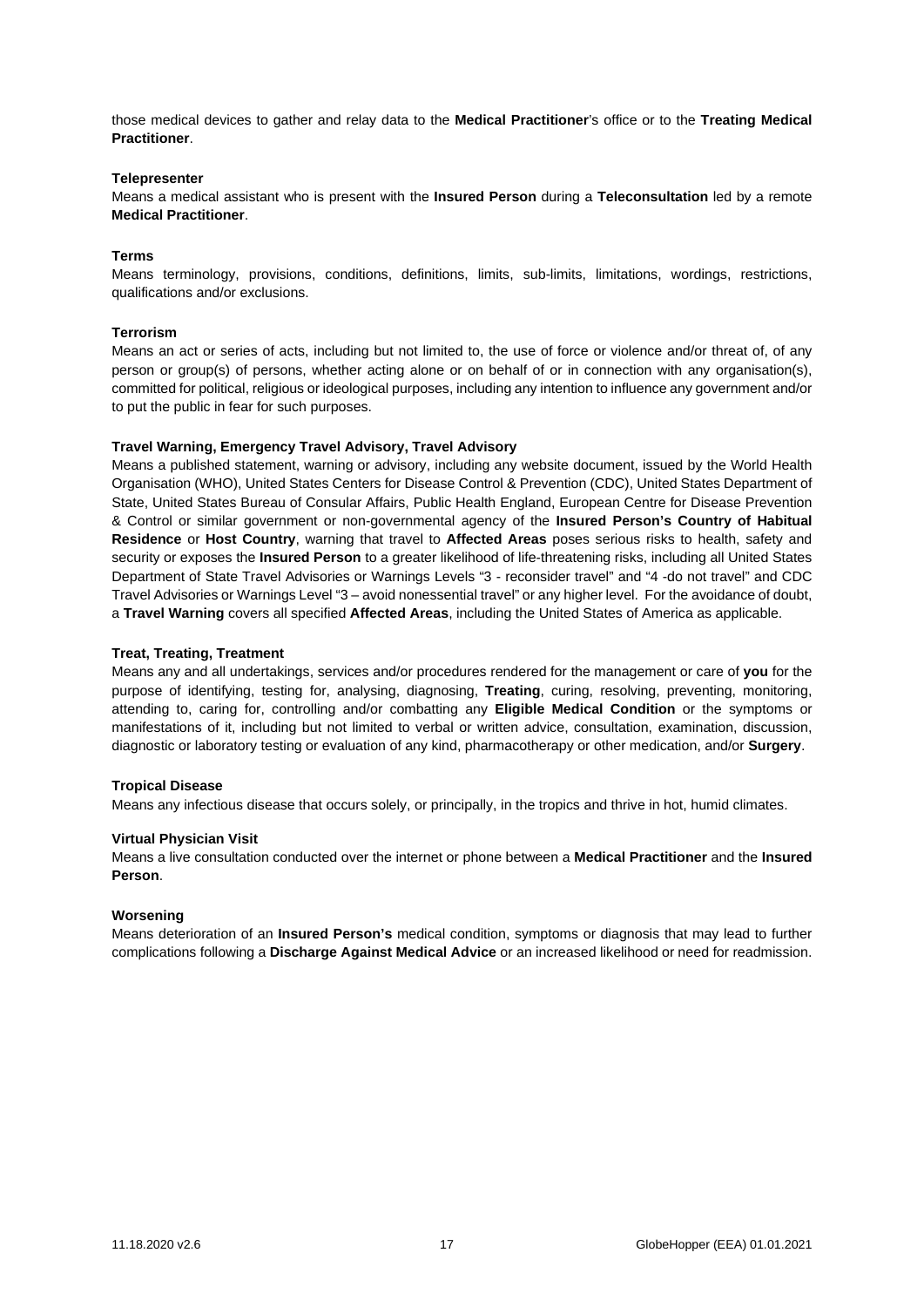those medical devices to gather and relay data to the **Medical Practitioner**'s office or to the **Treating Medical Practitioner**.

#### **Telepresenter**

Means a medical assistant who is present with the **Insured Person** during a **Teleconsultation** led by a remote **Medical Practitioner**.

## **Terms**

Means terminology, provisions, conditions, definitions, limits, sub-limits, limitations, wordings, restrictions, qualifications and/or exclusions.

## **Terrorism**

Means an act or series of acts, including but not limited to, the use of force or violence and/or threat of, of any person or group(s) of persons, whether acting alone or on behalf of or in connection with any organisation(s), committed for political, religious or ideological purposes, including any intention to influence any government and/or to put the public in fear for such purposes.

## **Travel Warning, Emergency Travel Advisory, Travel Advisory**

Means a published statement, warning or advisory, including any website document, issued by the World Health Organisation (WHO), United States Centers for Disease Control & Prevention (CDC), United States Department of State, United States Bureau of Consular Affairs, Public Health England, European Centre for Disease Prevention & Control or similar government or non-governmental agency of the **Insured Person's Country of Habitual Residence** or **Host Country**, warning that travel to **Affected Areas** poses serious risks to health, safety and security or exposes the **Insured Person** to a greater likelihood of life-threatening risks, including all United States Department of State Travel Advisories or Warnings Levels "3 - reconsider travel" and "4 -do not travel" and CDC Travel Advisories or Warnings Level "3 – avoid nonessential travel" or any higher level. For the avoidance of doubt, a **Travel Warning** covers all specified **Affected Areas**, including the United States of America as applicable.

## **Treat, Treating, Treatment**

Means any and all undertakings, services and/or procedures rendered for the management or care of **you** for the purpose of identifying, testing for, analysing, diagnosing, **Treating**, curing, resolving, preventing, monitoring, attending to, caring for, controlling and/or combatting any **Eligible Medical Condition** or the symptoms or manifestations of it, including but not limited to verbal or written advice, consultation, examination, discussion, diagnostic or laboratory testing or evaluation of any kind, pharmacotherapy or other medication, and/or **Surgery**.

## **Tropical Disease**

Means any infectious disease that occurs solely, or principally, in the tropics and thrive in hot, humid climates.

## **Virtual Physician Visit**

Means a live consultation conducted over the internet or phone between a **Medical Practitioner** and the **Insured Person**.

#### **Worsening**

Means deterioration of an **Insured Person's** medical condition, symptoms or diagnosis that may lead to further complications following a **Discharge Against Medical Advice** or an increased likelihood or need for readmission.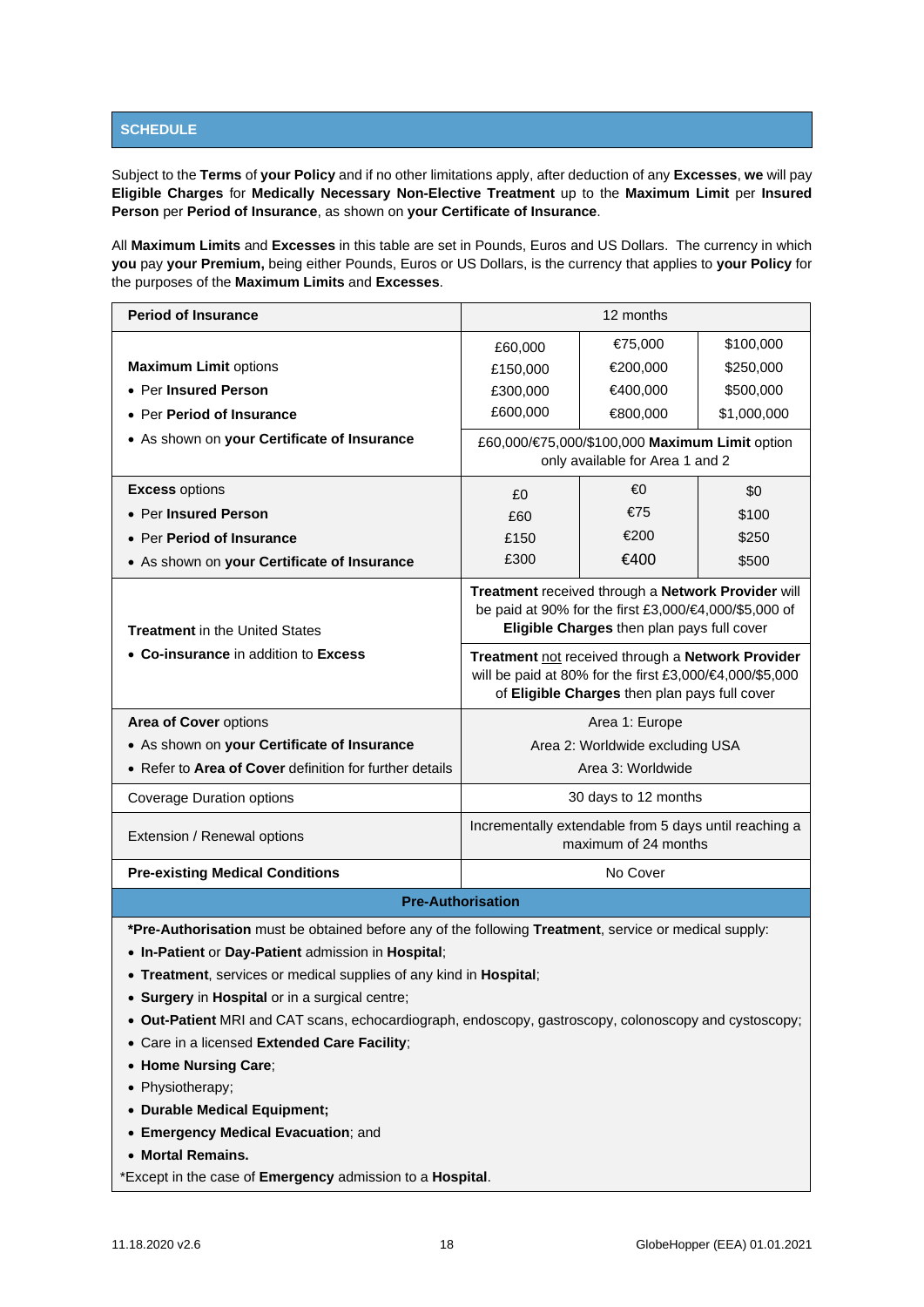# <span id="page-17-0"></span>**SCHEDULE**

Subject to the **Terms** of **your Policy** and if no other limitations apply, after deduction of any **Excesses**, **we** will pay **Eligible Charges** for **Medically Necessary Non-Elective Treatment** up to the **Maximum Limit** per **Insured Person** per **Period of Insurance**, as shown on **your Certificate of Insurance**.

All **Maximum Limits** and **Excesses** in this table are set in Pounds, Euros and US Dollars. The currency in which **you** pay **your Premium,** being either Pounds, Euros or US Dollars, is the currency that applies to **your Policy** for the purposes of the **Maximum Limits** and **Excesses**.

| <b>Period of Insurance</b>                              |          | 12 months                                                                                                                                                     |             |
|---------------------------------------------------------|----------|---------------------------------------------------------------------------------------------------------------------------------------------------------------|-------------|
|                                                         | £60,000  | €75,000                                                                                                                                                       | \$100,000   |
| <b>Maximum Limit options</b>                            | £150,000 | €200,000                                                                                                                                                      | \$250,000   |
| • Per Insured Person                                    | £300,000 | €400,000                                                                                                                                                      | \$500,000   |
| • Per Period of Insurance                               | £600,000 | €800,000                                                                                                                                                      | \$1,000,000 |
| • As shown on your Certificate of Insurance             |          | £60,000/€75,000/\$100,000 Maximum Limit option<br>only available for Area 1 and 2                                                                             |             |
| <b>Excess options</b>                                   | £0       | €Ω                                                                                                                                                            | \$0         |
| • Per Insured Person                                    | £60      | €75                                                                                                                                                           | \$100       |
| • Per Period of Insurance                               | £150     | €200                                                                                                                                                          | \$250       |
| . As shown on your Certificate of Insurance             | £300     | €400                                                                                                                                                          | \$500       |
| <b>Treatment</b> in the United States                   |          | Treatment received through a Network Provider will<br>be paid at 90% for the first £3,000/€4,000/\$5,000 of<br>Eligible Charges then plan pays full cover     |             |
| • Co-insurance in addition to Excess                    |          | Treatment not received through a Network Provider<br>will be paid at 80% for the first £3,000/€4,000/\$5,000<br>of Eligible Charges then plan pays full cover |             |
| Area of Cover options                                   |          | Area 1: Europe                                                                                                                                                |             |
| • As shown on your Certificate of Insurance             |          | Area 2: Worldwide excluding USA                                                                                                                               |             |
| • Refer to Area of Cover definition for further details |          | Area 3: Worldwide                                                                                                                                             |             |
| <b>Coverage Duration options</b>                        |          | 30 days to 12 months                                                                                                                                          |             |
| Extension / Renewal options                             |          | Incrementally extendable from 5 days until reaching a<br>maximum of 24 months                                                                                 |             |
| <b>Pre-existing Medical Conditions</b>                  |          | No Cover                                                                                                                                                      |             |
| <b>Pre-Authorisation</b>                                |          |                                                                                                                                                               |             |

**\*Pre-Authorisation** must be obtained before any of the following **Treatment**, service or medical supply:

- **In-Patient** or **Day-Patient** admission in **Hospital**;
- **Treatment**, services or medical supplies of any kind in **Hospital**;
- **Surgery** in **Hospital** or in a surgical centre;
- **Out-Patient** MRI and CAT scans, echocardiograph, endoscopy, gastroscopy, colonoscopy and cystoscopy;
- Care in a licensed **Extended Care Facility**;
- **Home Nursing Care**;
- Physiotherapy;
- **Durable Medical Equipment;**
- **Emergency Medical Evacuation**; and
- **Mortal Remains.**

\*Except in the case of **Emergency** admission to a **Hospital**.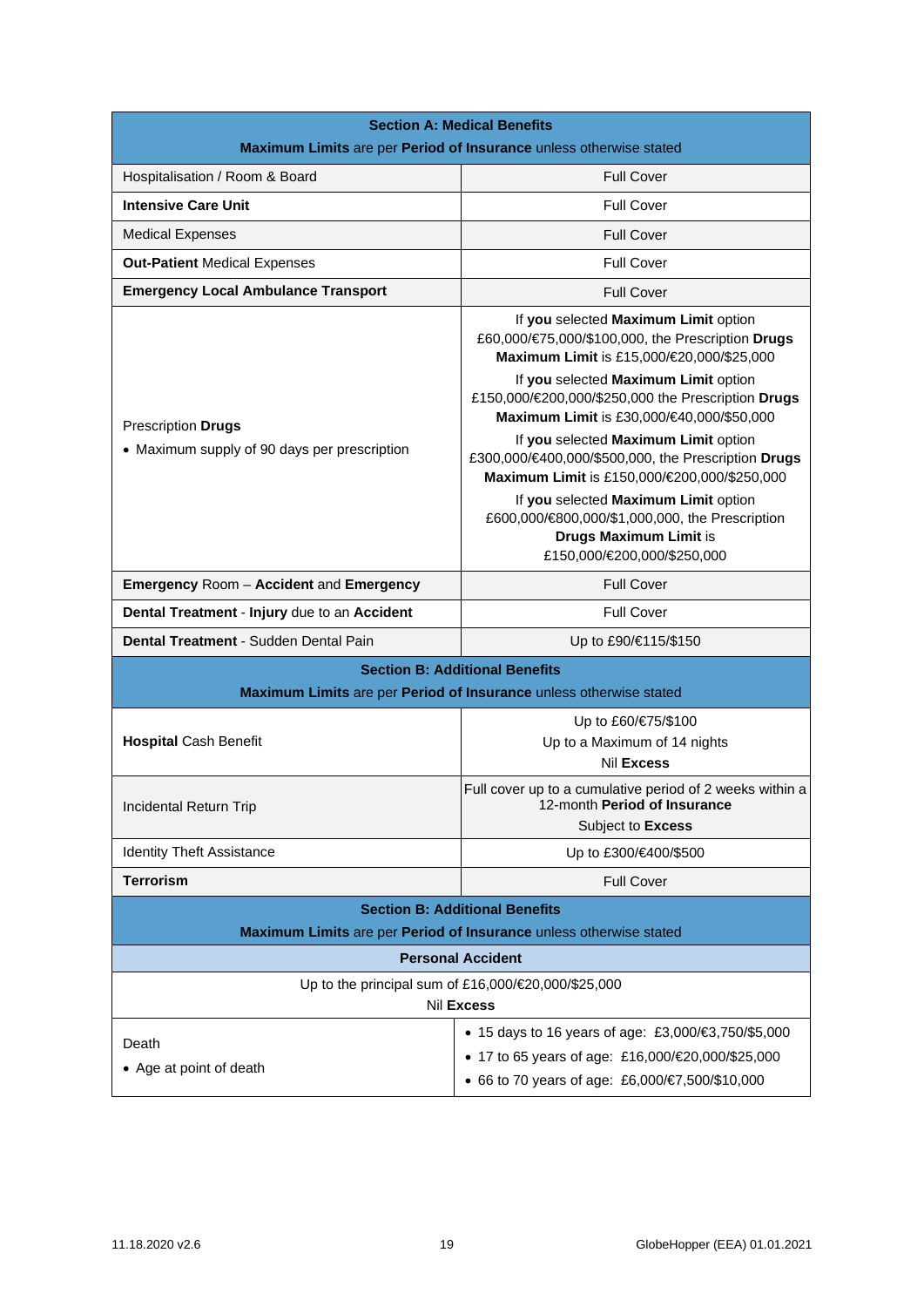| <b>Section A: Medical Benefits</b>                                                                          |                                                                                                                                                                                                                                                                                   |  |
|-------------------------------------------------------------------------------------------------------------|-----------------------------------------------------------------------------------------------------------------------------------------------------------------------------------------------------------------------------------------------------------------------------------|--|
| Maximum Limits are per Period of Insurance unless otherwise stated                                          |                                                                                                                                                                                                                                                                                   |  |
| Hospitalisation / Room & Board                                                                              | <b>Full Cover</b>                                                                                                                                                                                                                                                                 |  |
| <b>Intensive Care Unit</b>                                                                                  | <b>Full Cover</b>                                                                                                                                                                                                                                                                 |  |
| <b>Medical Expenses</b>                                                                                     | <b>Full Cover</b>                                                                                                                                                                                                                                                                 |  |
| <b>Out-Patient Medical Expenses</b>                                                                         | <b>Full Cover</b>                                                                                                                                                                                                                                                                 |  |
| <b>Emergency Local Ambulance Transport</b>                                                                  | <b>Full Cover</b>                                                                                                                                                                                                                                                                 |  |
| Prescription Drugs                                                                                          | If you selected Maximum Limit option<br>£60,000/€75,000/\$100,000, the Prescription Drugs<br>Maximum Limit is £15,000/€20,000/\$25,000<br>If you selected Maximum Limit option<br>£150,000/€200,000/\$250,000 the Prescription Drugs<br>Maximum Limit is £30,000/€40,000/\$50,000 |  |
| • Maximum supply of 90 days per prescription                                                                | If you selected Maximum Limit option<br>£300,000/€400,000/\$500,000, the Prescription Drugs<br>Maximum Limit is £150,000/€200,000/\$250,000                                                                                                                                       |  |
|                                                                                                             | If you selected Maximum Limit option<br>£600,000/€800,000/\$1,000,000, the Prescription<br>Drugs Maximum Limit is<br>£150,000/€200,000/\$250,000                                                                                                                                  |  |
| <b>Full Cover</b><br><b>Emergency Room - Accident and Emergency</b>                                         |                                                                                                                                                                                                                                                                                   |  |
| Dental Treatment - Injury due to an Accident                                                                | <b>Full Cover</b>                                                                                                                                                                                                                                                                 |  |
| Dental Treatment - Sudden Dental Pain                                                                       | Up to £90/€115/\$150                                                                                                                                                                                                                                                              |  |
|                                                                                                             | <b>Section B: Additional Benefits</b><br>Maximum Limits are per Period of Insurance unless otherwise stated                                                                                                                                                                       |  |
|                                                                                                             | Up to £60/€75/\$100                                                                                                                                                                                                                                                               |  |
| <b>Hospital Cash Benefit</b>                                                                                | Up to a Maximum of 14 nights                                                                                                                                                                                                                                                      |  |
|                                                                                                             | Nil Excess                                                                                                                                                                                                                                                                        |  |
| Incidental Return Trip                                                                                      | Full cover up to a cumulative period of 2 weeks within a<br>12-month Period of Insurance                                                                                                                                                                                          |  |
|                                                                                                             | Subject to Excess                                                                                                                                                                                                                                                                 |  |
| <b>Identity Theft Assistance</b>                                                                            | Up to £300/€400/\$500                                                                                                                                                                                                                                                             |  |
| <b>Terrorism</b>                                                                                            | <b>Full Cover</b>                                                                                                                                                                                                                                                                 |  |
| <b>Section B: Additional Benefits</b><br>Maximum Limits are per Period of Insurance unless otherwise stated |                                                                                                                                                                                                                                                                                   |  |
| <b>Personal Accident</b>                                                                                    |                                                                                                                                                                                                                                                                                   |  |
| Up to the principal sum of £16,000/€20,000/\$25,000<br>Nil Excess                                           |                                                                                                                                                                                                                                                                                   |  |
| Death                                                                                                       | • 15 days to 16 years of age: £3,000/€3,750/\$5,000                                                                                                                                                                                                                               |  |
| • Age at point of death                                                                                     | • 17 to 65 years of age: £16,000/€20,000/\$25,000                                                                                                                                                                                                                                 |  |
|                                                                                                             | ● 66 to 70 years of age: £6,000/€7,500/\$10,000                                                                                                                                                                                                                                   |  |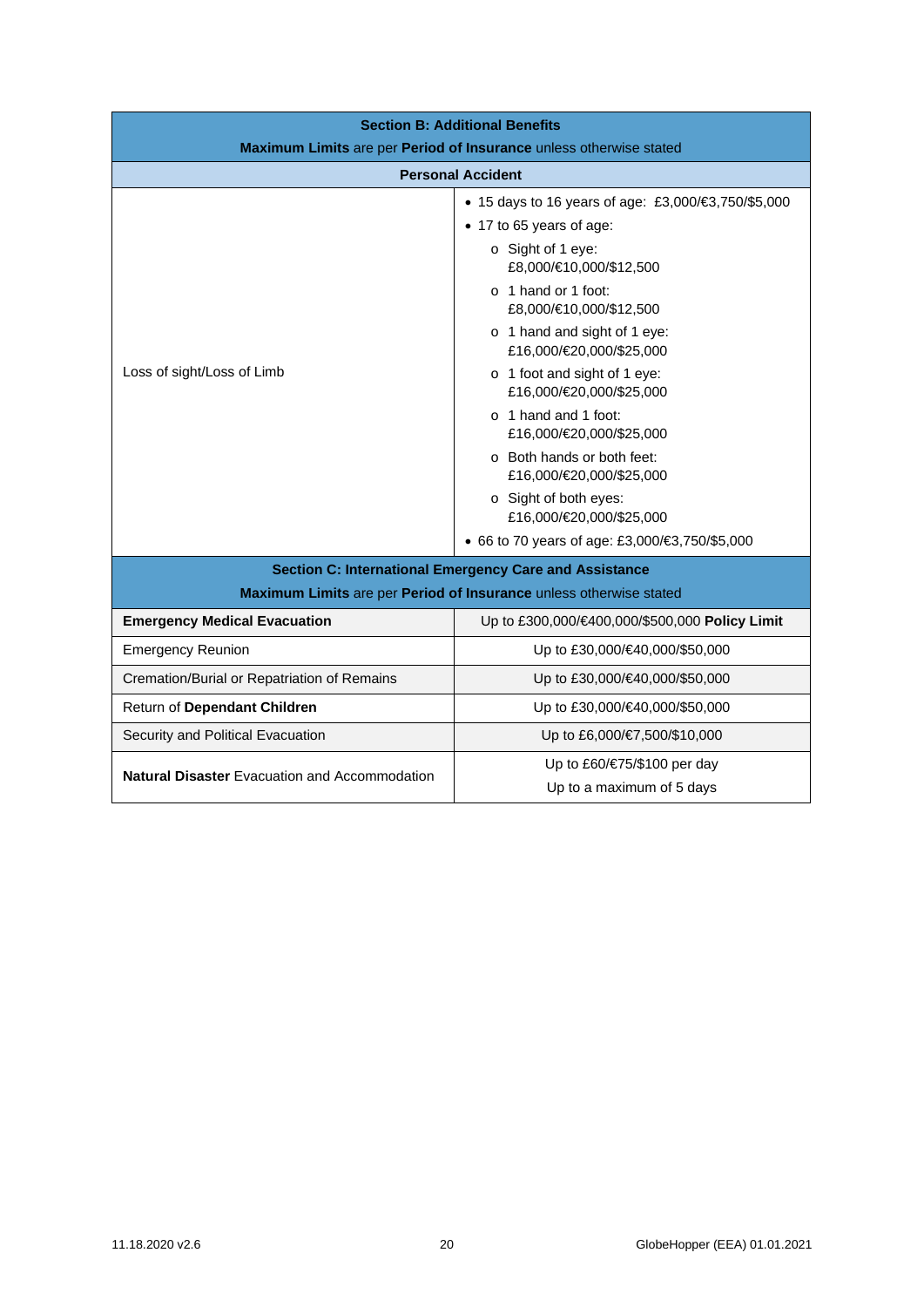| <b>Section B: Additional Benefits</b>                              |                                                                    |  |
|--------------------------------------------------------------------|--------------------------------------------------------------------|--|
| Maximum Limits are per Period of Insurance unless otherwise stated |                                                                    |  |
|                                                                    | <b>Personal Accident</b>                                           |  |
|                                                                    | • 15 days to 16 years of age: £3,000/€3,750/\$5,000                |  |
|                                                                    | • 17 to 65 years of age:                                           |  |
|                                                                    | $\circ$ Sight of 1 eye:<br>£8,000/€10,000/\$12,500                 |  |
| Loss of sight/Loss of Limb                                         | $\circ$ 1 hand or 1 foot:<br>£8,000/€10,000/\$12,500               |  |
|                                                                    | o 1 hand and sight of 1 eye:<br>£16,000/€20,000/\$25,000           |  |
|                                                                    | o 1 foot and sight of 1 eye:<br>£16,000/€20,000/\$25,000           |  |
|                                                                    | o 1 hand and 1 foot:<br>£16,000/€20,000/\$25,000                   |  |
|                                                                    | o Both hands or both feet:<br>£16,000/€20,000/\$25,000             |  |
|                                                                    | o Sight of both eyes:<br>£16,000/€20,000/\$25,000                  |  |
|                                                                    | ● 66 to 70 years of age: £3,000/€3,750/\$5,000                     |  |
| <b>Section C: International Emergency Care and Assistance</b>      |                                                                    |  |
|                                                                    | Maximum Limits are per Period of Insurance unless otherwise stated |  |
| <b>Emergency Medical Evacuation</b>                                | Up to £300,000/€400,000/\$500,000 Policy Limit                     |  |
| <b>Emergency Reunion</b>                                           | Up to £30,000/€40,000/\$50,000                                     |  |
| Cremation/Burial or Repatriation of Remains                        | Up to £30,000/€40,000/\$50,000                                     |  |
| Return of Dependant Children                                       | Up to £30,000/€40,000/\$50,000                                     |  |
| Security and Political Evacuation                                  | Up to £6,000/€7,500/\$10,000                                       |  |
| <b>Natural Disaster Evacuation and Accommodation</b>               | Up to £60/€75/\$100 per day                                        |  |
|                                                                    | Up to a maximum of 5 days                                          |  |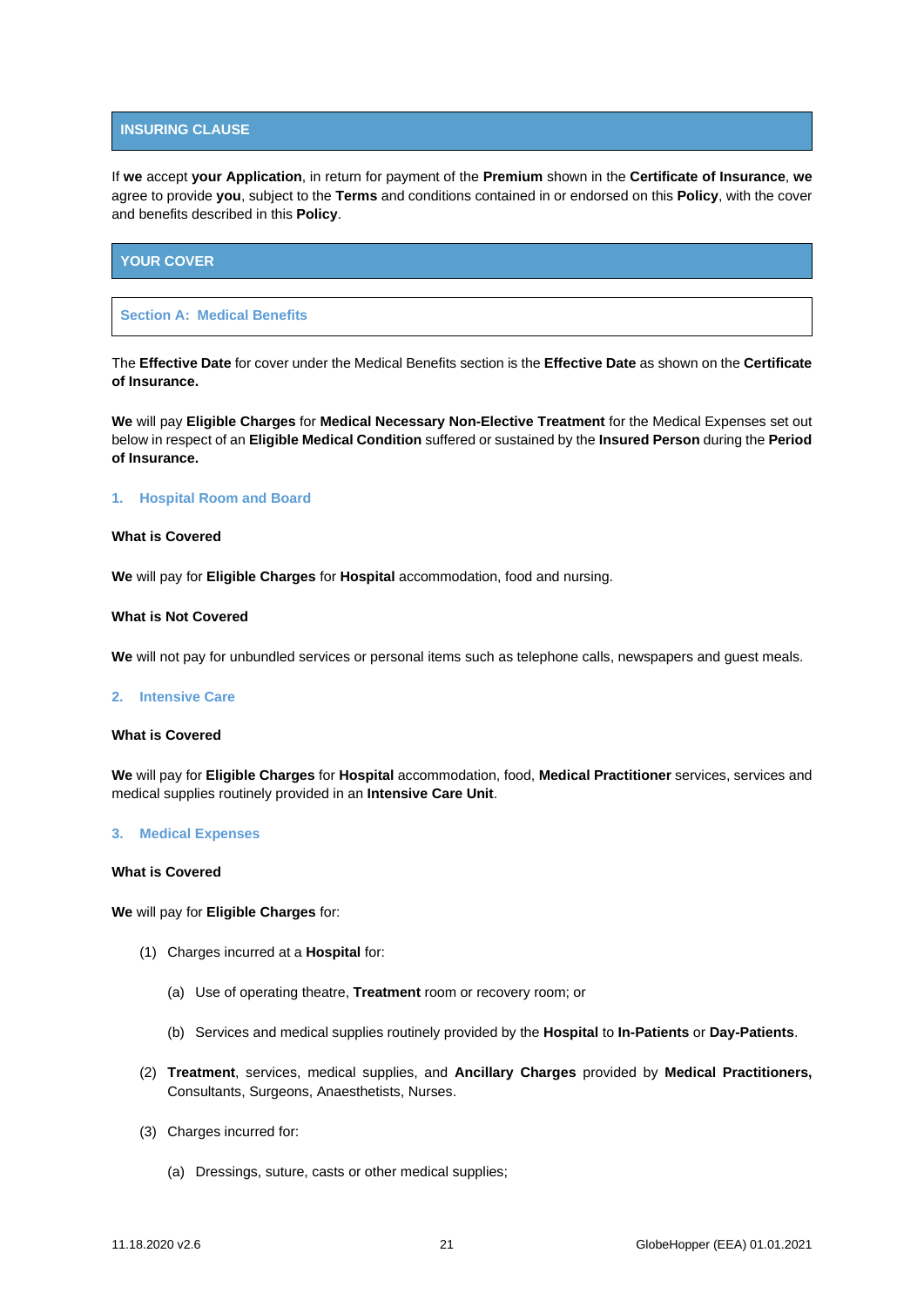## **INSURING CLAUSE**

If **we** accept **your Application**, in return for payment of the **Premium** shown in the **Certificate of Insurance**, **we**  agree to provide **you**, subject to the **Terms** and conditions contained in or endorsed on this **Policy**, with the cover and benefits described in this **Policy**.

# <span id="page-20-0"></span>**YOUR COVER**

## <span id="page-20-1"></span>**Section A: Medical Benefits**

The **Effective Date** for cover under the Medical Benefits section is the **Effective Date** as shown on the **Certificate of Insurance.**

**We** will pay **Eligible Charges** for **Medical Necessary Non-Elective Treatment** for the Medical Expenses set out below in respect of an **Eligible Medical Condition** suffered or sustained by the **Insured Person** during the **Period of Insurance.**

## **1. Hospital Room and Board**

## **What is Covered**

**We** will pay for **Eligible Charges** for **Hospital** accommodation, food and nursing.

#### **What is Not Covered**

**We** will not pay for unbundled services or personal items such as telephone calls, newspapers and guest meals.

#### **2. Intensive Care**

#### **What is Covered**

**We** will pay for **Eligible Charges** for **Hospital** accommodation, food, **Medical Practitioner** services, services and medical supplies routinely provided in an **Intensive Care Unit**.

#### **3. Medical Expenses**

#### **What is Covered**

**We** will pay for **Eligible Charges** for:

- (1) Charges incurred at a **Hospital** for:
	- (a) Use of operating theatre, **Treatment** room or recovery room; or
	- (b) Services and medical supplies routinely provided by the **Hospital** to **In-Patients** or **Day-Patients**.
- (2) **Treatment**, services, medical supplies, and **Ancillary Charges** provided by **Medical Practitioners,**  Consultants, Surgeons, Anaesthetists, Nurses.
- (3) Charges incurred for:
	- (a) Dressings, suture, casts or other medical supplies;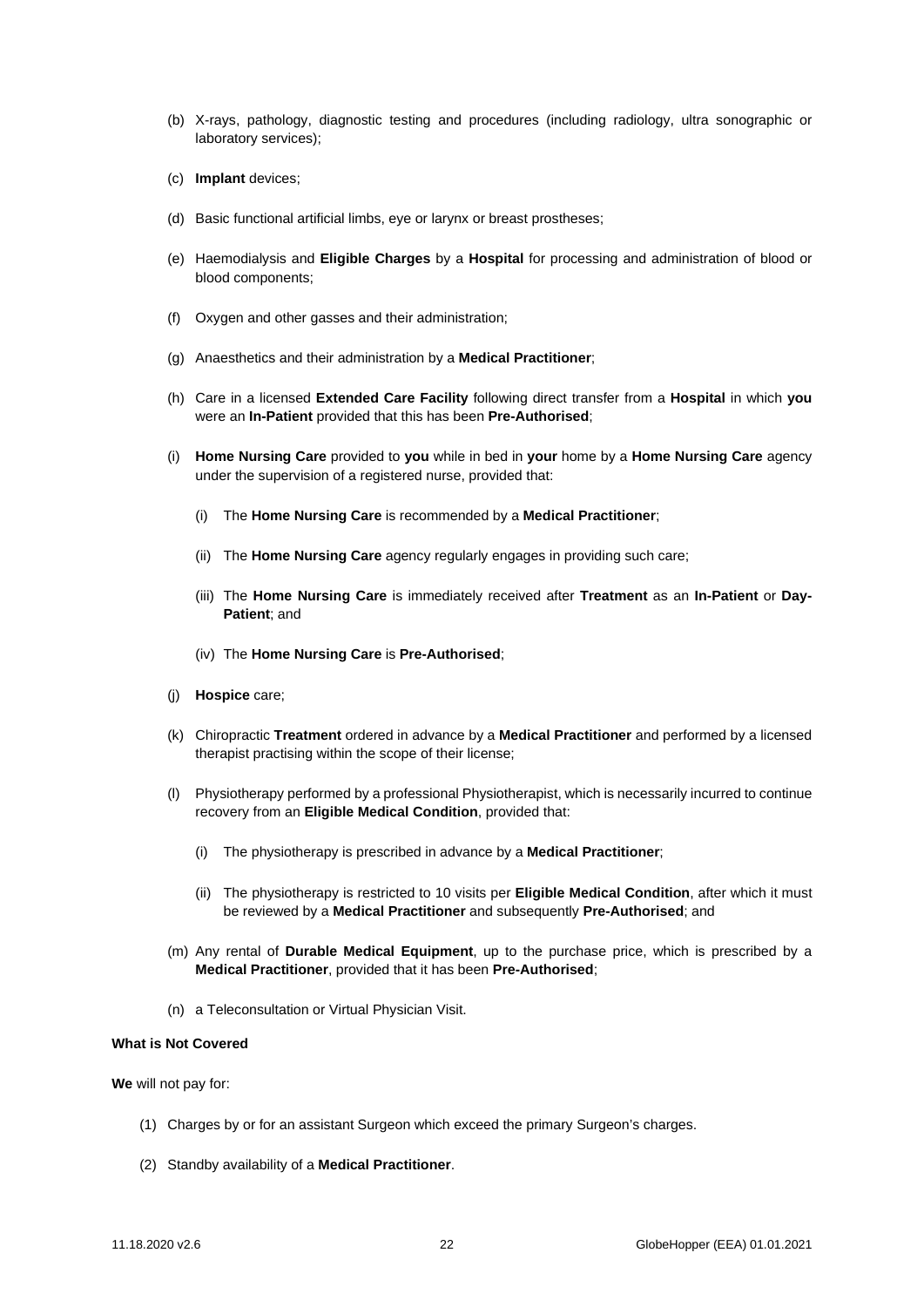- (b) X-rays, pathology, diagnostic testing and procedures (including radiology, ultra sonographic or laboratory services);
- (c) **Implant** devices;
- (d) Basic functional artificial limbs, eye or larynx or breast prostheses;
- (e) Haemodialysis and **Eligible Charges** by a **Hospital** for processing and administration of blood or blood components;
- (f) Oxygen and other gasses and their administration;
- (g) Anaesthetics and their administration by a **Medical Practitioner**;
- (h) Care in a licensed **Extended Care Facility** following direct transfer from a **Hospital** in which **you**  were an **In-Patient** provided that this has been **Pre-Authorised**;
- (i) **Home Nursing Care** provided to **you** while in bed in **your** home by a **Home Nursing Care** agency under the supervision of a registered nurse, provided that:
	- (i) The **Home Nursing Care** is recommended by a **Medical Practitioner**;
	- (ii) The **Home Nursing Care** agency regularly engages in providing such care;
	- (iii) The **Home Nursing Care** is immediately received after **Treatment** as an **In-Patient** or **Day-Patient**; and
	- (iv) The **Home Nursing Care** is **Pre-Authorised**;
- (j) **Hospice** care;
- (k) Chiropractic **Treatment** ordered in advance by a **Medical Practitioner** and performed by a licensed therapist practising within the scope of their license;
- (l) Physiotherapy performed by a professional Physiotherapist, which is necessarily incurred to continue recovery from an **Eligible Medical Condition**, provided that:
	- (i) The physiotherapy is prescribed in advance by a **Medical Practitioner**;
	- (ii) The physiotherapy is restricted to 10 visits per **Eligible Medical Condition**, after which it must be reviewed by a **Medical Practitioner** and subsequently **Pre-Authorised**; and
- (m) Any rental of **Durable Medical Equipment**, up to the purchase price, which is prescribed by a **Medical Practitioner**, provided that it has been **Pre-Authorised**;
- (n) a Teleconsultation or Virtual Physician Visit.

## **What is Not Covered**

**We** will not pay for:

- (1) Charges by or for an assistant Surgeon which exceed the primary Surgeon's charges.
- (2) Standby availability of a **Medical Practitioner**.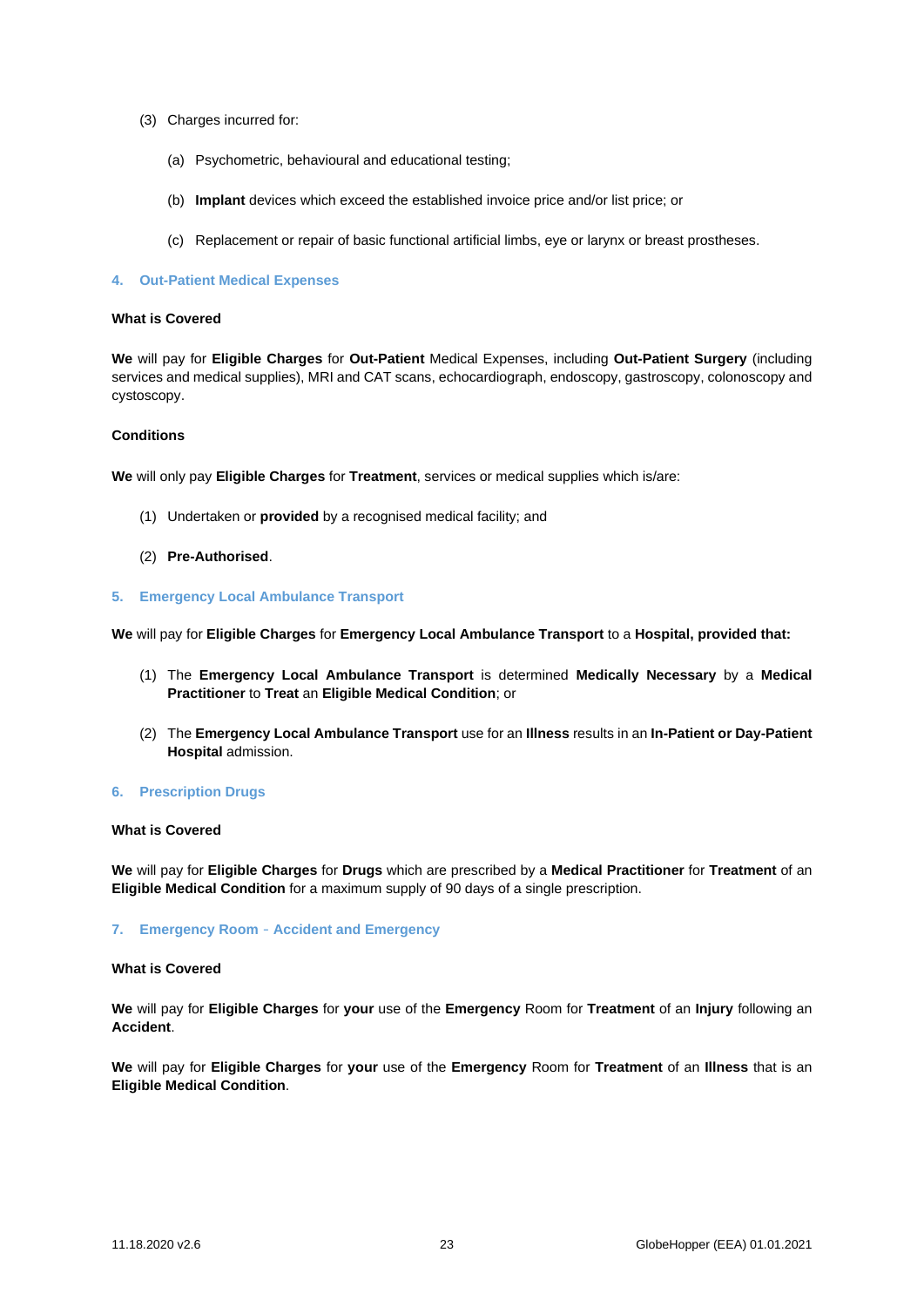- (3) Charges incurred for:
	- (a) Psychometric, behavioural and educational testing;
	- (b) **Implant** devices which exceed the established invoice price and/or list price; or
	- (c) Replacement or repair of basic functional artificial limbs, eye or larynx or breast prostheses.

## **4. Out-Patient Medical Expenses**

## **What is Covered**

**We** will pay for **Eligible Charges** for **Out-Patient** Medical Expenses, including **Out-Patient Surgery** (including services and medical supplies), MRI and CAT scans, echocardiograph, endoscopy, gastroscopy, colonoscopy and cystoscopy.

## **Conditions**

**We** will only pay **Eligible Charges** for **Treatment**, services or medical supplies which is/are:

- (1) Undertaken or **provided** by a recognised medical facility; and
- (2) **Pre-Authorised**.
- **5. Emergency Local Ambulance Transport**

**We** will pay for **Eligible Charges** for **Emergency Local Ambulance Transport** to a **Hospital, provided that:**

- (1) The **Emergency Local Ambulance Transport** is determined **Medically Necessary** by a **Medical Practitioner** to **Treat** an **Eligible Medical Condition**; or
- (2) The **Emergency Local Ambulance Transport** use for an **Illness** results in an **In-Patient or Day-Patient Hospital** admission.

# **6. Prescription Drugs**

## **What is Covered**

**We** will pay for **Eligible Charges** for **Drugs** which are prescribed by a **Medical Practitioner** for **Treatment** of an **Eligible Medical Condition** for a maximum supply of 90 days of a single prescription.

## **7. Emergency Room** – **Accident and Emergency**

## **What is Covered**

**We** will pay for **Eligible Charges** for **your** use of the **Emergency** Room for **Treatment** of an **Injury** following an **Accident**.

**We** will pay for **Eligible Charges** for **your** use of the **Emergency** Room for **Treatment** of an **Illness** that is an **Eligible Medical Condition**.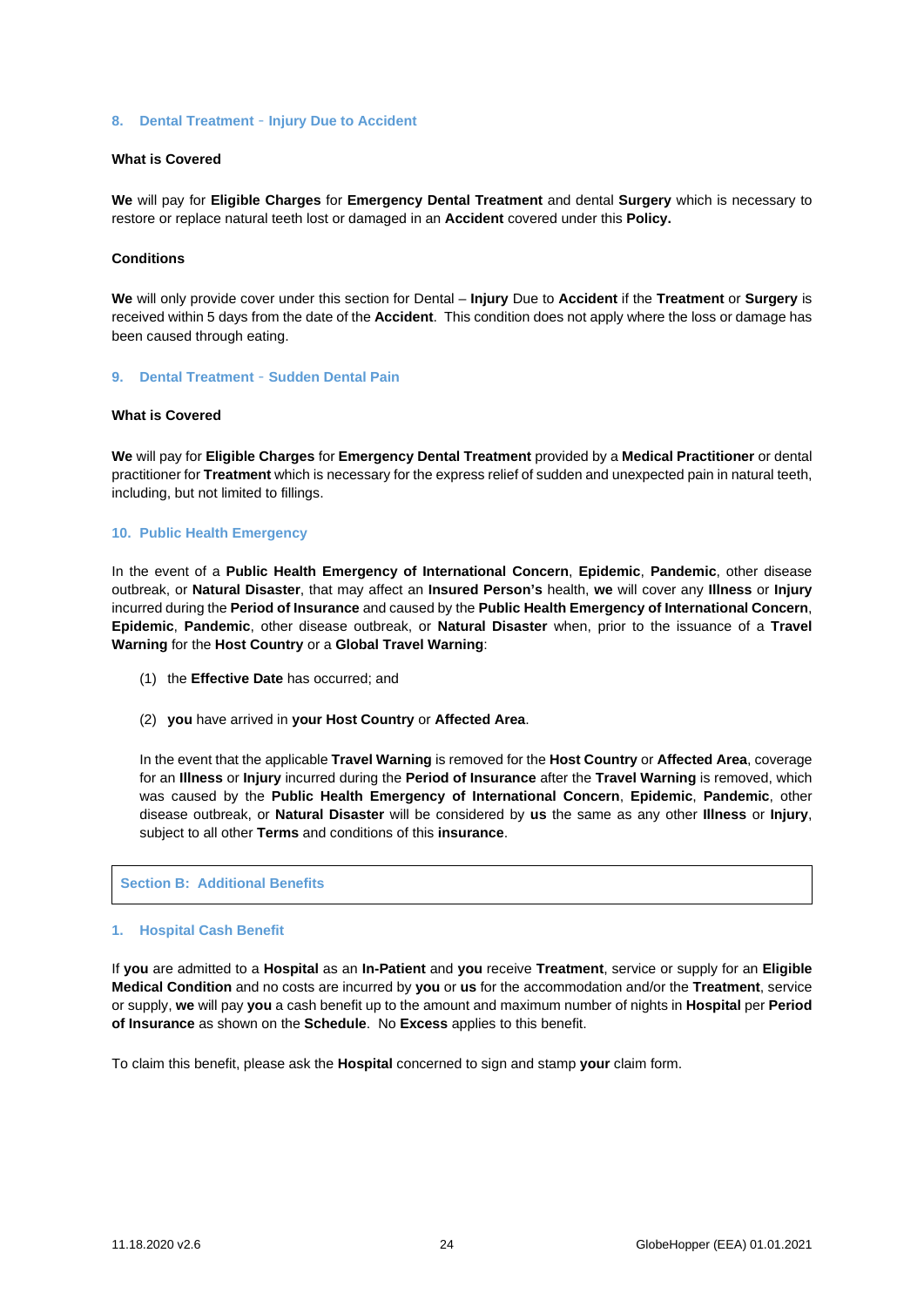## **8. Dental Treatment** – **Injury Due to Accident**

# **What is Covered**

**We** will pay for **Eligible Charges** for **Emergency Dental Treatment** and dental **Surgery** which is necessary to restore or replace natural teeth lost or damaged in an **Accident** covered under this **Policy.**

## **Conditions**

**We** will only provide cover under this section for Dental – **Injury** Due to **Accident** if the **Treatment** or **Surgery** is received within 5 days from the date of the **Accident**. This condition does not apply where the loss or damage has been caused through eating.

#### **9. Dental Treatment** – **Sudden Dental Pain**

#### **What is Covered**

**We** will pay for **Eligible Charges** for **Emergency Dental Treatment** provided by a **Medical Practitioner** or dental practitioner for **Treatment** which is necessary for the express relief of sudden and unexpected pain in natural teeth, including, but not limited to fillings.

#### **10. Public Health Emergency**

In the event of a **Public Health Emergency of International Concern**, **Epidemic**, **Pandemic**, other disease outbreak, or **Natural Disaster**, that may affect an **Insured Person's** health, **we** will cover any **Illness** or **Injury** incurred during the **Period of Insurance** and caused by the **Public Health Emergency of International Concern**, **Epidemic**, **Pandemic**, other disease outbreak, or **Natural Disaster** when, prior to the issuance of a **Travel Warning** for the **Host Country** or a **Global Travel Warning**:

- (1) the **Effective Date** has occurred; and
- (2) **you** have arrived in **your Host Country** or **Affected Area**.

In the event that the applicable **Travel Warning** is removed for the **Host Country** or **Affected Area**, coverage for an **Illness** or **Injury** incurred during the **Period of Insurance** after the **Travel Warning** is removed, which was caused by the **Public Health Emergency of International Concern**, **Epidemic**, **Pandemic**, other disease outbreak, or **Natural Disaster** will be considered by **us** the same as any other **Illness** or **Injury**, subject to all other **Terms** and conditions of this **insurance**.

<span id="page-23-0"></span>**Section B: Additional Benefits**

#### **1. Hospital Cash Benefit**

If **you** are admitted to a **Hospital** as an **In-Patient** and **you** receive **Treatment**, service or supply for an **Eligible Medical Condition** and no costs are incurred by **you** or **us** for the accommodation and/or the **Treatment**, service or supply, **we** will pay **you** a cash benefit up to the amount and maximum number of nights in **Hospital** per **Period of Insurance** as shown on the **Schedule**. No **Excess** applies to this benefit.

To claim this benefit, please ask the **Hospital** concerned to sign and stamp **your** claim form.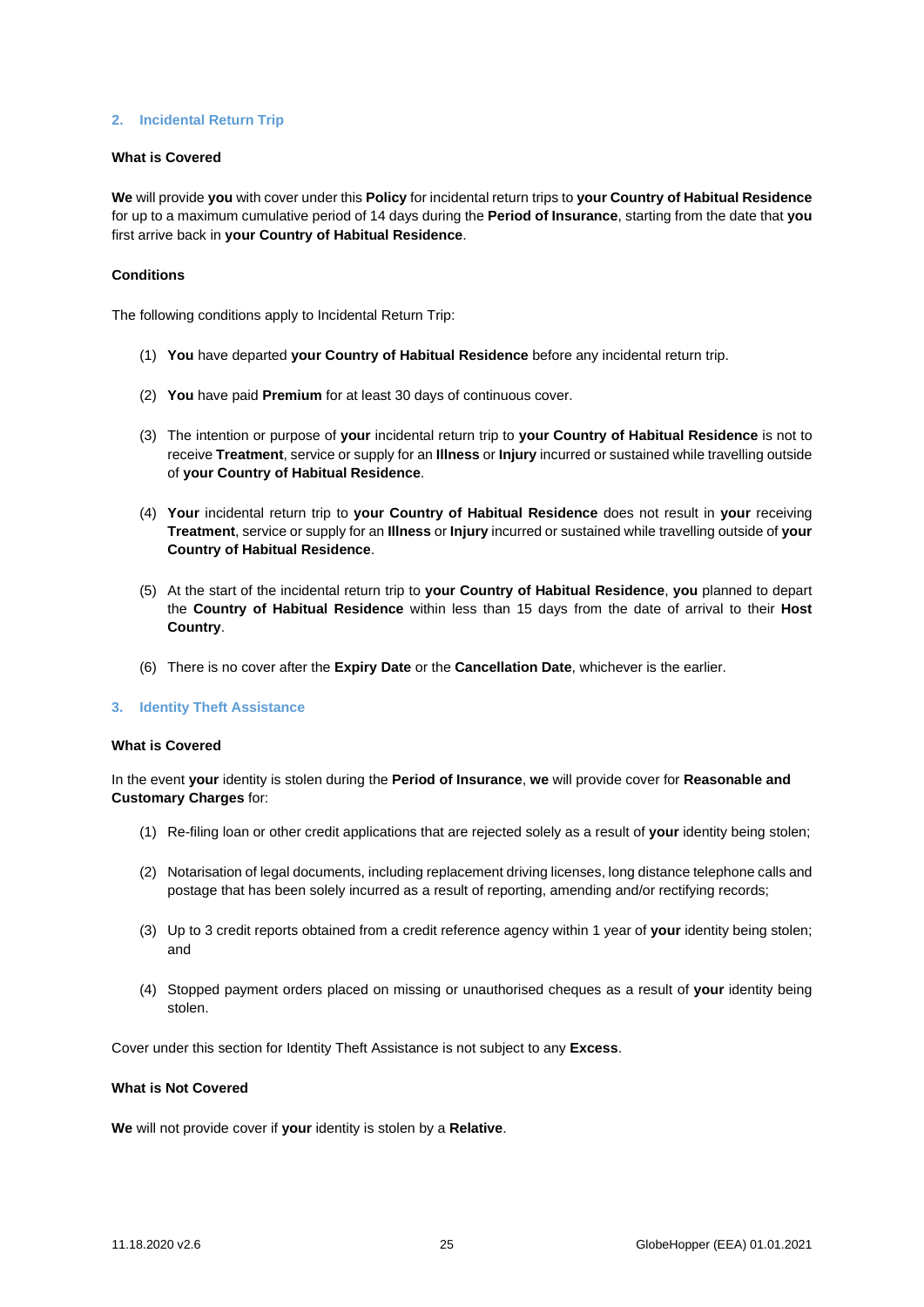## **2. Incidental Return Trip**

### **What is Covered**

**We** will provide **you** with cover under this **Policy** for incidental return trips to **your Country of Habitual Residence** for up to a maximum cumulative period of 14 days during the **Period of Insurance**, starting from the date that **you**  first arrive back in **your Country of Habitual Residence**.

## **Conditions**

The following conditions apply to Incidental Return Trip:

- (1) **You** have departed **your Country of Habitual Residence** before any incidental return trip.
- (2) **You** have paid **Premium** for at least 30 days of continuous cover.
- (3) The intention or purpose of **your** incidental return trip to **your Country of Habitual Residence** is not to receive **Treatment**, service or supply for an **Illness** or **Injury** incurred or sustained while travelling outside of **your Country of Habitual Residence**.
- (4) **Your** incidental return trip to **your Country of Habitual Residence** does not result in **your** receiving **Treatment**, service or supply for an **Illness** or **Injury** incurred or sustained while travelling outside of **your Country of Habitual Residence**.
- (5) At the start of the incidental return trip to **your Country of Habitual Residence**, **you** planned to depart the **Country of Habitual Residence** within less than 15 days from the date of arrival to their **Host Country**.
- (6) There is no cover after the **Expiry Date** or the **Cancellation Date**, whichever is the earlier.

## **3. Identity Theft Assistance**

## **What is Covered**

In the event **your** identity is stolen during the **Period of Insurance**, **we** will provide cover for **Reasonable and Customary Charges** for:

- (1) Re-filing loan or other credit applications that are rejected solely as a result of **your** identity being stolen;
- (2) Notarisation of legal documents, including replacement driving licenses, long distance telephone calls and postage that has been solely incurred as a result of reporting, amending and/or rectifying records;
- (3) Up to 3 credit reports obtained from a credit reference agency within 1 year of **your** identity being stolen; and
- (4) Stopped payment orders placed on missing or unauthorised cheques as a result of **your** identity being stolen.

Cover under this section for Identity Theft Assistance is not subject to any **Excess**.

## **What is Not Covered**

**We** will not provide cover if **your** identity is stolen by a **Relative**.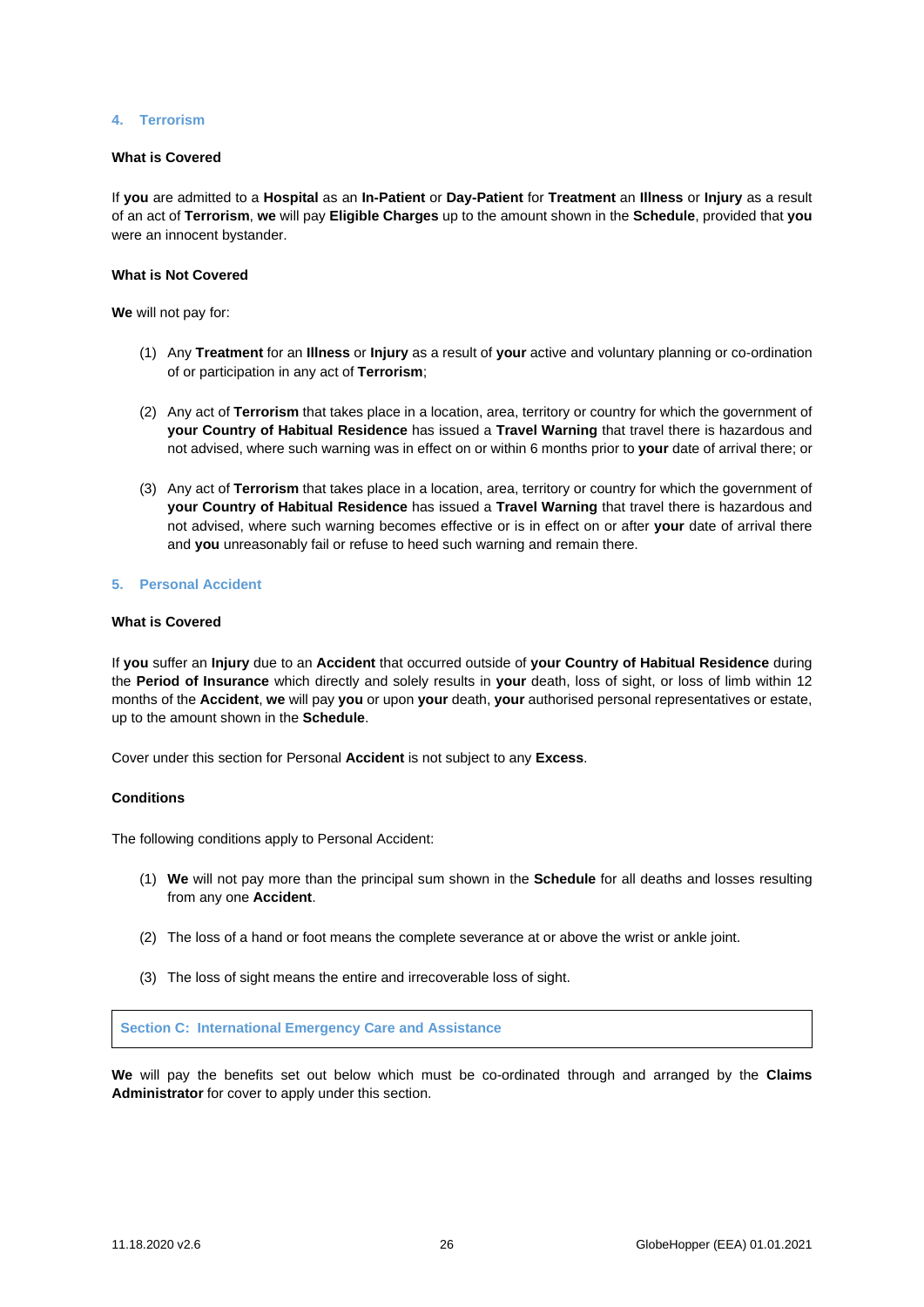## **4. Terrorism**

## **What is Covered**

If **you** are admitted to a **Hospital** as an **In-Patient** or **Day-Patient** for **Treatment** an **Illness** or **Injury** as a result of an act of **Terrorism**, **we** will pay **Eligible Charges** up to the amount shown in the **Schedule**, provided that **you** were an innocent bystander.

## **What is Not Covered**

**We** will not pay for:

- (1) Any **Treatment** for an **Illness** or **Injury** as a result of **your** active and voluntary planning or co-ordination of or participation in any act of **Terrorism**;
- (2) Any act of **Terrorism** that takes place in a location, area, territory or country for which the government of **your Country of Habitual Residence** has issued a **Travel Warning** that travel there is hazardous and not advised, where such warning was in effect on or within 6 months prior to **your** date of arrival there; or
- (3) Any act of **Terrorism** that takes place in a location, area, territory or country for which the government of **your Country of Habitual Residence** has issued a **Travel Warning** that travel there is hazardous and not advised, where such warning becomes effective or is in effect on or after **your** date of arrival there and **you** unreasonably fail or refuse to heed such warning and remain there.

## **5. Personal Accident**

#### **What is Covered**

If **you** suffer an **Injury** due to an **Accident** that occurred outside of **your Country of Habitual Residence** during the **Period of Insurance** which directly and solely results in **your** death, loss of sight, or loss of limb within 12 months of the **Accident**, **we** will pay **you** or upon **your** death, **your** authorised personal representatives or estate, up to the amount shown in the **Schedule**.

Cover under this section for Personal **Accident** is not subject to any **Excess**.

#### **Conditions**

The following conditions apply to Personal Accident:

- (1) **We** will not pay more than the principal sum shown in the **Schedule** for all deaths and losses resulting from any one **Accident**.
- (2) The loss of a hand or foot means the complete severance at or above the wrist or ankle joint.
- (3) The loss of sight means the entire and irrecoverable loss of sight.

<span id="page-25-0"></span>**Section C: International Emergency Care and Assistance**

**We** will pay the benefits set out below which must be co-ordinated through and arranged by the **Claims Administrator** for cover to apply under this section.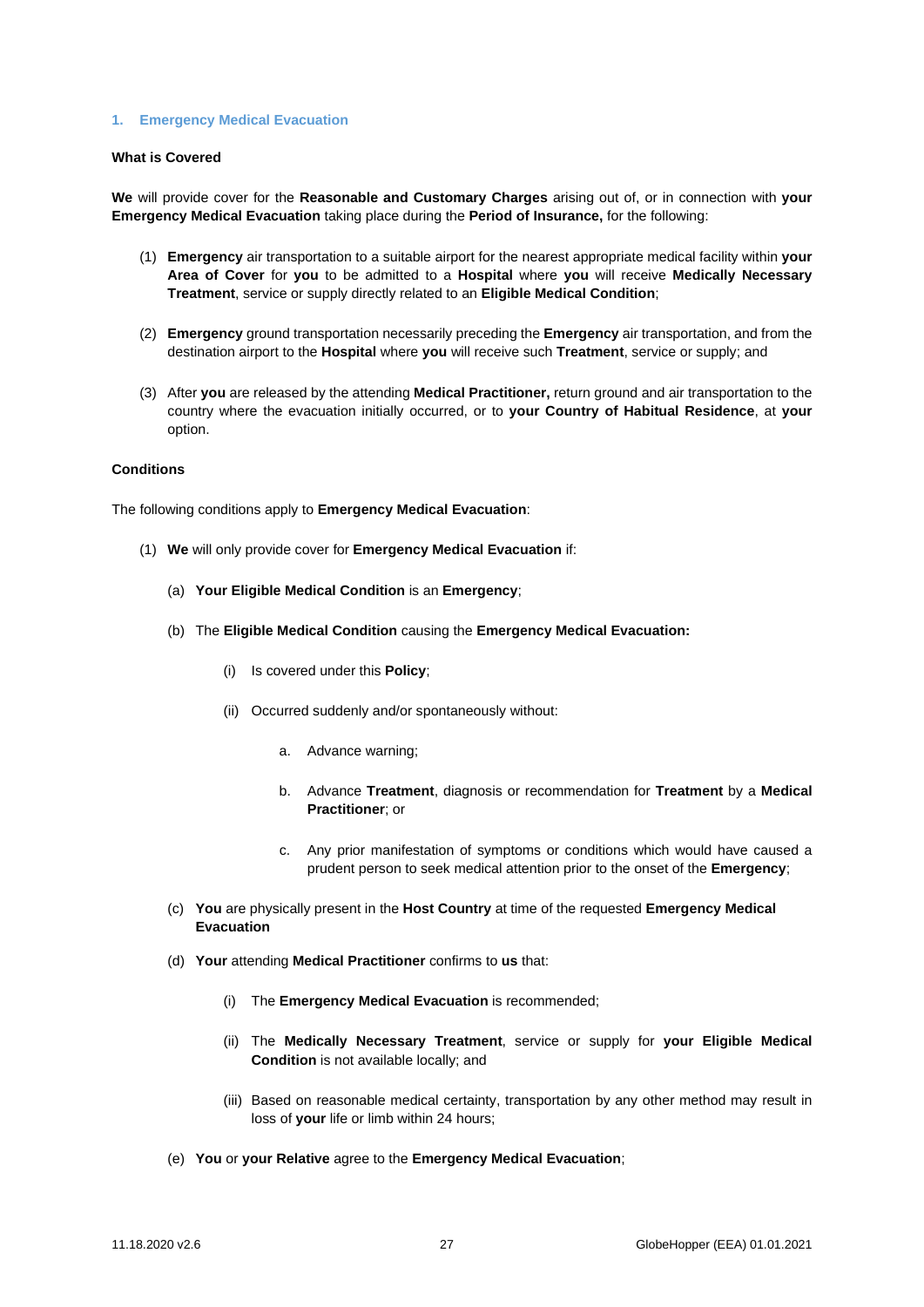#### **1. Emergency Medical Evacuation**

# **What is Covered**

**We** will provide cover for the **Reasonable and Customary Charges** arising out of, or in connection with **your Emergency Medical Evacuation** taking place during the **Period of Insurance,** for the following:

- (1) **Emergency** air transportation to a suitable airport for the nearest appropriate medical facility within **your Area of Cover** for **you** to be admitted to a **Hospital** where **you** will receive **Medically Necessary Treatment**, service or supply directly related to an **Eligible Medical Condition**;
- (2) **Emergency** ground transportation necessarily preceding the **Emergency** air transportation, and from the destination airport to the **Hospital** where **you** will receive such **Treatment**, service or supply; and
- (3) After **you** are released by the attending **Medical Practitioner,** return ground and air transportation to the country where the evacuation initially occurred, or to **your Country of Habitual Residence**, at **your**  option.

## **Conditions**

The following conditions apply to **Emergency Medical Evacuation**:

- (1) **We** will only provide cover for **Emergency Medical Evacuation** if:
	- (a) **Your Eligible Medical Condition** is an **Emergency**;
	- (b) The **Eligible Medical Condition** causing the **Emergency Medical Evacuation:**
		- (i) Is covered under this **Policy**;
		- (ii) Occurred suddenly and/or spontaneously without:
			- a. Advance warning;
			- b. Advance **Treatment**, diagnosis or recommendation for **Treatment** by a **Medical Practitioner**; or
			- c. Any prior manifestation of symptoms or conditions which would have caused a prudent person to seek medical attention prior to the onset of the **Emergency**;
	- (c) **You** are physically present in the **Host Country** at time of the requested **Emergency Medical Evacuation**
	- (d) **Your** attending **Medical Practitioner** confirms to **us** that:
		- (i) The **Emergency Medical Evacuation** is recommended;
		- (ii) The **Medically Necessary Treatment**, service or supply for **your Eligible Medical Condition** is not available locally; and
		- (iii) Based on reasonable medical certainty, transportation by any other method may result in loss of **your** life or limb within 24 hours;
	- (e) **You** or **your Relative** agree to the **Emergency Medical Evacuation**;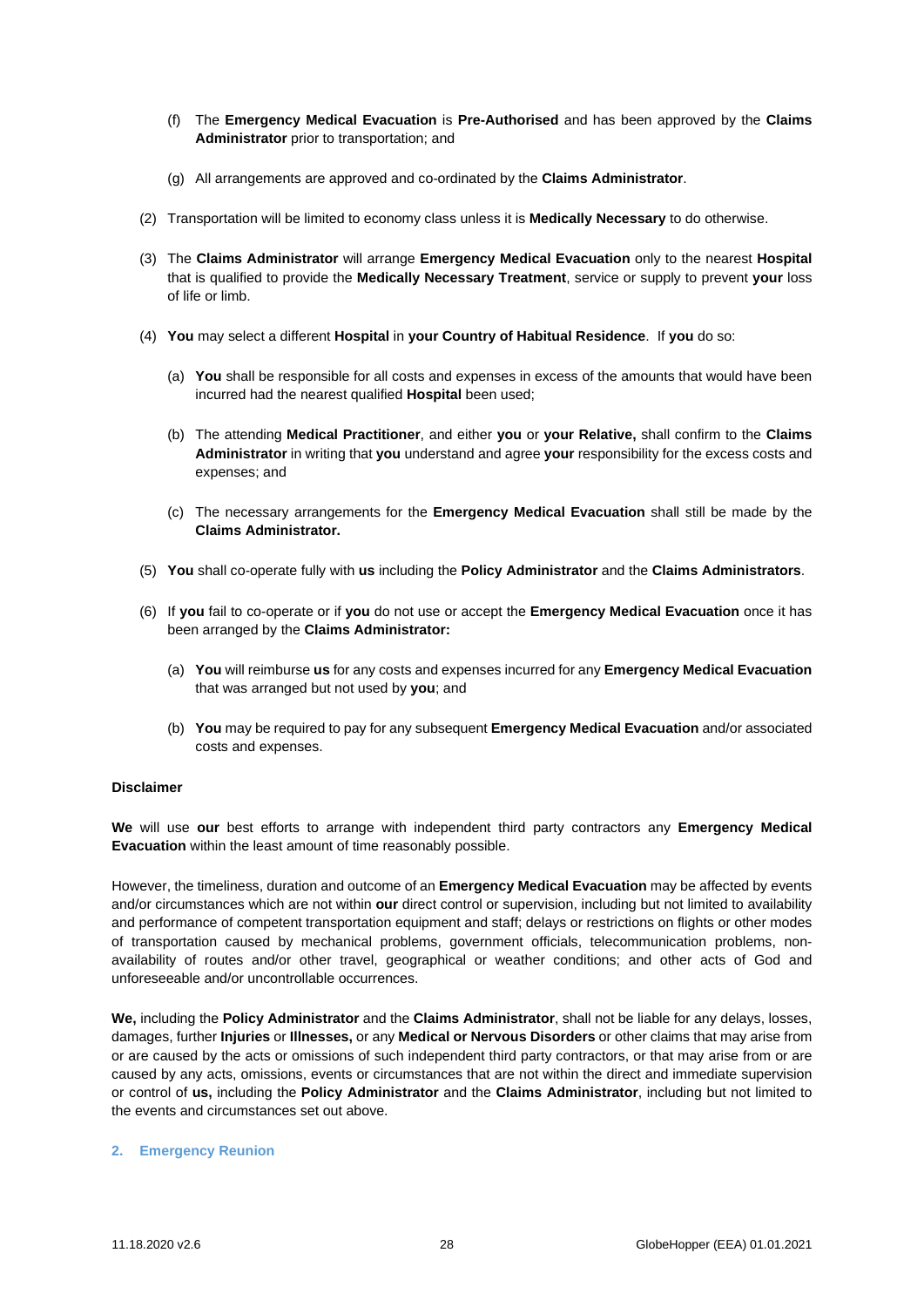- (f) The **Emergency Medical Evacuation** is **Pre-Authorised** and has been approved by the **Claims Administrator** prior to transportation; and
- (g) All arrangements are approved and co-ordinated by the **Claims Administrator**.
- (2) Transportation will be limited to economy class unless it is **Medically Necessary** to do otherwise.
- (3) The **Claims Administrator** will arrange **Emergency Medical Evacuation** only to the nearest **Hospital** that is qualified to provide the **Medically Necessary Treatment**, service or supply to prevent **your** loss of life or limb.
- (4) **You** may select a different **Hospital** in **your Country of Habitual Residence**. If **you** do so:
	- (a) **You** shall be responsible for all costs and expenses in excess of the amounts that would have been incurred had the nearest qualified **Hospital** been used;
	- (b) The attending **Medical Practitioner**, and either **you** or **your Relative,** shall confirm to the **Claims Administrator** in writing that **you** understand and agree **your** responsibility for the excess costs and expenses; and
	- (c) The necessary arrangements for the **Emergency Medical Evacuation** shall still be made by the **Claims Administrator.**
- (5) **You** shall co-operate fully with **us** including the **Policy Administrator** and the **Claims Administrators**.
- (6) If **you** fail to co-operate or if **you** do not use or accept the **Emergency Medical Evacuation** once it has been arranged by the **Claims Administrator:**
	- (a) **You** will reimburse **us** for any costs and expenses incurred for any **Emergency Medical Evacuation**  that was arranged but not used by **you**; and
	- (b) **You** may be required to pay for any subsequent **Emergency Medical Evacuation** and/or associated costs and expenses.

## **Disclaimer**

**We** will use **our** best efforts to arrange with independent third party contractors any **Emergency Medical Evacuation** within the least amount of time reasonably possible.

However, the timeliness, duration and outcome of an **Emergency Medical Evacuation** may be affected by events and/or circumstances which are not within **our** direct control or supervision, including but not limited to availability and performance of competent transportation equipment and staff; delays or restrictions on flights or other modes of transportation caused by mechanical problems, government officials, telecommunication problems, nonavailability of routes and/or other travel, geographical or weather conditions; and other acts of God and unforeseeable and/or uncontrollable occurrences.

**We,** including the **Policy Administrator** and the **Claims Administrator**, shall not be liable for any delays, losses, damages, further **Injuries** or **Illnesses,** or any **Medical or Nervous Disorders** or other claims that may arise from or are caused by the acts or omissions of such independent third party contractors, or that may arise from or are caused by any acts, omissions, events or circumstances that are not within the direct and immediate supervision or control of **us,** including the **Policy Administrator** and the **Claims Administrator**, including but not limited to the events and circumstances set out above.

## **2. Emergency Reunion**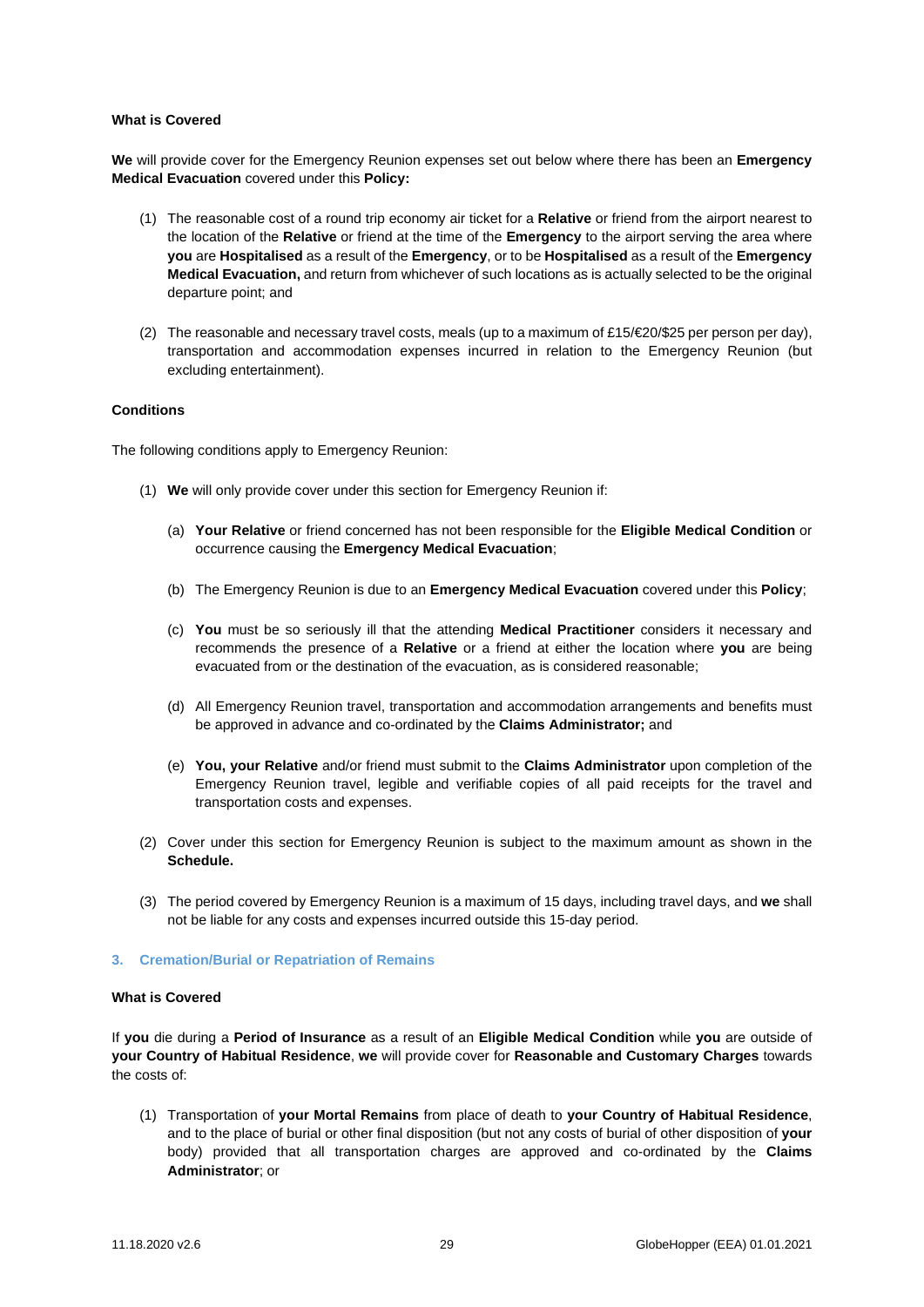## **What is Covered**

**We** will provide cover for the Emergency Reunion expenses set out below where there has been an **Emergency Medical Evacuation** covered under this **Policy:**

- (1) The reasonable cost of a round trip economy air ticket for a **Relative** or friend from the airport nearest to the location of the **Relative** or friend at the time of the **Emergency** to the airport serving the area where **you** are **Hospitalised** as a result of the **Emergency**, or to be **Hospitalised** as a result of the **Emergency Medical Evacuation,** and return from whichever of such locations as is actually selected to be the original departure point; and
- (2) The reasonable and necessary travel costs, meals (up to a maximum of £15/ $\epsilon$ 20/\$25 per person per day), transportation and accommodation expenses incurred in relation to the Emergency Reunion (but excluding entertainment).

## **Conditions**

The following conditions apply to Emergency Reunion:

- (1) **We** will only provide cover under this section for Emergency Reunion if:
	- (a) **Your Relative** or friend concerned has not been responsible for the **Eligible Medical Condition** or occurrence causing the **Emergency Medical Evacuation**;
	- (b) The Emergency Reunion is due to an **Emergency Medical Evacuation** covered under this **Policy**;
	- (c) **You** must be so seriously ill that the attending **Medical Practitioner** considers it necessary and recommends the presence of a **Relative** or a friend at either the location where **you** are being evacuated from or the destination of the evacuation, as is considered reasonable;
	- (d) All Emergency Reunion travel, transportation and accommodation arrangements and benefits must be approved in advance and co-ordinated by the **Claims Administrator;** and
	- (e) **You, your Relative** and/or friend must submit to the **Claims Administrator** upon completion of the Emergency Reunion travel, legible and verifiable copies of all paid receipts for the travel and transportation costs and expenses.
- (2) Cover under this section for Emergency Reunion is subject to the maximum amount as shown in the **Schedule.**
- (3) The period covered by Emergency Reunion is a maximum of 15 days, including travel days, and **we** shall not be liable for any costs and expenses incurred outside this 15-day period.

## **3. Cremation/Burial or Repatriation of Remains**

#### **What is Covered**

If **you** die during a **Period of Insurance** as a result of an **Eligible Medical Condition** while **you** are outside of **your Country of Habitual Residence**, **we** will provide cover for **Reasonable and Customary Charges** towards the costs of:

(1) Transportation of **your Mortal Remains** from place of death to **your Country of Habitual Residence**, and to the place of burial or other final disposition (but not any costs of burial of other disposition of **your**  body) provided that all transportation charges are approved and co-ordinated by the **Claims Administrator**; or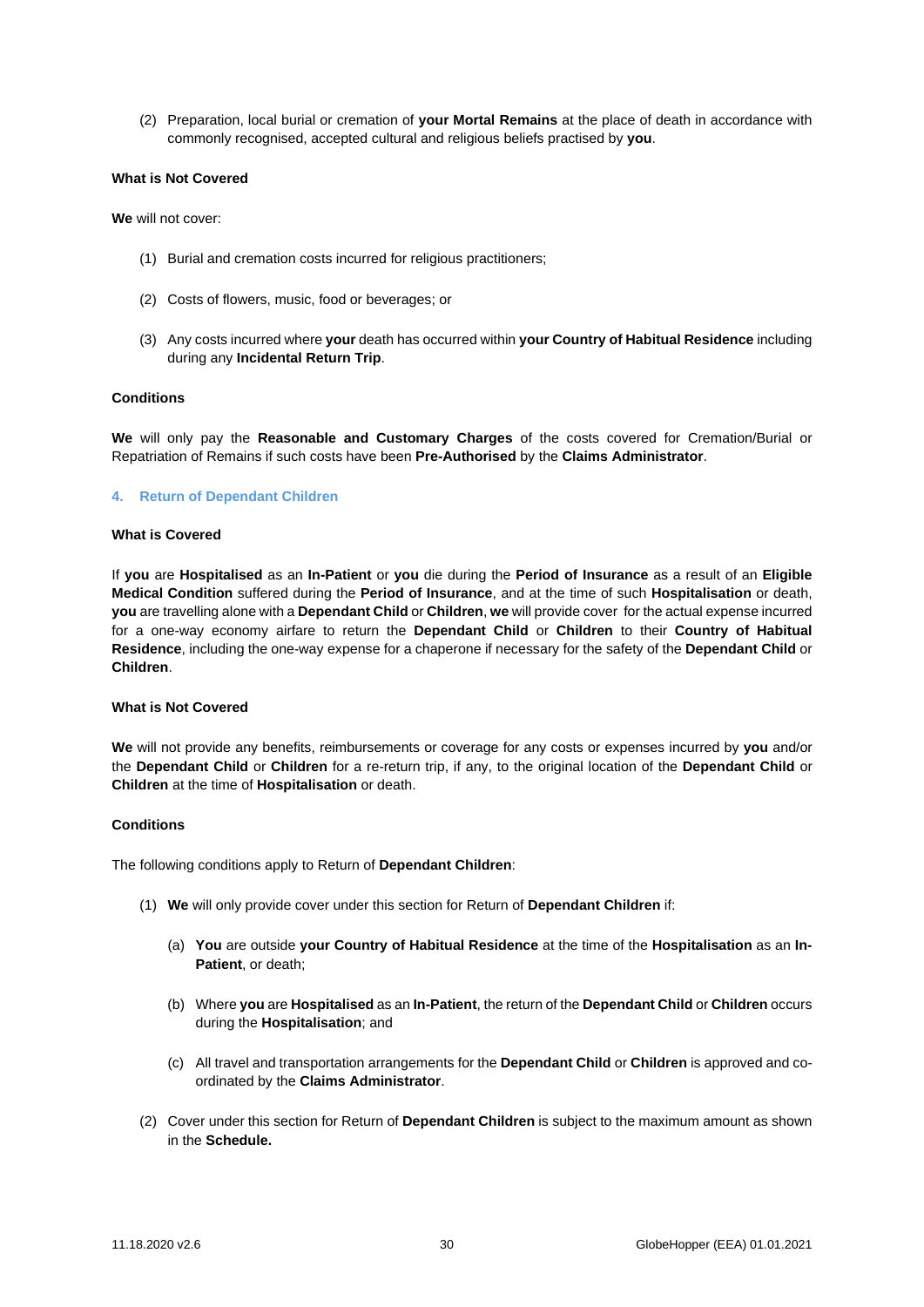(2) Preparation, local burial or cremation of **your Mortal Remains** at the place of death in accordance with commonly recognised, accepted cultural and religious beliefs practised by **you**.

## **What is Not Covered**

**We** will not cover:

- (1) Burial and cremation costs incurred for religious practitioners;
- (2) Costs of flowers, music, food or beverages; or
- (3) Any costs incurred where **your** death has occurred within **your Country of Habitual Residence** including during any **Incidental Return Trip**.

## **Conditions**

**We** will only pay the **Reasonable and Customary Charges** of the costs covered for Cremation/Burial or Repatriation of Remains if such costs have been **Pre-Authorised** by the **Claims Administrator**.

#### **4. Return of Dependant Children**

#### **What is Covered**

If **you** are **Hospitalised** as an **In-Patient** or **you** die during the **Period of Insurance** as a result of an **Eligible Medical Condition** suffered during the **Period of Insurance**, and at the time of such **Hospitalisation** or death, **you** are travelling alone with a **Dependant Child** or **Children**, **we** will provide cover for the actual expense incurred for a one-way economy airfare to return the **Dependant Child** or **Children** to their **Country of Habitual Residence**, including the one-way expense for a chaperone if necessary for the safety of the **Dependant Child** or **Children**.

## **What is Not Covered**

**We** will not provide any benefits, reimbursements or coverage for any costs or expenses incurred by **you** and/or the **Dependant Child** or **Children** for a re-return trip, if any, to the original location of the **Dependant Child** or **Children** at the time of **Hospitalisation** or death.

## **Conditions**

The following conditions apply to Return of **Dependant Children**:

- (1) **We** will only provide cover under this section for Return of **Dependant Children** if:
	- (a) **You** are outside **your Country of Habitual Residence** at the time of the **Hospitalisation** as an **In-Patient**, or death;
	- (b) Where **you** are **Hospitalised** as an **In-Patient**, the return of the **Dependant Child** or **Children** occurs during the **Hospitalisation**; and
	- (c) All travel and transportation arrangements for the **Dependant Child** or **Children** is approved and coordinated by the **Claims Administrator**.
- (2) Cover under this section for Return of **Dependant Children** is subject to the maximum amount as shown in the **Schedule.**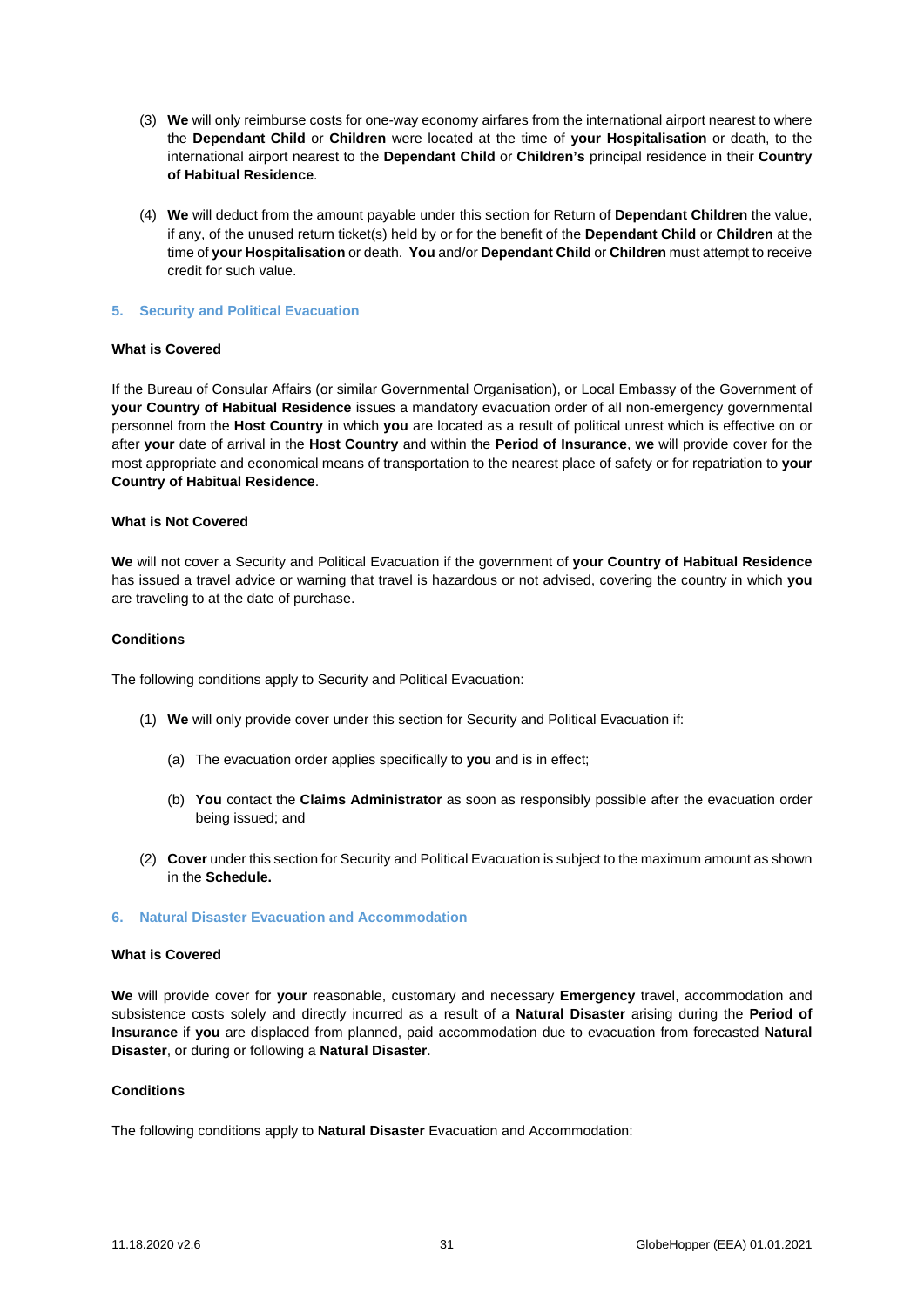- (3) **We** will only reimburse costs for one-way economy airfares from the international airport nearest to where the **Dependant Child** or **Children** were located at the time of **your Hospitalisation** or death, to the international airport nearest to the **Dependant Child** or **Children's** principal residence in their **Country of Habitual Residence**.
- (4) **We** will deduct from the amount payable under this section for Return of **Dependant Children** the value, if any, of the unused return ticket(s) held by or for the benefit of the **Dependant Child** or **Children** at the time of **your Hospitalisation** or death. **You** and/or **Dependant Child** or **Children** must attempt to receive credit for such value.

## **5. Security and Political Evacuation**

## **What is Covered**

If the Bureau of Consular Affairs (or similar Governmental Organisation), or Local Embassy of the Government of **your Country of Habitual Residence** issues a mandatory evacuation order of all non-emergency governmental personnel from the **Host Country** in which **you** are located as a result of political unrest which is effective on or after **your** date of arrival in the **Host Country** and within the **Period of Insurance**, **we** will provide cover for the most appropriate and economical means of transportation to the nearest place of safety or for repatriation to **your Country of Habitual Residence**.

## **What is Not Covered**

**We** will not cover a Security and Political Evacuation if the government of **your Country of Habitual Residence** has issued a travel advice or warning that travel is hazardous or not advised, covering the country in which **you**  are traveling to at the date of purchase.

# **Conditions**

The following conditions apply to Security and Political Evacuation:

- (1) **We** will only provide cover under this section for Security and Political Evacuation if:
	- (a) The evacuation order applies specifically to **you** and is in effect;
	- (b) **You** contact the **Claims Administrator** as soon as responsibly possible after the evacuation order being issued; and
- (2) **Cover** under this section for Security and Political Evacuation is subject to the maximum amount as shown in the **Schedule.**
- **6. Natural Disaster Evacuation and Accommodation**

## **What is Covered**

**We** will provide cover for **your** reasonable, customary and necessary **Emergency** travel, accommodation and subsistence costs solely and directly incurred as a result of a **Natural Disaster** arising during the **Period of Insurance** if **you** are displaced from planned, paid accommodation due to evacuation from forecasted **Natural Disaster**, or during or following a **Natural Disaster**.

## **Conditions**

The following conditions apply to **Natural Disaster** Evacuation and Accommodation: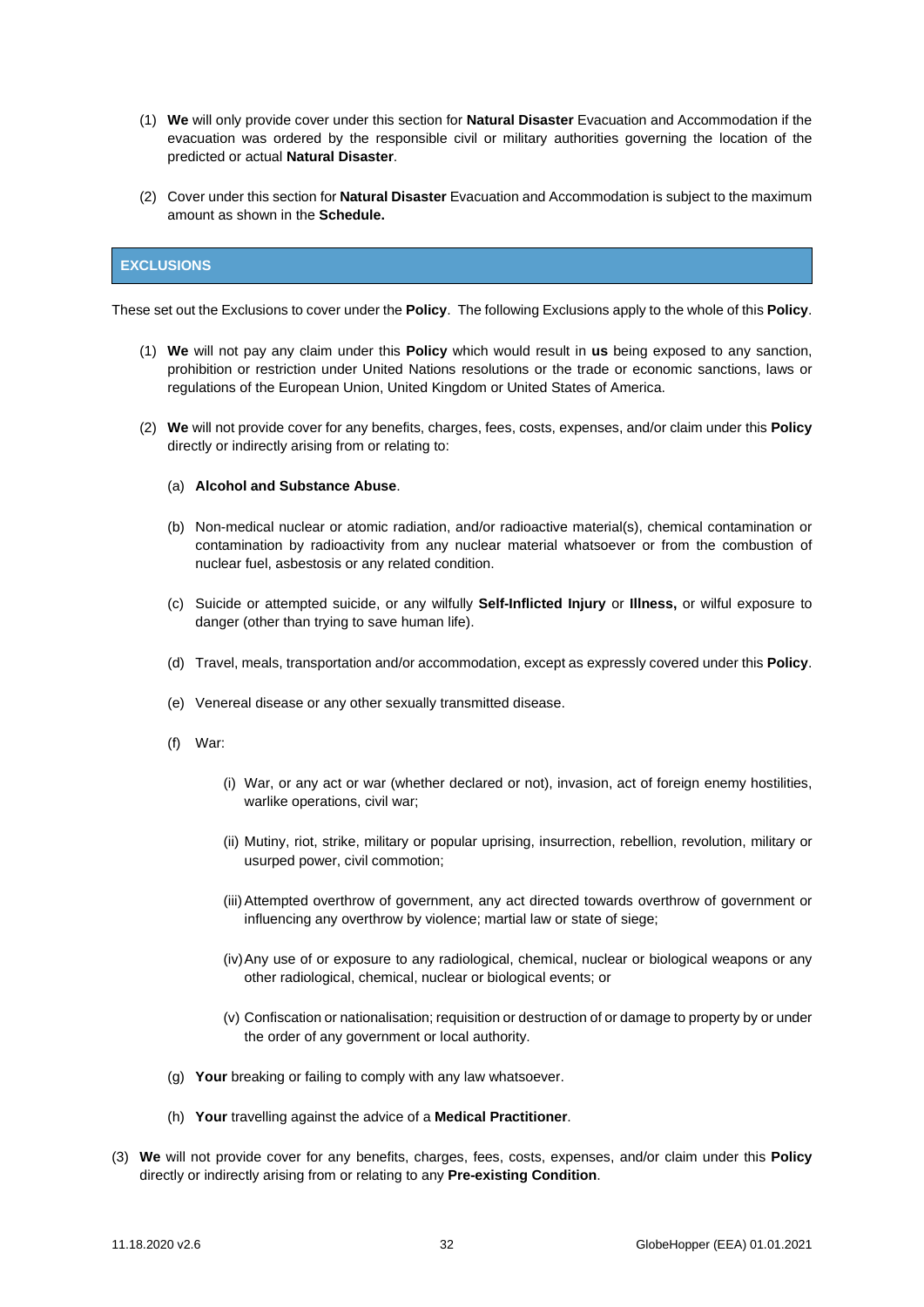- (1) **We** will only provide cover under this section for **Natural Disaster** Evacuation and Accommodation if the evacuation was ordered by the responsible civil or military authorities governing the location of the predicted or actual **Natural Disaster**.
- (2) Cover under this section for **Natural Disaster** Evacuation and Accommodation is subject to the maximum amount as shown in the **Schedule.**

## <span id="page-31-0"></span>**EXCLUSIONS**

These set out the Exclusions to cover under the **Policy**. The following Exclusions apply to the whole of this **Policy**.

- (1) **We** will not pay any claim under this **Policy** which would result in **us** being exposed to any sanction, prohibition or restriction under United Nations resolutions or the trade or economic sanctions, laws or regulations of the European Union, United Kingdom or United States of America.
- (2) **We** will not provide cover for any benefits, charges, fees, costs, expenses, and/or claim under this **Policy**  directly or indirectly arising from or relating to:

#### (a) **Alcohol and Substance Abuse**.

- (b) Non-medical nuclear or atomic radiation, and/or radioactive material(s), chemical contamination or contamination by radioactivity from any nuclear material whatsoever or from the combustion of nuclear fuel, asbestosis or any related condition.
- (c) Suicide or attempted suicide, or any wilfully **Self-Inflicted Injury** or **Illness,** or wilful exposure to danger (other than trying to save human life).
- (d) Travel, meals, transportation and/or accommodation, except as expressly covered under this **Policy**.
- (e) Venereal disease or any other sexually transmitted disease.
- (f) War:
	- (i) War, or any act or war (whether declared or not), invasion, act of foreign enemy hostilities, warlike operations, civil war;
	- (ii) Mutiny, riot, strike, military or popular uprising, insurrection, rebellion, revolution, military or usurped power, civil commotion;
	- (iii)Attempted overthrow of government, any act directed towards overthrow of government or influencing any overthrow by violence; martial law or state of siege;
	- (iv)Any use of or exposure to any radiological, chemical, nuclear or biological weapons or any other radiological, chemical, nuclear or biological events; or
	- (v) Confiscation or nationalisation; requisition or destruction of or damage to property by or under the order of any government or local authority.
- (g) **Your** breaking or failing to comply with any law whatsoever.
- (h) **Your** travelling against the advice of a **Medical Practitioner**.
- (3) **We** will not provide cover for any benefits, charges, fees, costs, expenses, and/or claim under this **Policy**  directly or indirectly arising from or relating to any **Pre-existing Condition**.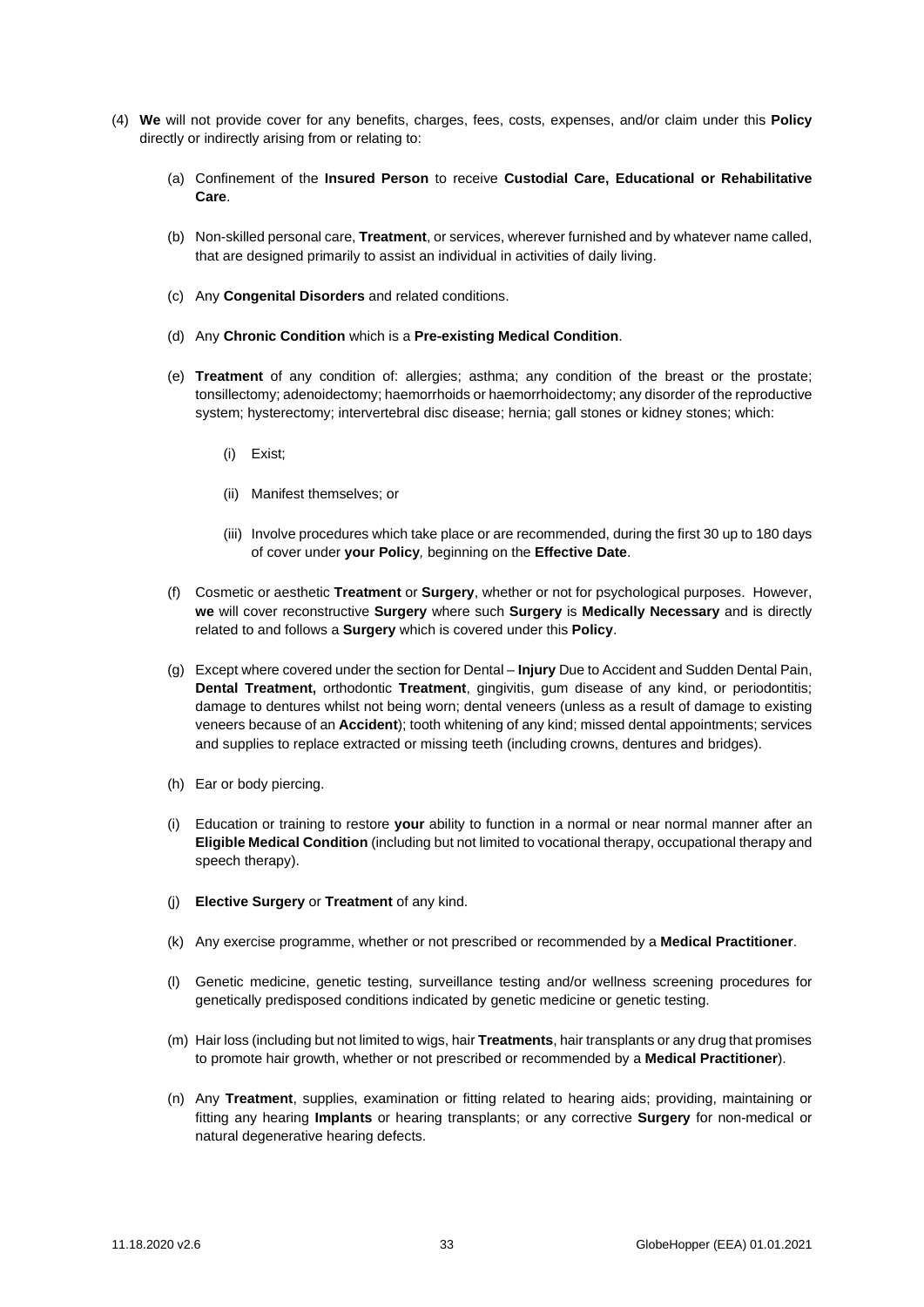- (4) **We** will not provide cover for any benefits, charges, fees, costs, expenses, and/or claim under this **Policy**  directly or indirectly arising from or relating to:
	- (a) Confinement of the **Insured Person** to receive **Custodial Care, Educational or Rehabilitative Care**.
	- (b) Non-skilled personal care, **Treatment**, or services, wherever furnished and by whatever name called, that are designed primarily to assist an individual in activities of daily living.
	- (c) Any **Congenital Disorders** and related conditions.
	- (d) Any **Chronic Condition** which is a **Pre-existing Medical Condition**.
	- (e) **Treatment** of any condition of: allergies; asthma; any condition of the breast or the prostate; tonsillectomy; adenoidectomy; haemorrhoids or haemorrhoidectomy; any disorder of the reproductive system; hysterectomy; intervertebral disc disease; hernia; gall stones or kidney stones; which:
		- (i) Exist;
		- (ii) Manifest themselves; or
		- (iii) Involve procedures which take place or are recommended, during the first 30 up to 180 days of cover under **your Policy***,* beginning on the **Effective Date**.
	- (f) Cosmetic or aesthetic **Treatment** or **Surgery**, whether or not for psychological purposes. However, **we** will cover reconstructive **Surgery** where such **Surgery** is **Medically Necessary** and is directly related to and follows a **Surgery** which is covered under this **Policy**.
	- (g) Except where covered under the section for Dental **Injury** Due to Accident and Sudden Dental Pain, **Dental Treatment,** orthodontic **Treatment**, gingivitis, gum disease of any kind, or periodontitis; damage to dentures whilst not being worn; dental veneers (unless as a result of damage to existing veneers because of an **Accident**); tooth whitening of any kind; missed dental appointments; services and supplies to replace extracted or missing teeth (including crowns, dentures and bridges).
	- (h) Ear or body piercing.
	- (i) Education or training to restore **your** ability to function in a normal or near normal manner after an **Eligible Medical Condition** (including but not limited to vocational therapy, occupational therapy and speech therapy).
	- (j) **Elective Surgery** or **Treatment** of any kind.
	- (k) Any exercise programme, whether or not prescribed or recommended by a **Medical Practitioner**.
	- (l) Genetic medicine, genetic testing, surveillance testing and/or wellness screening procedures for genetically predisposed conditions indicated by genetic medicine or genetic testing.
	- (m) Hair loss (including but not limited to wigs, hair **Treatments**, hair transplants or any drug that promises to promote hair growth, whether or not prescribed or recommended by a **Medical Practitioner**).
	- (n) Any **Treatment**, supplies, examination or fitting related to hearing aids; providing, maintaining or fitting any hearing **Implants** or hearing transplants; or any corrective **Surgery** for non-medical or natural degenerative hearing defects.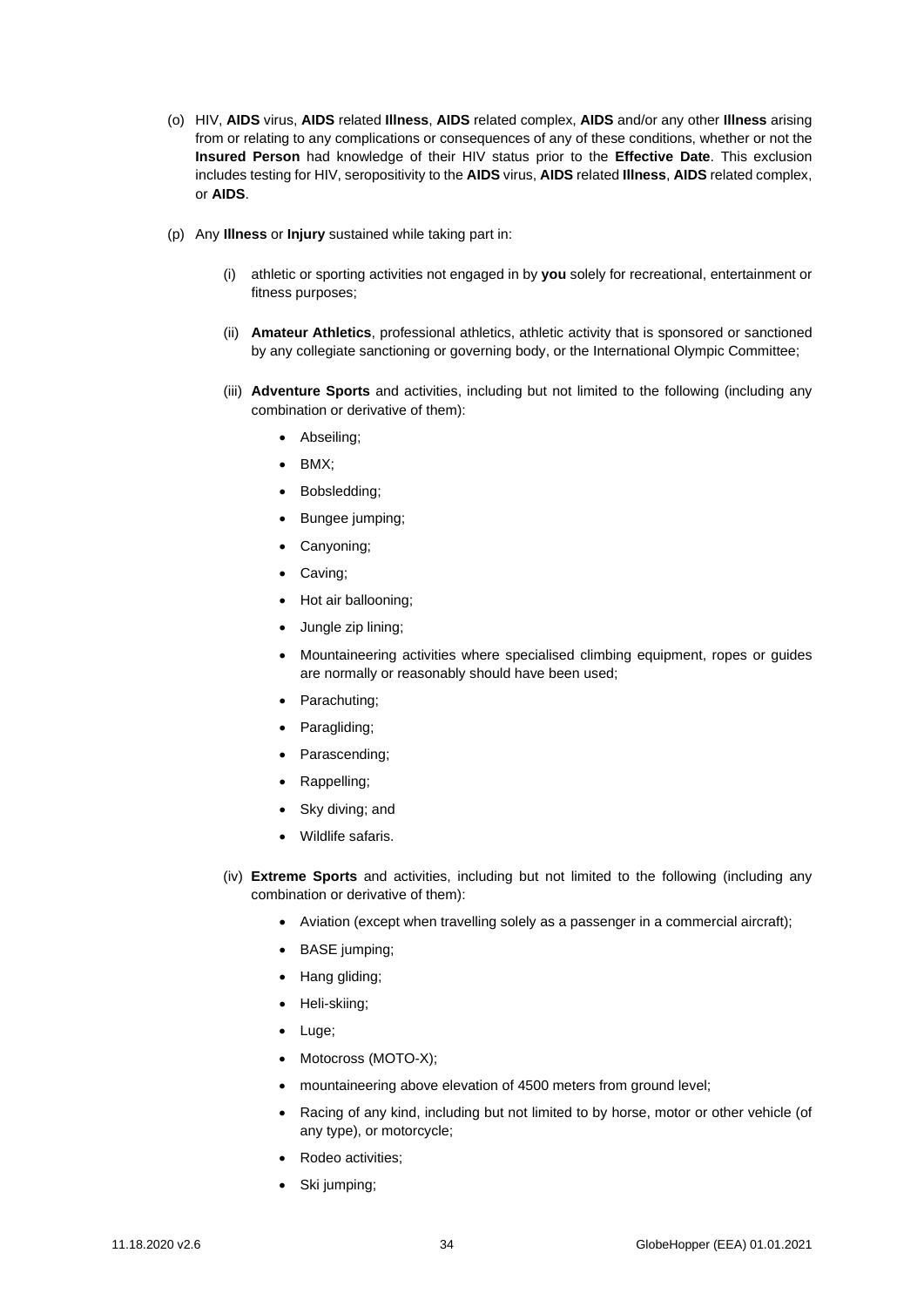- (o) HIV, **AIDS** virus, **AIDS** related **Illness**, **AIDS** related complex, **AIDS** and/or any other **Illness** arising from or relating to any complications or consequences of any of these conditions, whether or not the **Insured Person** had knowledge of their HIV status prior to the **Effective Date**. This exclusion includes testing for HIV, seropositivity to the **AIDS** virus, **AIDS** related **Illness**, **AIDS** related complex, or **AIDS**.
- (p) Any **Illness** or **Injury** sustained while taking part in:
	- (i) athletic or sporting activities not engaged in by **you** solely for recreational, entertainment or fitness purposes;
	- (ii) **Amateur Athletics**, professional athletics, athletic activity that is sponsored or sanctioned by any collegiate sanctioning or governing body, or the International Olympic Committee;
	- (iii) **Adventure Sports** and activities, including but not limited to the following (including any combination or derivative of them):
		- Abseiling;
		- BMX;
		- Bobsledding;
		- Bungee jumping;
		- Canyoning;
		- Caving;
		- Hot air ballooning;
		- Jungle zip lining;
		- Mountaineering activities where specialised climbing equipment, ropes or guides are normally or reasonably should have been used;
		- Parachuting;
		- Paragliding:
		- Parascending;
		- Rappelling;
		- Sky diving; and
		- Wildlife safaris.
	- (iv) **Extreme Sports** and activities, including but not limited to the following (including any combination or derivative of them):
		- Aviation (except when travelling solely as a passenger in a commercial aircraft);
		- BASE jumping;
		- Hang gliding;
		- Heli-skiing;
		- Luge;
		- Motocross (MOTO-X);
		- mountaineering above elevation of 4500 meters from ground level;
		- Racing of any kind, including but not limited to by horse, motor or other vehicle (of any type), or motorcycle;
		- Rodeo activities;
		- Ski jumping;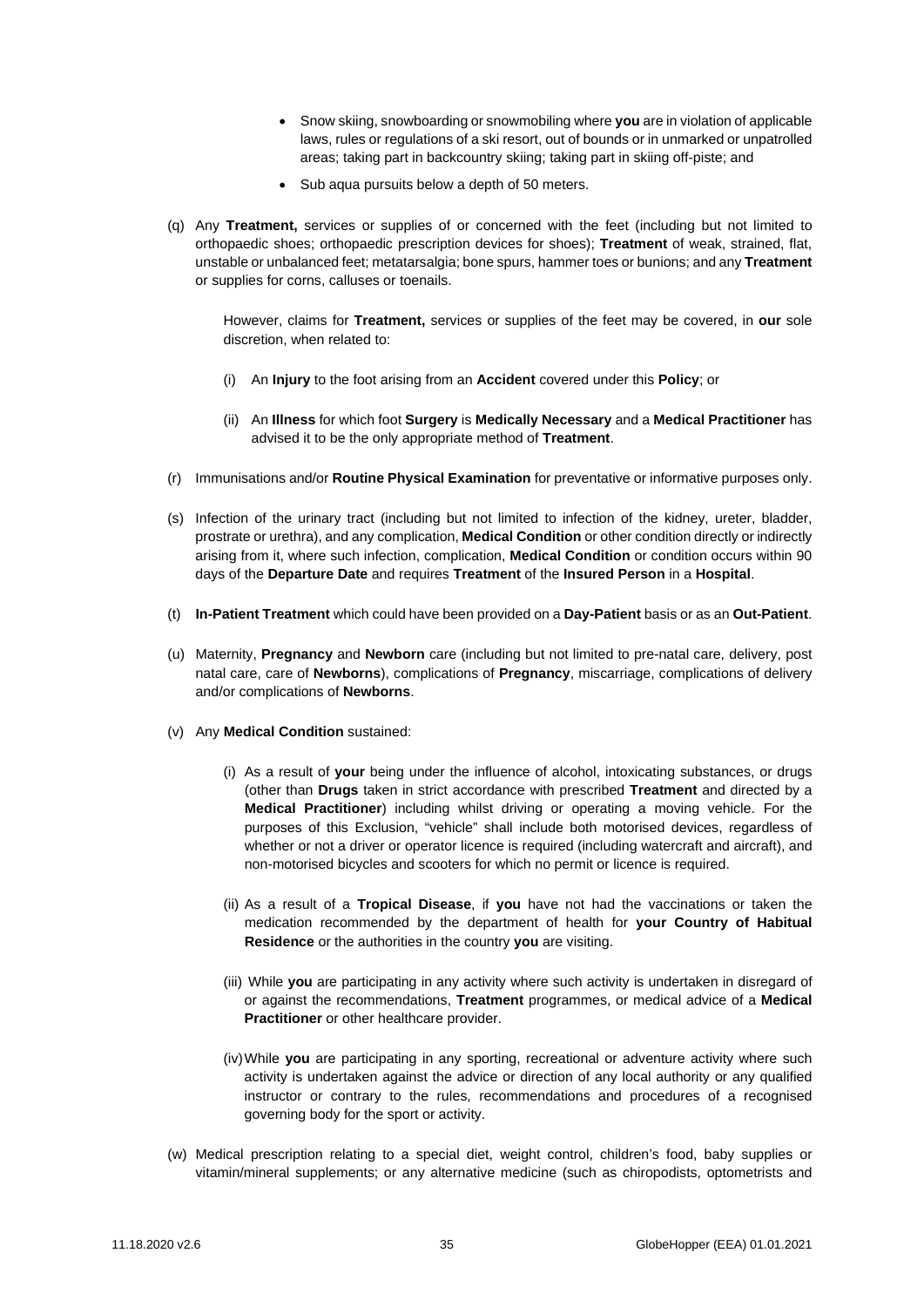- Snow skiing, snowboarding or snowmobiling where **you** are in violation of applicable laws, rules or regulations of a ski resort, out of bounds or in unmarked or unpatrolled areas; taking part in backcountry skiing; taking part in skiing off-piste; and
- Sub aqua pursuits below a depth of 50 meters.
- (q) Any **Treatment,** services or supplies of or concerned with the feet (including but not limited to orthopaedic shoes; orthopaedic prescription devices for shoes); **Treatment** of weak, strained, flat, unstable or unbalanced feet; metatarsalgia; bone spurs, hammer toes or bunions; and any **Treatment**  or supplies for corns, calluses or toenails.

However, claims for **Treatment,** services or supplies of the feet may be covered, in **our** sole discretion, when related to:

- (i) An **Injury** to the foot arising from an **Accident** covered under this **Policy**; or
- (ii) An **Illness** for which foot **Surgery** is **Medically Necessary** and a **Medical Practitioner** has advised it to be the only appropriate method of **Treatment**.
- (r) Immunisations and/or **Routine Physical Examination** for preventative or informative purposes only.
- (s) Infection of the urinary tract (including but not limited to infection of the kidney, ureter, bladder, prostrate or urethra), and any complication, **Medical Condition** or other condition directly or indirectly arising from it, where such infection, complication, **Medical Condition** or condition occurs within 90 days of the **Departure Date** and requires **Treatment** of the **Insured Person** in a **Hospital**.
- (t) **In-Patient Treatment** which could have been provided on a **Day-Patient** basis or as an **Out-Patient**.
- (u) Maternity, **Pregnancy** and **Newborn** care (including but not limited to pre-natal care, delivery, post natal care, care of **Newborns**), complications of **Pregnancy**, miscarriage, complications of delivery and/or complications of **Newborns**.
- (v) Any **Medical Condition** sustained:
	- (i) As a result of **your** being under the influence of alcohol, intoxicating substances, or drugs (other than **Drugs** taken in strict accordance with prescribed **Treatment** and directed by a **Medical Practitioner**) including whilst driving or operating a moving vehicle. For the purposes of this Exclusion, "vehicle" shall include both motorised devices, regardless of whether or not a driver or operator licence is required (including watercraft and aircraft), and non-motorised bicycles and scooters for which no permit or licence is required.
	- (ii) As a result of a **Tropical Disease**, if **you** have not had the vaccinations or taken the medication recommended by the department of health for **your Country of Habitual Residence** or the authorities in the country **you** are visiting.
	- (iii) While **you** are participating in any activity where such activity is undertaken in disregard of or against the recommendations, **Treatment** programmes, or medical advice of a **Medical Practitioner** or other healthcare provider.
	- (iv)While **you** are participating in any sporting, recreational or adventure activity where such activity is undertaken against the advice or direction of any local authority or any qualified instructor or contrary to the rules, recommendations and procedures of a recognised governing body for the sport or activity.
- (w) Medical prescription relating to a special diet, weight control, children's food, baby supplies or vitamin/mineral supplements; or any alternative medicine (such as chiropodists, optometrists and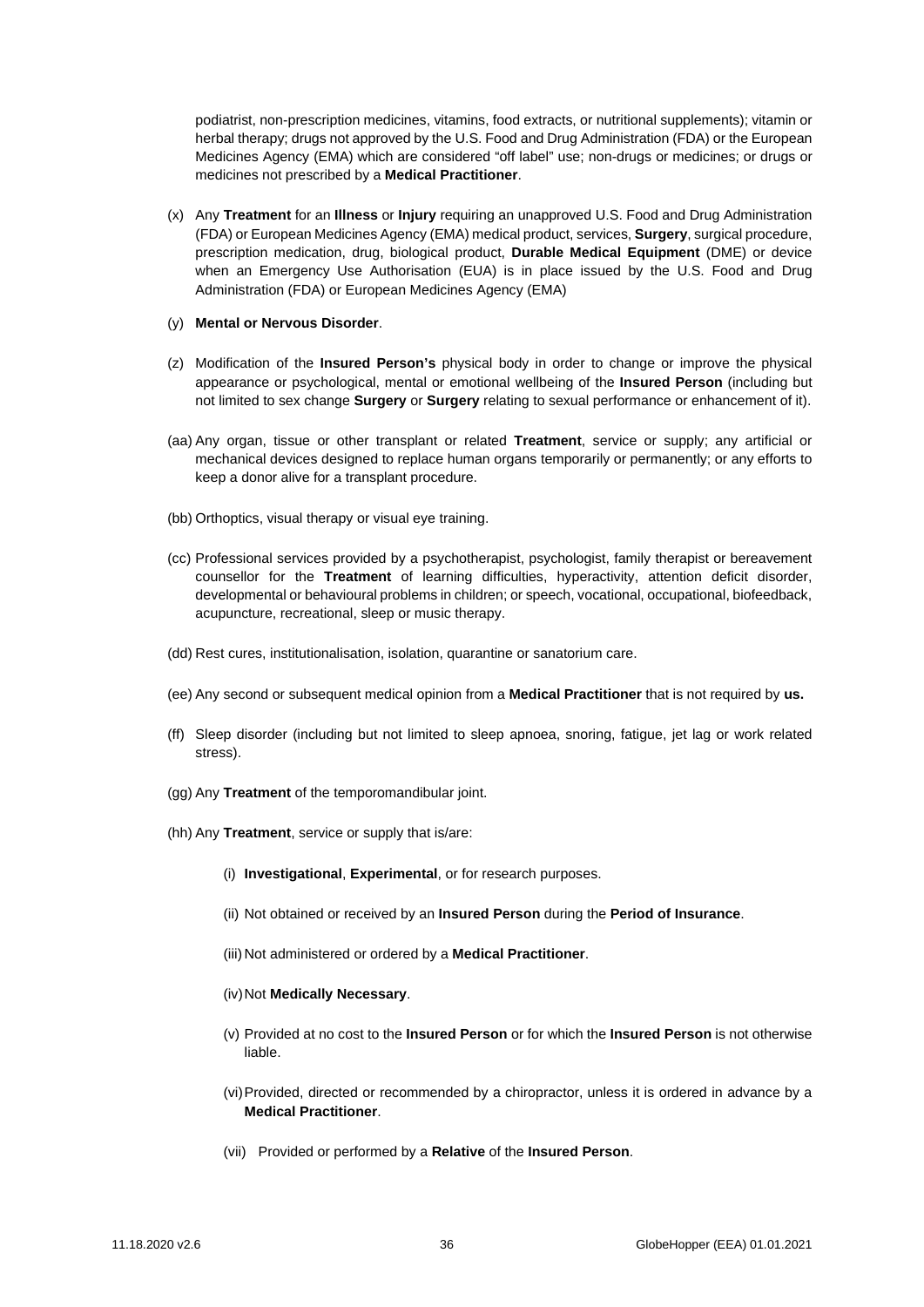podiatrist, non-prescription medicines, vitamins, food extracts, or nutritional supplements); vitamin or herbal therapy; drugs not approved by the U.S. Food and Drug Administration (FDA) or the European Medicines Agency (EMA) which are considered "off label" use; non-drugs or medicines; or drugs or medicines not prescribed by a **Medical Practitioner**.

- (x) Any **Treatment** for an **Illness** or **Injury** requiring an unapproved U.S. Food and Drug Administration (FDA) or European Medicines Agency (EMA) medical product, services, **Surgery**, surgical procedure, prescription medication, drug, biological product, **Durable Medical Equipment** (DME) or device when an Emergency Use Authorisation (EUA) is in place issued by the U.S. Food and Drug Administration (FDA) or European Medicines Agency (EMA)
- (y) **Mental or Nervous Disorder**.
- (z) Modification of the **Insured Person's** physical body in order to change or improve the physical appearance or psychological, mental or emotional wellbeing of the **Insured Person** (including but not limited to sex change **Surgery** or **Surgery** relating to sexual performance or enhancement of it).
- (aa) Any organ, tissue or other transplant or related **Treatment**, service or supply; any artificial or mechanical devices designed to replace human organs temporarily or permanently; or any efforts to keep a donor alive for a transplant procedure.
- (bb) Orthoptics, visual therapy or visual eye training.
- (cc) Professional services provided by a psychotherapist, psychologist, family therapist or bereavement counsellor for the **Treatment** of learning difficulties, hyperactivity, attention deficit disorder, developmental or behavioural problems in children; or speech, vocational, occupational, biofeedback, acupuncture, recreational, sleep or music therapy.
- (dd) Rest cures, institutionalisation, isolation, quarantine or sanatorium care.
- (ee) Any second or subsequent medical opinion from a **Medical Practitioner** that is not required by **us.**
- (ff) Sleep disorder (including but not limited to sleep apnoea, snoring, fatigue, jet lag or work related stress).
- (gg) Any **Treatment** of the temporomandibular joint.
- (hh) Any **Treatment**, service or supply that is/are:
	- (i) **Investigational**, **Experimental**, or for research purposes.
	- (ii) Not obtained or received by an **Insured Person** during the **Period of Insurance**.
	- (iii) Not administered or ordered by a **Medical Practitioner**.
	- (iv)Not **Medically Necessary**.
	- (v) Provided at no cost to the **Insured Person** or for which the **Insured Person** is not otherwise liable.
	- (vi)Provided, directed or recommended by a chiropractor, unless it is ordered in advance by a **Medical Practitioner**.
	- (vii) Provided or performed by a **Relative** of the **Insured Person**.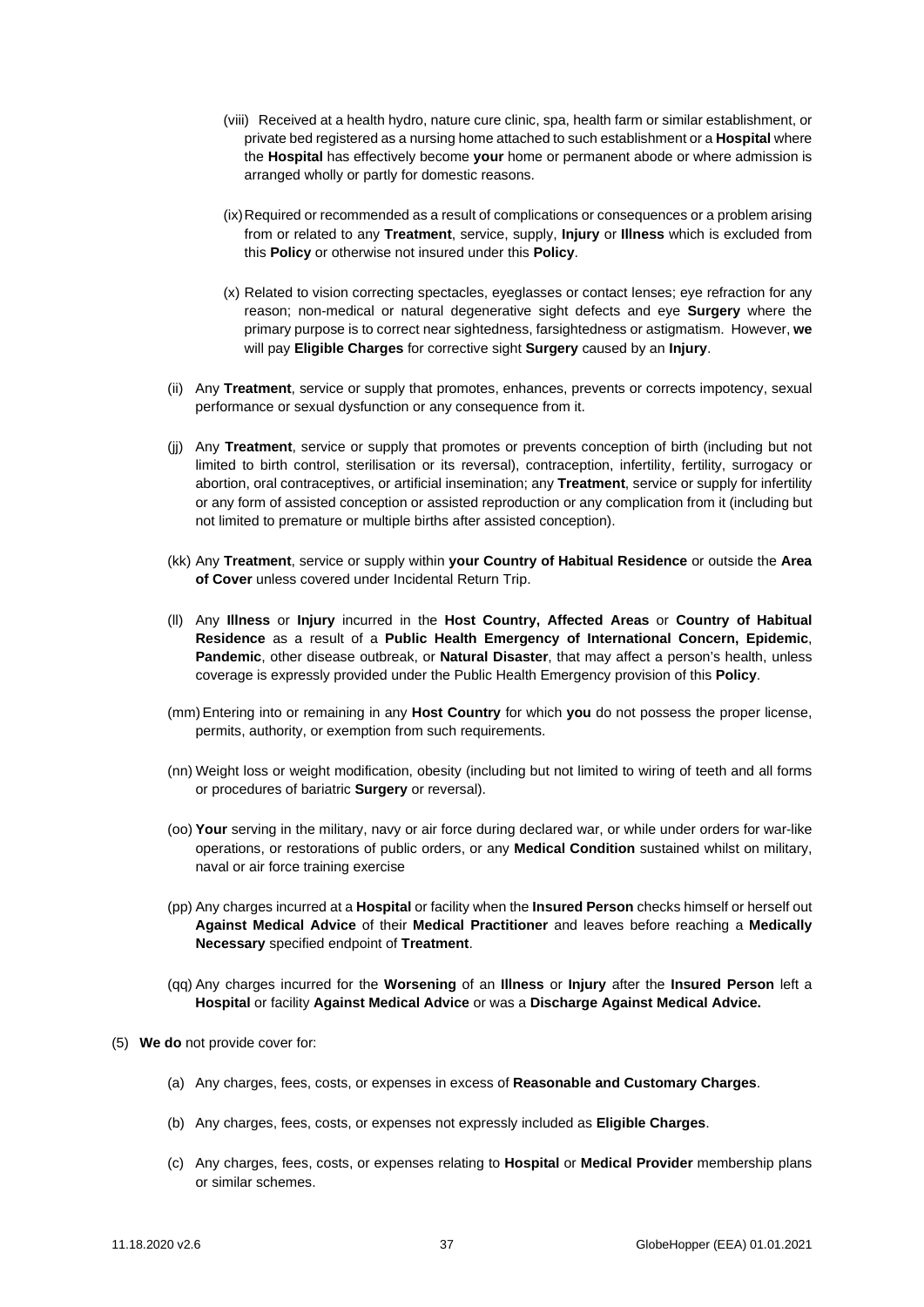- (viii) Received at a health hydro, nature cure clinic, spa, health farm or similar establishment, or private bed registered as a nursing home attached to such establishment or a **Hospital** where the **Hospital** has effectively become **your** home or permanent abode or where admission is arranged wholly or partly for domestic reasons.
- (ix)Required or recommended as a result of complications or consequences or a problem arising from or related to any **Treatment**, service, supply, **Injury** or **Illness** which is excluded from this **Policy** or otherwise not insured under this **Policy**.
- (x) Related to vision correcting spectacles, eyeglasses or contact lenses; eye refraction for any reason; non-medical or natural degenerative sight defects and eye **Surgery** where the primary purpose is to correct near sightedness, farsightedness or astigmatism. However, **we** will pay **Eligible Charges** for corrective sight **Surgery** caused by an **Injury**.
- (ii) Any **Treatment**, service or supply that promotes, enhances, prevents or corrects impotency, sexual performance or sexual dysfunction or any consequence from it.
- (jj) Any **Treatment**, service or supply that promotes or prevents conception of birth (including but not limited to birth control, sterilisation or its reversal), contraception, infertility, fertility, surrogacy or abortion, oral contraceptives, or artificial insemination; any **Treatment**, service or supply for infertility or any form of assisted conception or assisted reproduction or any complication from it (including but not limited to premature or multiple births after assisted conception).
- (kk) Any **Treatment**, service or supply within **your Country of Habitual Residence** or outside the **Area of Cover** unless covered under Incidental Return Trip.
- (ll) Any **Illness** or **Injury** incurred in the **Host Country, Affected Areas** or **Country of Habitual Residence** as a result of a **Public Health Emergency of International Concern, Epidemic**, **Pandemic**, other disease outbreak, or **Natural Disaster**, that may affect a person's health, unless coverage is expressly provided under the Public Health Emergency provision of this **Policy**.
- (mm)Entering into or remaining in any **Host Country** for which **you** do not possess the proper license, permits, authority, or exemption from such requirements.
- (nn) Weight loss or weight modification, obesity (including but not limited to wiring of teeth and all forms or procedures of bariatric **Surgery** or reversal).
- (oo) **Your** serving in the military, navy or air force during declared war, or while under orders for war-like operations, or restorations of public orders, or any **Medical Condition** sustained whilst on military, naval or air force training exercise
- (pp) Any charges incurred at a **Hospital** or facility when the **Insured Person** checks himself or herself out **Against Medical Advice** of their **Medical Practitioner** and leaves before reaching a **Medically Necessary** specified endpoint of **Treatment**.
- (qq) Any charges incurred for the **Worsening** of an **Illness** or **Injury** after the **Insured Person** left a **Hospital** or facility **Against Medical Advice** or was a **Discharge Against Medical Advice.**
- (5) **We do** not provide cover for:
	- (a) Any charges, fees, costs, or expenses in excess of **Reasonable and Customary Charges**.
	- (b) Any charges, fees, costs, or expenses not expressly included as **Eligible Charges**.
	- (c) Any charges, fees, costs, or expenses relating to **Hospital** or **Medical Provider** membership plans or similar schemes.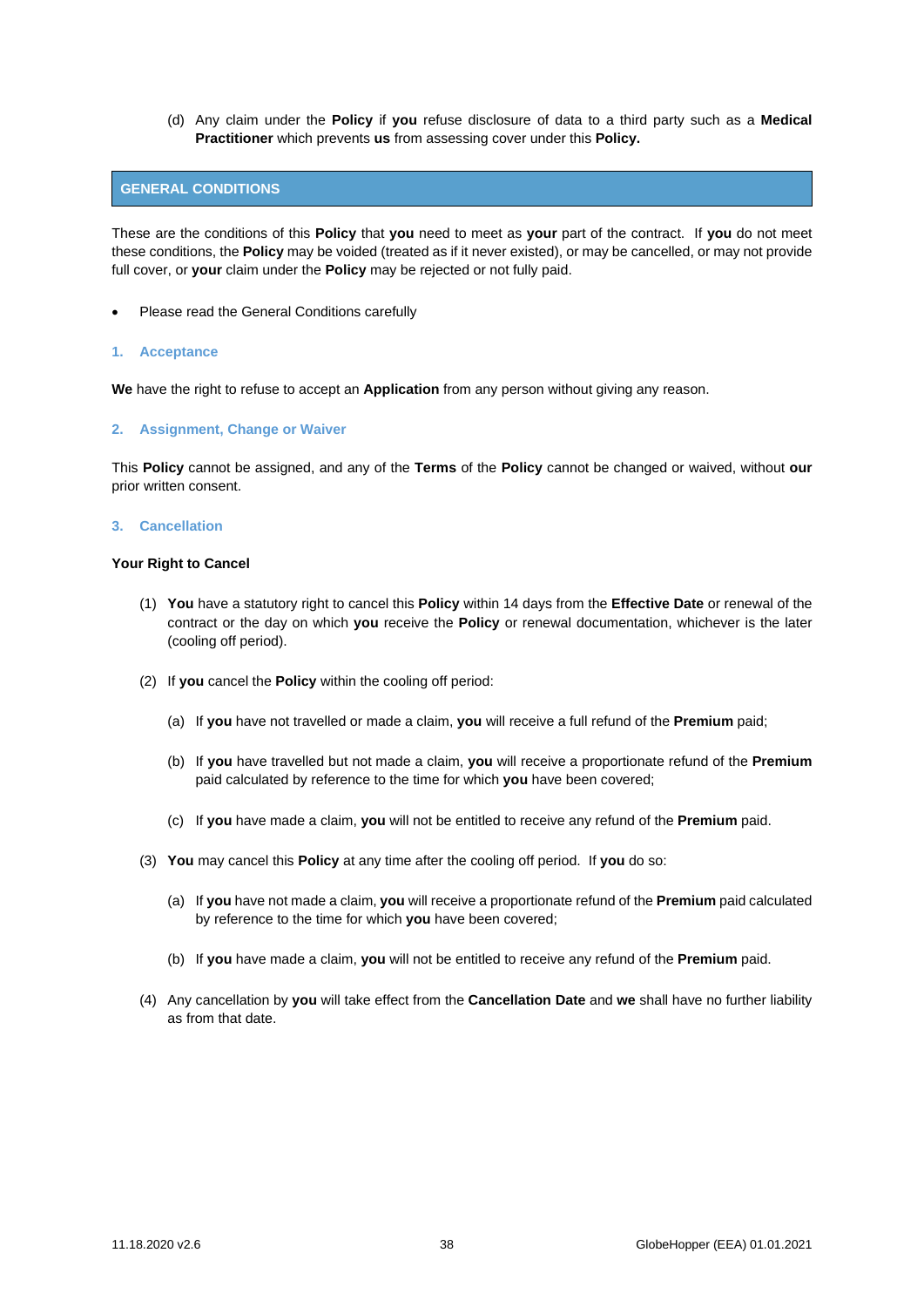(d) Any claim under the **Policy** if **you** refuse disclosure of data to a third party such as a **Medical Practitioner** which prevents **us** from assessing cover under this **Policy.** 

## <span id="page-37-0"></span>**GENERAL CONDITIONS**

These are the conditions of this **Policy** that **you** need to meet as **your** part of the contract. If **you** do not meet these conditions, the **Policy** may be voided (treated as if it never existed), or may be cancelled, or may not provide full cover, or **your** claim under the **Policy** may be rejected or not fully paid.

• Please read the General Conditions carefully

#### **1. Acceptance**

**We** have the right to refuse to accept an **Application** from any person without giving any reason.

## **2. Assignment, Change or Waiver**

This **Policy** cannot be assigned, and any of the **Terms** of the **Policy** cannot be changed or waived, without **our**  prior written consent.

#### **3. Cancellation**

## **Your Right to Cancel**

- (1) **You** have a statutory right to cancel this **Policy** within 14 days from the **Effective Date** or renewal of the contract or the day on which **you** receive the **Policy** or renewal documentation, whichever is the later (cooling off period).
- (2) If **you** cancel the **Policy** within the cooling off period:
	- (a) If **you** have not travelled or made a claim, **you** will receive a full refund of the **Premium** paid;
	- (b) If **you** have travelled but not made a claim, **you** will receive a proportionate refund of the **Premium**  paid calculated by reference to the time for which **you** have been covered;
	- (c) If **you** have made a claim, **you** will not be entitled to receive any refund of the **Premium** paid.
- (3) **You** may cancel this **Policy** at any time after the cooling off period. If **you** do so:
	- (a) If **you** have not made a claim, **you** will receive a proportionate refund of the **Premium** paid calculated by reference to the time for which **you** have been covered;
	- (b) If **you** have made a claim, **you** will not be entitled to receive any refund of the **Premium** paid.
- (4) Any cancellation by **you** will take effect from the **Cancellation Date** and **we** shall have no further liability as from that date.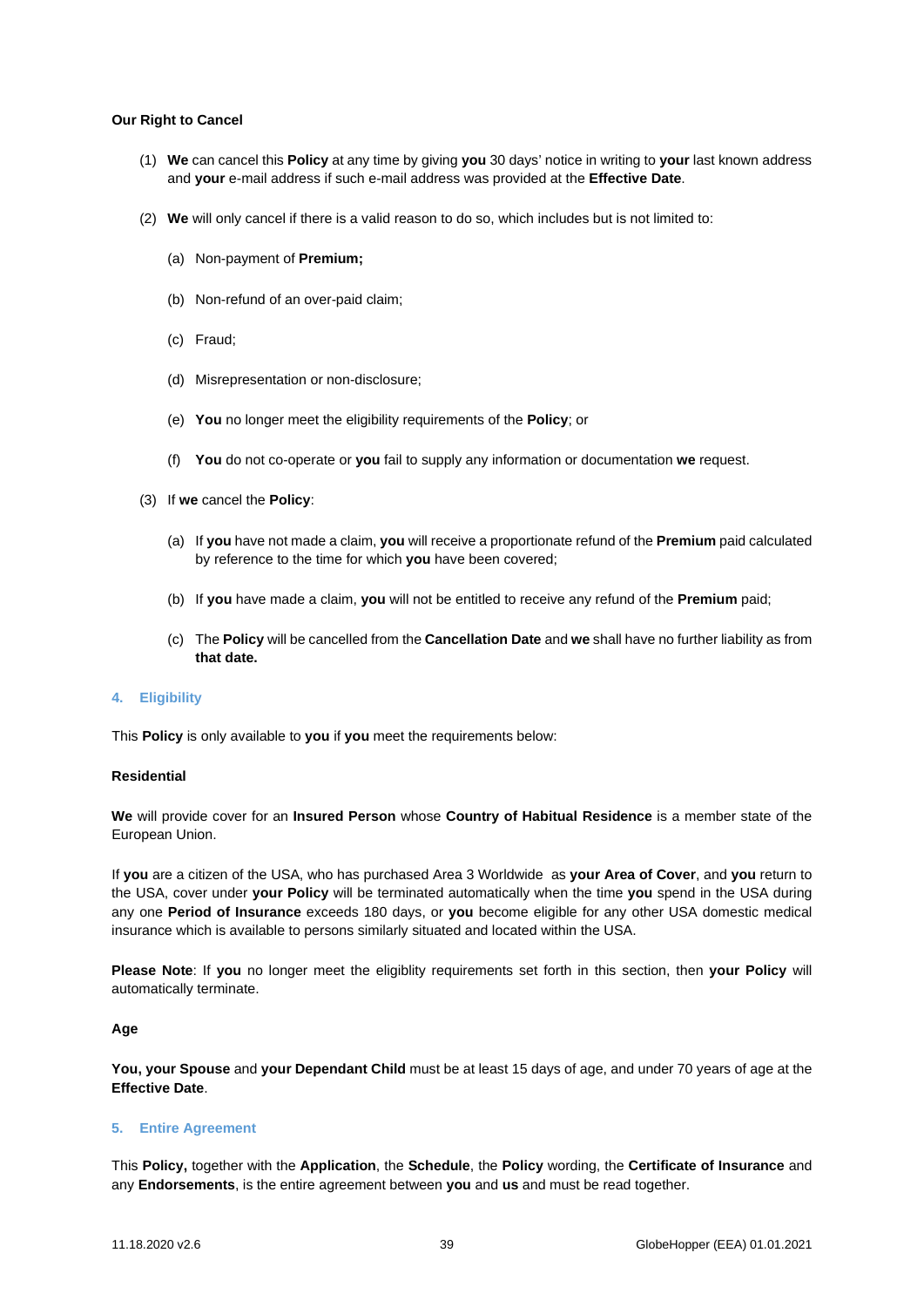## **Our Right to Cancel**

- (1) **We** can cancel this **Policy** at any time by giving **you** 30 days' notice in writing to **your** last known address and **your** e-mail address if such e-mail address was provided at the **Effective Date**.
- (2) **We** will only cancel if there is a valid reason to do so, which includes but is not limited to:
	- (a) Non-payment of **Premium;**
	- (b) Non-refund of an over-paid claim;
	- (c) Fraud;
	- (d) Misrepresentation or non-disclosure;
	- (e) **You** no longer meet the eligibility requirements of the **Policy**; or
	- (f) **You** do not co-operate or **you** fail to supply any information or documentation **we** request.
- (3) If **we** cancel the **Policy**:
	- (a) If **you** have not made a claim, **you** will receive a proportionate refund of the **Premium** paid calculated by reference to the time for which **you** have been covered;
	- (b) If **you** have made a claim, **you** will not be entitled to receive any refund of the **Premium** paid;
	- (c) The **Policy** will be cancelled from the **Cancellation Date** and **we** shall have no further liability as from **that date.**

## **4. Eligibility**

This **Policy** is only available to **you** if **you** meet the requirements below:

## **Residential**

**We** will provide cover for an **Insured Person** whose **Country of Habitual Residence** is a member state of the European Union.

If **you** are a citizen of the USA, who has purchased Area 3 Worldwide as **your Area of Cover**, and **you** return to the USA, cover under **your Policy** will be terminated automatically when the time **you** spend in the USA during any one **Period of Insurance** exceeds 180 days, or **you** become eligible for any other USA domestic medical insurance which is available to persons similarly situated and located within the USA.

**Please Note**: If **you** no longer meet the eligiblity requirements set forth in this section, then **your Policy** will automatically terminate.

## **Age**

**You, your Spouse** and **your Dependant Child** must be at least 15 days of age, and under 70 years of age at the **Effective Date**.

## **5. Entire Agreement**

This **Policy,** together with the **Application**, the **Schedule**, the **Policy** wording, the **Certificate of Insurance** and any **Endorsements**, is the entire agreement between **you** and **us** and must be read together.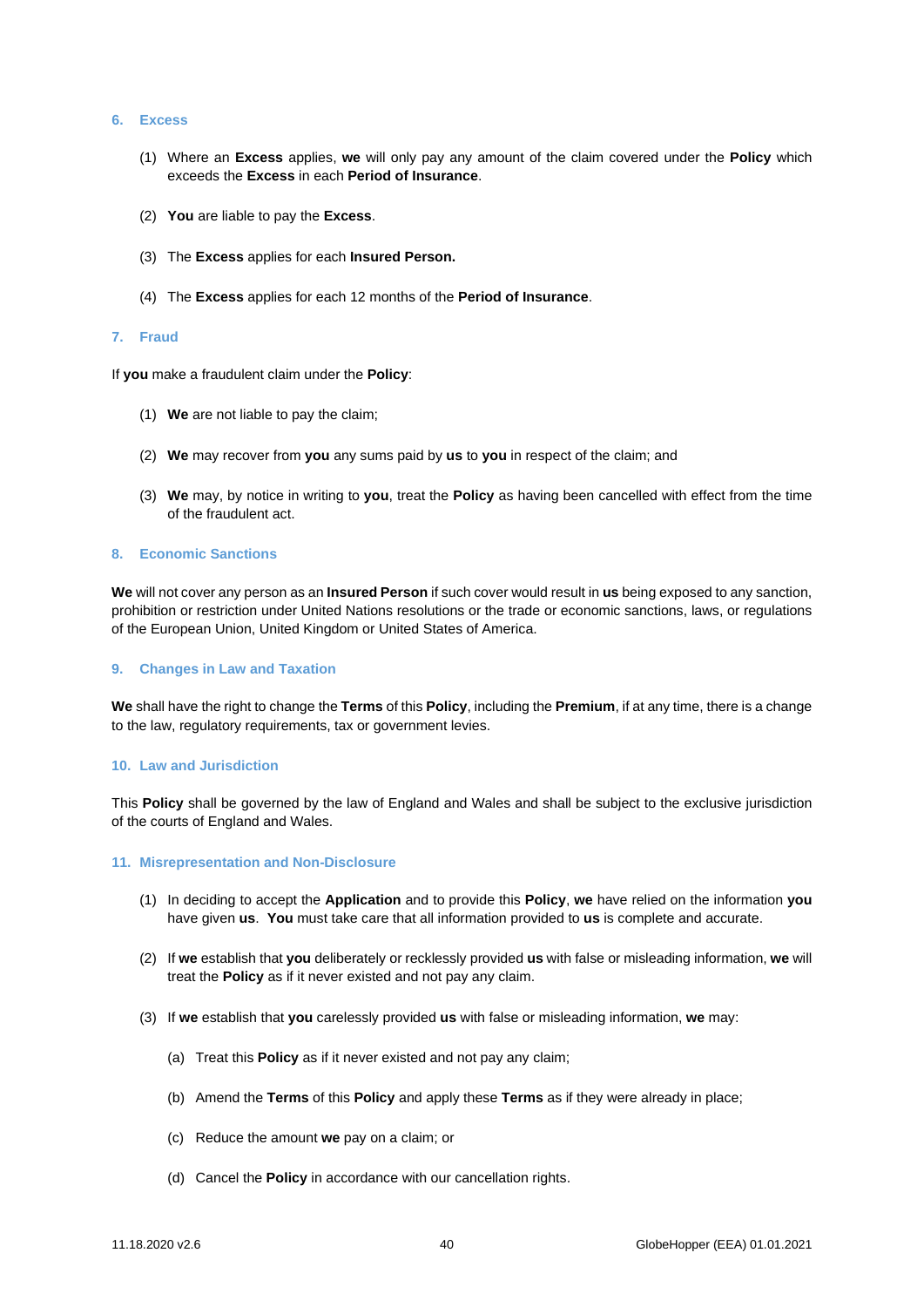## **6. Excess**

- (1) Where an **Excess** applies, **we** will only pay any amount of the claim covered under the **Policy** which exceeds the **Excess** in each **Period of Insurance**.
- (2) **You** are liable to pay the **Excess**.
- (3) The **Excess** applies for each **Insured Person.**
- (4) The **Excess** applies for each 12 months of the **Period of Insurance**.

#### **7. Fraud**

If **you** make a fraudulent claim under the **Policy**:

- (1) **We** are not liable to pay the claim;
- (2) **We** may recover from **you** any sums paid by **us** to **you** in respect of the claim; and
- (3) **We** may, by notice in writing to **you**, treat the **Policy** as having been cancelled with effect from the time of the fraudulent act.

## **8. Economic Sanctions**

**We** will not cover any person as an **Insured Person** if such cover would result in **us** being exposed to any sanction, prohibition or restriction under United Nations resolutions or the trade or economic sanctions, laws, or regulations of the European Union, United Kingdom or United States of America.

#### **9. Changes in Law and Taxation**

**We** shall have the right to change the **Terms** of this **Policy**, including the **Premium**, if at any time, there is a change to the law, regulatory requirements, tax or government levies.

#### **10. Law and Jurisdiction**

This **Policy** shall be governed by the law of England and Wales and shall be subject to the exclusive jurisdiction of the courts of England and Wales.

#### **11. Misrepresentation and Non-Disclosure**

- (1) In deciding to accept the **Application** and to provide this **Policy**, **we** have relied on the information **you**  have given **us**. **You** must take care that all information provided to **us** is complete and accurate.
- (2) If **we** establish that **you** deliberately or recklessly provided **us** with false or misleading information, **we** will treat the **Policy** as if it never existed and not pay any claim.
- (3) If **we** establish that **you** carelessly provided **us** with false or misleading information, **we** may:
	- (a) Treat this **Policy** as if it never existed and not pay any claim;
	- (b) Amend the **Terms** of this **Policy** and apply these **Terms** as if they were already in place;
	- (c) Reduce the amount **we** pay on a claim; or
	- (d) Cancel the **Policy** in accordance with our cancellation rights.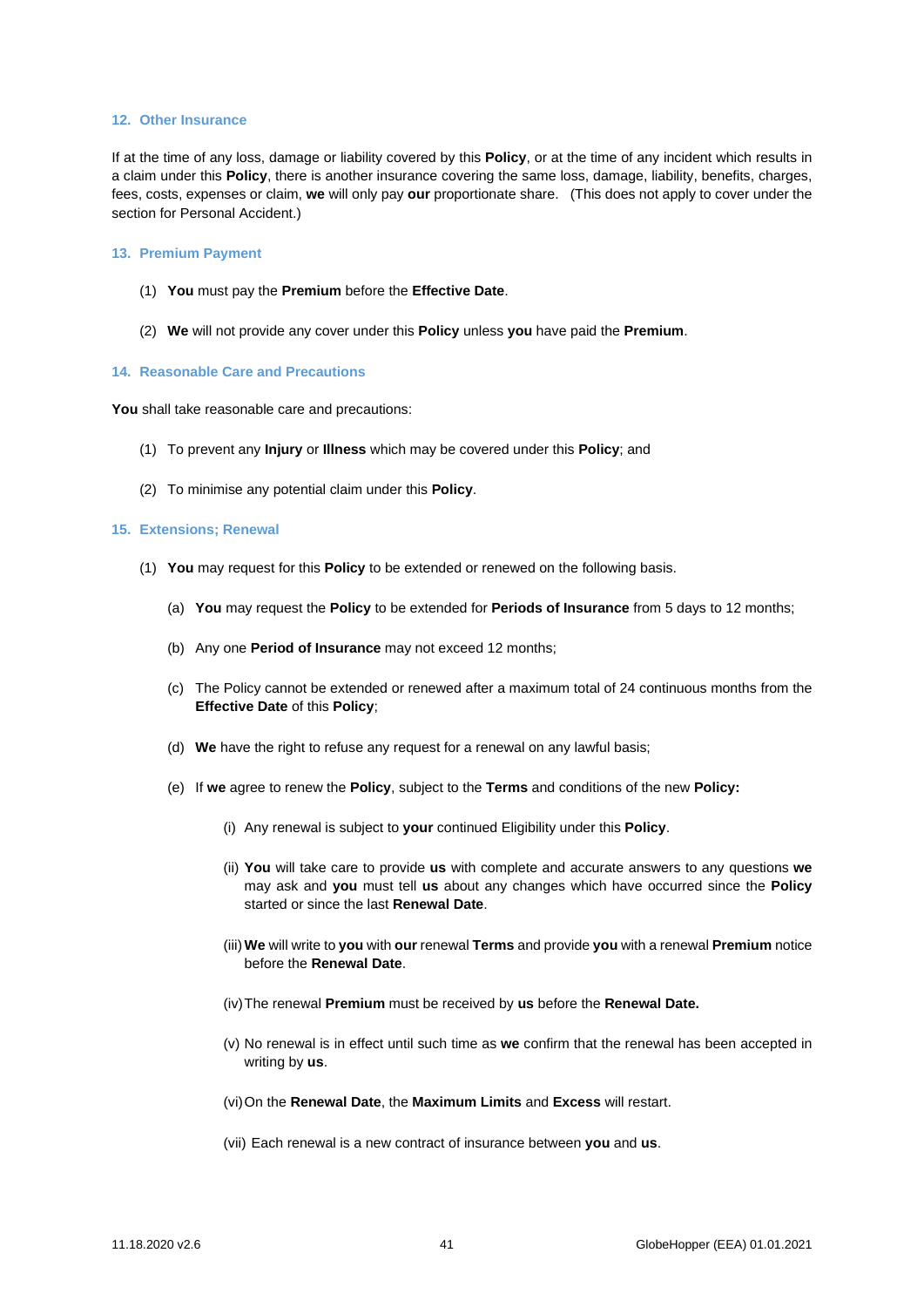#### **12. Other Insurance**

If at the time of any loss, damage or liability covered by this **Policy**, or at the time of any incident which results in a claim under this **Policy**, there is another insurance covering the same loss, damage, liability, benefits, charges, fees, costs, expenses or claim, **we** will only pay **our** proportionate share. (This does not apply to cover under the section for Personal Accident.)

## **13. Premium Payment**

- (1) **You** must pay the **Premium** before the **Effective Date**.
- (2) **We** will not provide any cover under this **Policy** unless **you** have paid the **Premium**.

## **14. Reasonable Care and Precautions**

**You** shall take reasonable care and precautions:

- (1) To prevent any **Injury** or **Illness** which may be covered under this **Policy**; and
- (2) To minimise any potential claim under this **Policy**.

## **15. Extensions; Renewal**

- (1) **You** may request for this **Policy** to be extended or renewed on the following basis.
	- (a) **You** may request the **Policy** to be extended for **Periods of Insurance** from 5 days to 12 months;
	- (b) Any one **Period of Insurance** may not exceed 12 months;
	- (c) The Policy cannot be extended or renewed after a maximum total of 24 continuous months from the **Effective Date** of this **Policy**;
	- (d) **We** have the right to refuse any request for a renewal on any lawful basis;
	- (e) If **we** agree to renew the **Policy**, subject to the **Terms** and conditions of the new **Policy:**
		- (i) Any renewal is subject to **your** continued Eligibility under this **Policy**.
		- (ii) **You** will take care to provide **us** with complete and accurate answers to any questions **we**  may ask and **you** must tell **us** about any changes which have occurred since the **Policy**  started or since the last **Renewal Date**.
		- (iii) **We** will write to **you** with **our** renewal **Terms** and provide **you** with a renewal **Premium** notice before the **Renewal Date**.
		- (iv)The renewal **Premium** must be received by **us** before the **Renewal Date.**
		- (v) No renewal is in effect until such time as **we** confirm that the renewal has been accepted in writing by **us**.
		- (vi)On the **Renewal Date**, the **Maximum Limits** and **Excess** will restart.
		- (vii) Each renewal is a new contract of insurance between **you** and **us**.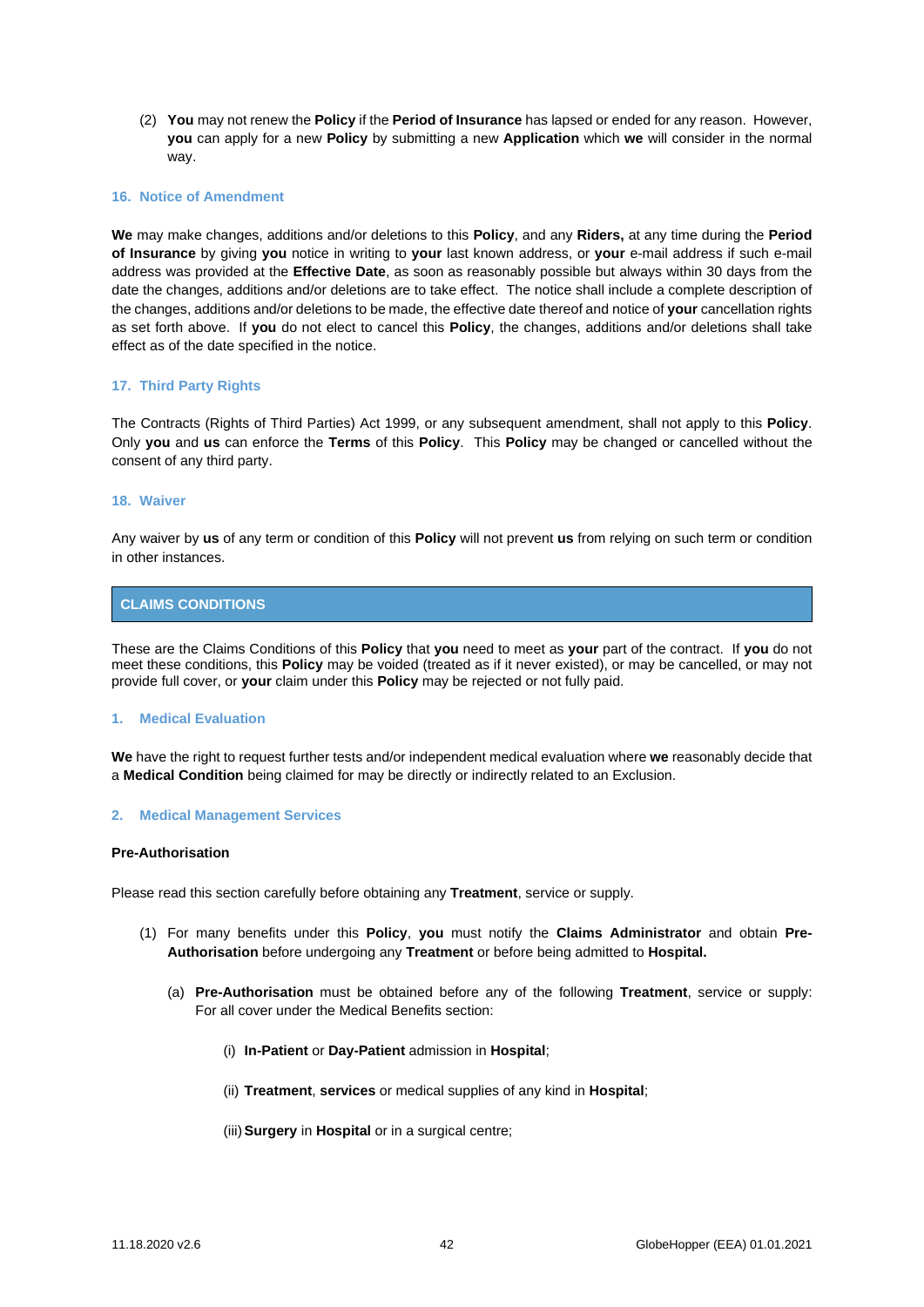(2) **You** may not renew the **Policy** if the **Period of Insurance** has lapsed or ended for any reason. However, **you** can apply for a new **Policy** by submitting a new **Application** which **we** will consider in the normal way.

## **16. Notice of Amendment**

**We** may make changes, additions and/or deletions to this **Policy**, and any **Riders,** at any time during the **Period of Insurance** by giving **you** notice in writing to **your** last known address, or **your** e-mail address if such e-mail address was provided at the **Effective Date**, as soon as reasonably possible but always within 30 days from the date the changes, additions and/or deletions are to take effect. The notice shall include a complete description of the changes, additions and/or deletions to be made, the effective date thereof and notice of **your** cancellation rights as set forth above. If **you** do not elect to cancel this **Policy**, the changes, additions and/or deletions shall take effect as of the date specified in the notice.

## **17. Third Party Rights**

The Contracts (Rights of Third Parties) Act 1999, or any subsequent amendment, shall not apply to this **Policy**. Only **you** and **us** can enforce the **Terms** of this **Policy**. This **Policy** may be changed or cancelled without the consent of any third party.

## **18. Waiver**

Any waiver by **us** of any term or condition of this **Policy** will not prevent **us** from relying on such term or condition in other instances.

# <span id="page-41-0"></span>**CLAIMS CONDITIONS**

These are the Claims Conditions of this **Policy** that **you** need to meet as **your** part of the contract. If **you** do not meet these conditions, this **Policy** may be voided (treated as if it never existed), or may be cancelled, or may not provide full cover, or **your** claim under this **Policy** may be rejected or not fully paid.

## **1. Medical Evaluation**

**We** have the right to request further tests and/or independent medical evaluation where **we** reasonably decide that a **Medical Condition** being claimed for may be directly or indirectly related to an Exclusion.

## **2. Medical Management Services**

## **Pre-Authorisation**

Please read this section carefully before obtaining any **Treatment**, service or supply.

- (1) For many benefits under this **Policy**, **you** must notify the **Claims Administrator** and obtain **Pre-Authorisation** before undergoing any **Treatment** or before being admitted to **Hospital.**
	- (a) **Pre-Authorisation** must be obtained before any of the following **Treatment**, service or supply: For all cover under the Medical Benefits section:
		- (i) **In-Patient** or **Day-Patient** admission in **Hospital**;
		- (ii) **Treatment**, **services** or medical supplies of any kind in **Hospital**;
		- (iii)**Surgery** in **Hospital** or in a surgical centre;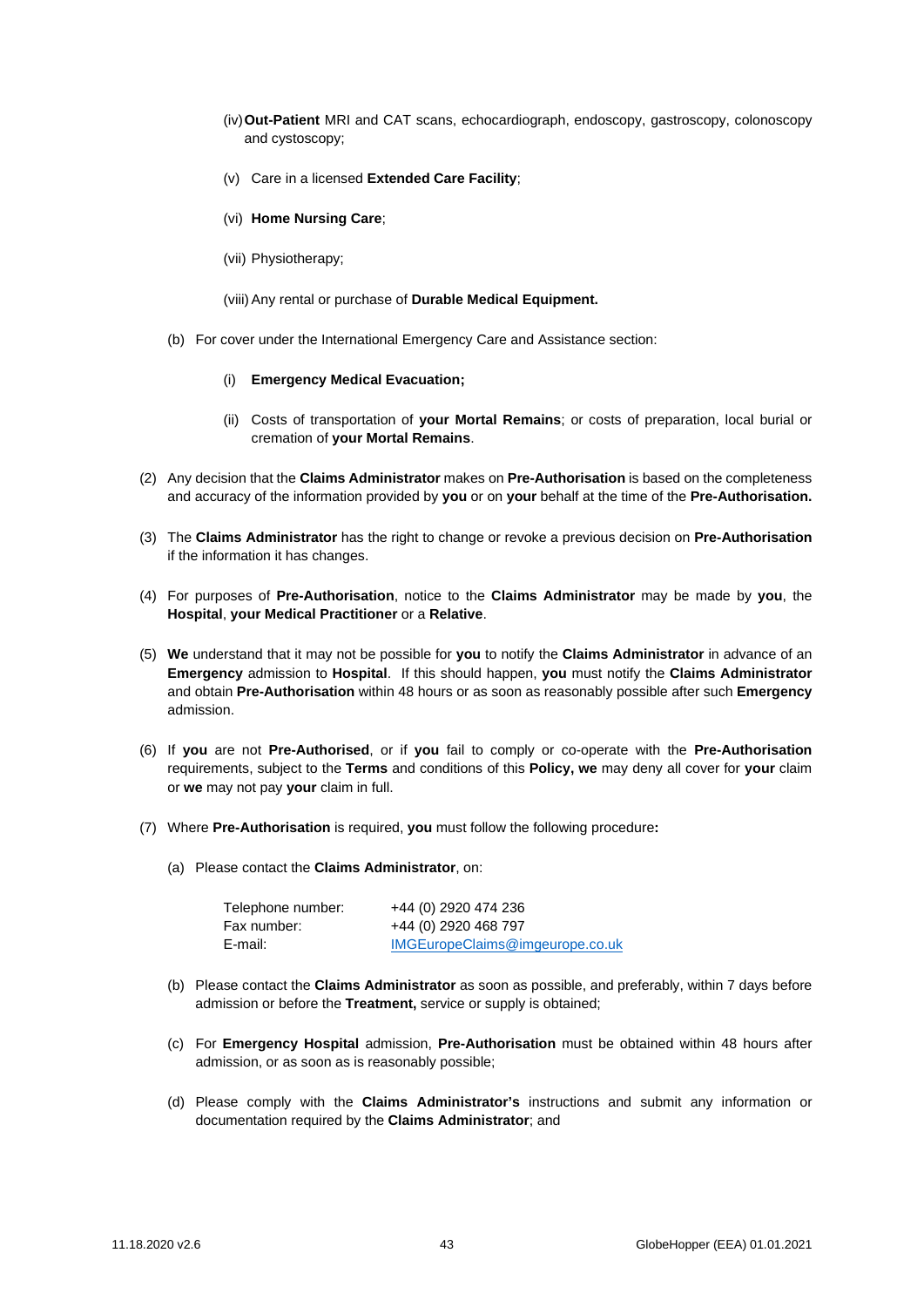- (iv)**Out-Patient** MRI and CAT scans, echocardiograph, endoscopy, gastroscopy, colonoscopy and cystoscopy;
- (v) Care in a licensed **Extended Care Facility**;
- (vi) **Home Nursing Care**;
- (vii) Physiotherapy;
- (viii)Any rental or purchase of **Durable Medical Equipment.**
- (b) For cover under the International Emergency Care and Assistance section:
	- (i) **Emergency Medical Evacuation;**
	- (ii) Costs of transportation of **your Mortal Remains**; or costs of preparation, local burial or cremation of **your Mortal Remains**.
- (2) Any decision that the **Claims Administrator** makes on **Pre-Authorisation** is based on the completeness and accuracy of the information provided by **you** or on **your** behalf at the time of the **Pre-Authorisation.**
- (3) The **Claims Administrator** has the right to change or revoke a previous decision on **Pre-Authorisation** if the information it has changes.
- (4) For purposes of **Pre-Authorisation**, notice to the **Claims Administrator** may be made by **you**, the **Hospital**, **your Medical Practitioner** or a **Relative**.
- (5) **We** understand that it may not be possible for **you** to notify the **Claims Administrator** in advance of an **Emergency** admission to **Hospital**. If this should happen, **you** must notify the **Claims Administrator**  and obtain **Pre-Authorisation** within 48 hours or as soon as reasonably possible after such **Emergency** admission.
- (6) If **you** are not **Pre-Authorised**, or if **you** fail to comply or co-operate with the **Pre-Authorisation**  requirements, subject to the **Terms** and conditions of this **Policy, we** may deny all cover for **your** claim or **we** may not pay **your** claim in full.
- (7) Where **Pre-Authorisation** is required, **you** must follow the following procedure**:**
	- (a) Please contact the **Claims Administrator**, on:

| Telephone number: | +44 (0) 2920 474 236            |
|-------------------|---------------------------------|
| Fax number:       | +44 (0) 2920 468 797            |
| E-mail:           | IMGEuropeClaims@imgeurope.co.uk |

- (b) Please contact the **Claims Administrator** as soon as possible, and preferably, within 7 days before admission or before the **Treatment,** service or supply is obtained;
- (c) For **Emergency Hospital** admission, **Pre-Authorisation** must be obtained within 48 hours after admission, or as soon as is reasonably possible;
- (d) Please comply with the **Claims Administrator's** instructions and submit any information or documentation required by the **Claims Administrator**; and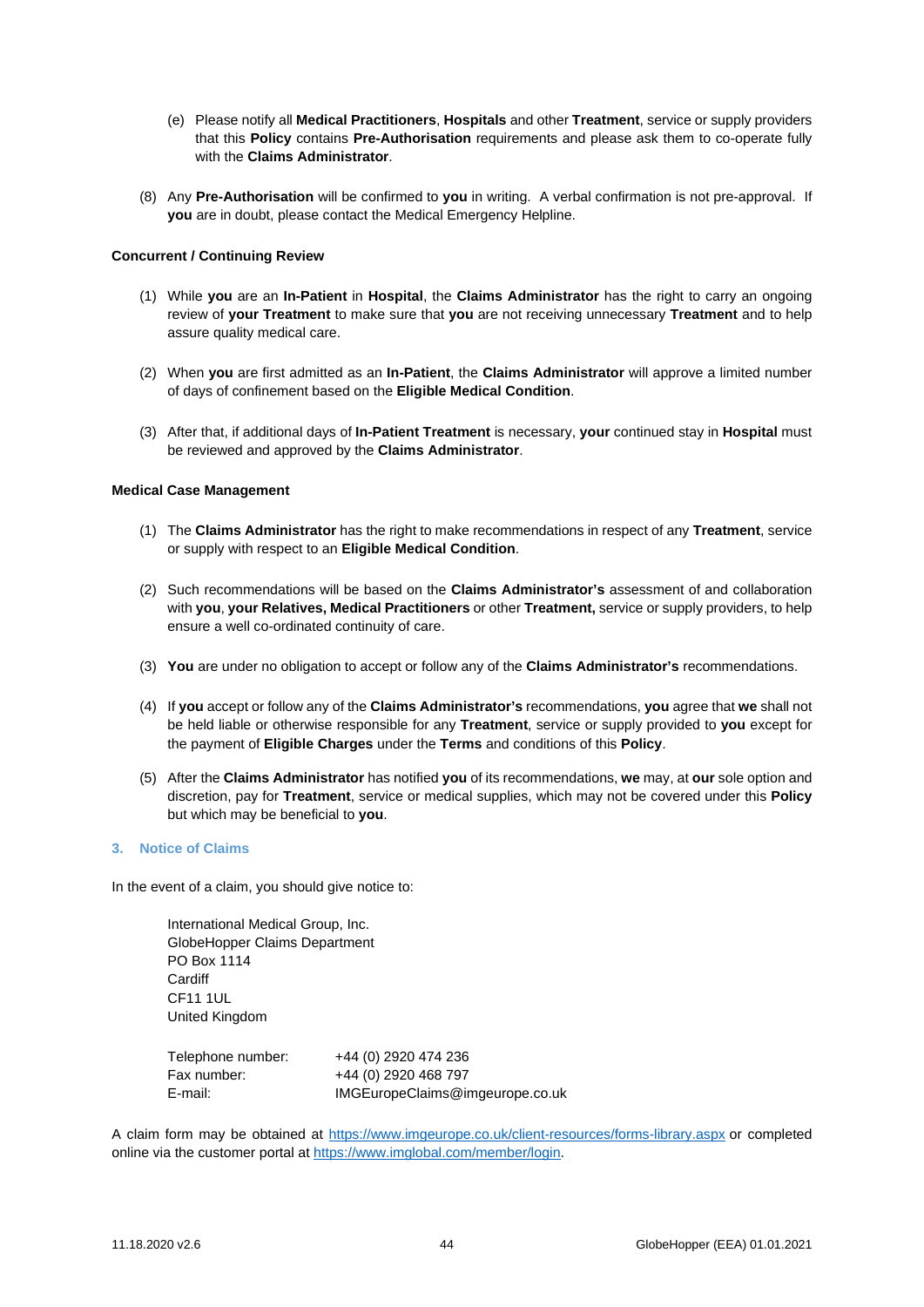- (e) Please notify all **Medical Practitioners**, **Hospitals** and other **Treatment**, service or supply providers that this **Policy** contains **Pre-Authorisation** requirements and please ask them to co-operate fully with the **Claims Administrator**.
- (8) Any **Pre-Authorisation** will be confirmed to **you** in writing. A verbal confirmation is not pre-approval. If **you** are in doubt, please contact the Medical Emergency Helpline.

## **Concurrent / Continuing Review**

- (1) While **you** are an **In-Patient** in **Hospital**, the **Claims Administrator** has the right to carry an ongoing review of **your Treatment** to make sure that **you** are not receiving unnecessary **Treatment** and to help assure quality medical care.
- (2) When **you** are first admitted as an **In-Patient**, the **Claims Administrator** will approve a limited number of days of confinement based on the **Eligible Medical Condition**.
- (3) After that, if additional days of **In-Patient Treatment** is necessary, **your** continued stay in **Hospital** must be reviewed and approved by the **Claims Administrator**.

## **Medical Case Management**

- (1) The **Claims Administrator** has the right to make recommendations in respect of any **Treatment**, service or supply with respect to an **Eligible Medical Condition**.
- (2) Such recommendations will be based on the **Claims Administrator's** assessment of and collaboration with **you**, **your Relatives, Medical Practitioners** or other **Treatment,** service or supply providers, to help ensure a well co-ordinated continuity of care.
- (3) **You** are under no obligation to accept or follow any of the **Claims Administrator's** recommendations.
- (4) If **you** accept or follow any of the **Claims Administrator's** recommendations, **you** agree that **we** shall not be held liable or otherwise responsible for any **Treatment**, service or supply provided to **you** except for the payment of **Eligible Charges** under the **Terms** and conditions of this **Policy**.
- (5) After the **Claims Administrator** has notified **you** of its recommendations, **we** may, at **our** sole option and discretion, pay for **Treatment**, service or medical supplies, which may not be covered under this **Policy**  but which may be beneficial to **you**.

# **3. Notice of Claims**

In the event of a claim, you should give notice to:

International Medical Group, Inc. GlobeHopper Claims Department PO Box 1114 **Cardiff** CF11 1UL United Kingdom

| Telephone number: | +44 (0) 2920 474 236            |
|-------------------|---------------------------------|
| Fax number:       | +44 (0) 2920 468 797            |
| E-mail:           | IMGEuropeClaims@imgeurope.co.uk |

A claim form may be obtained at<https://www.imgeurope.co.uk/client-resources/forms-library.aspx> or completed online via the customer portal at [https://www.imglobal.com/member/login.](https://www.imglobal.com/member/login)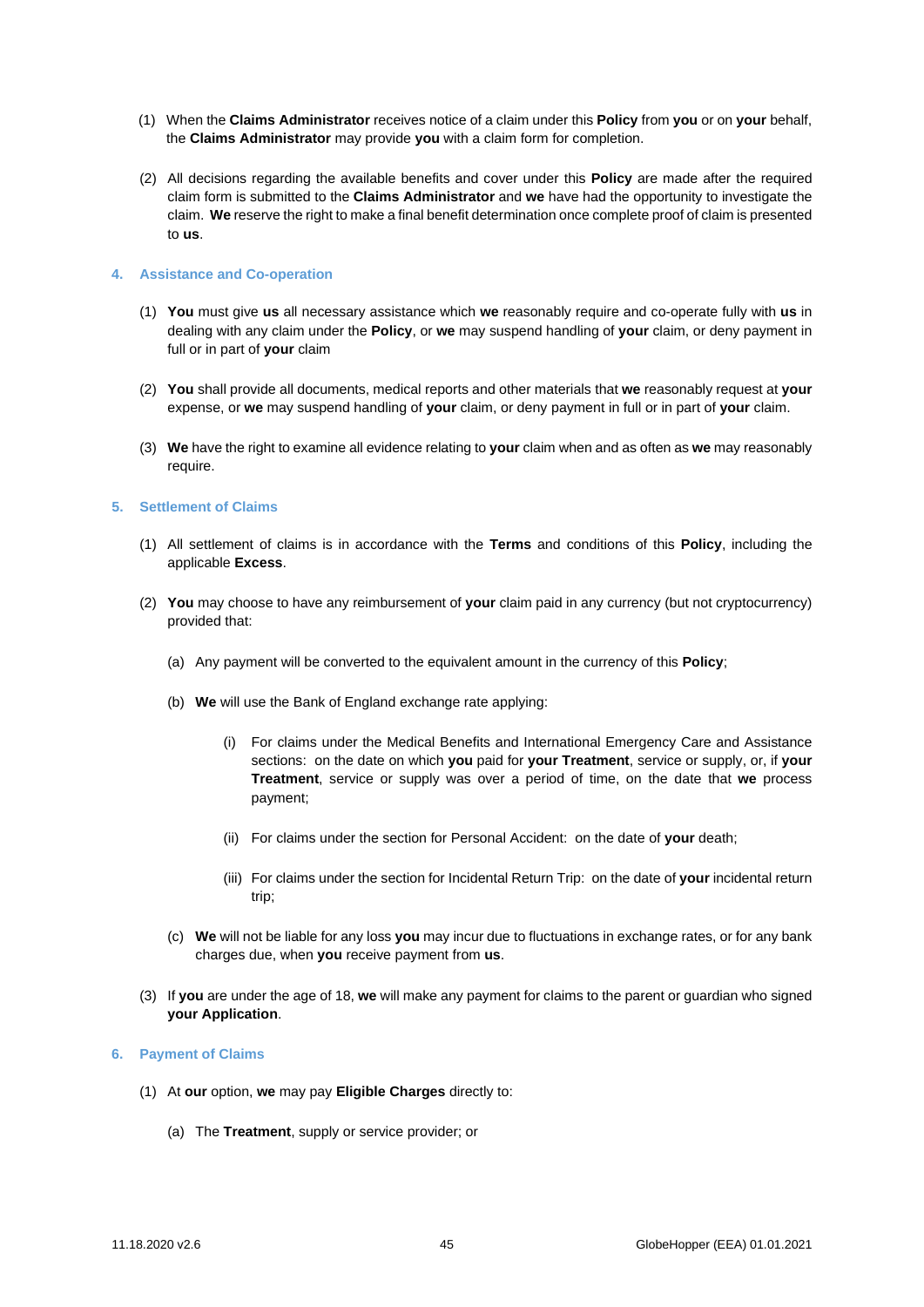- (1) When the **Claims Administrator** receives notice of a claim under this **Policy** from **you** or on **your** behalf, the **Claims Administrator** may provide **you** with a claim form for completion.
- (2) All decisions regarding the available benefits and cover under this **Policy** are made after the required claim form is submitted to the **Claims Administrator** and **we** have had the opportunity to investigate the claim. **We** reserve the right to make a final benefit determination once complete proof of claim is presented to **us**.

#### **4. Assistance and Co-operation**

- (1) **You** must give **us** all necessary assistance which **we** reasonably require and co-operate fully with **us** in dealing with any claim under the **Policy**, or **we** may suspend handling of **your** claim, or deny payment in full or in part of **your** claim
- (2) **You** shall provide all documents, medical reports and other materials that **we** reasonably request at **your**  expense, or **we** may suspend handling of **your** claim, or deny payment in full or in part of **your** claim.
- (3) **We** have the right to examine all evidence relating to **your** claim when and as often as **we** may reasonably require.

## **5. Settlement of Claims**

- (1) All settlement of claims is in accordance with the **Terms** and conditions of this **Policy**, including the applicable **Excess**.
- (2) **You** may choose to have any reimbursement of **your** claim paid in any currency (but not cryptocurrency) provided that:
	- (a) Any payment will be converted to the equivalent amount in the currency of this **Policy**;
	- (b) **We** will use the Bank of England exchange rate applying:
		- (i) For claims under the Medical Benefits and International Emergency Care and Assistance sections: on the date on which **you** paid for **your Treatment**, service or supply, or, if **your Treatment**, service or supply was over a period of time, on the date that **we** process payment;
		- (ii) For claims under the section for Personal Accident: on the date of **your** death;
		- (iii) For claims under the section for Incidental Return Trip: on the date of **your** incidental return trip;
	- (c) **We** will not be liable for any loss **you** may incur due to fluctuations in exchange rates, or for any bank charges due, when **you** receive payment from **us**.
- (3) If **you** are under the age of 18, **we** will make any payment for claims to the parent or guardian who signed **your Application**.

## **6. Payment of Claims**

- (1) At **our** option, **we** may pay **Eligible Charges** directly to:
	- (a) The **Treatment**, supply or service provider; or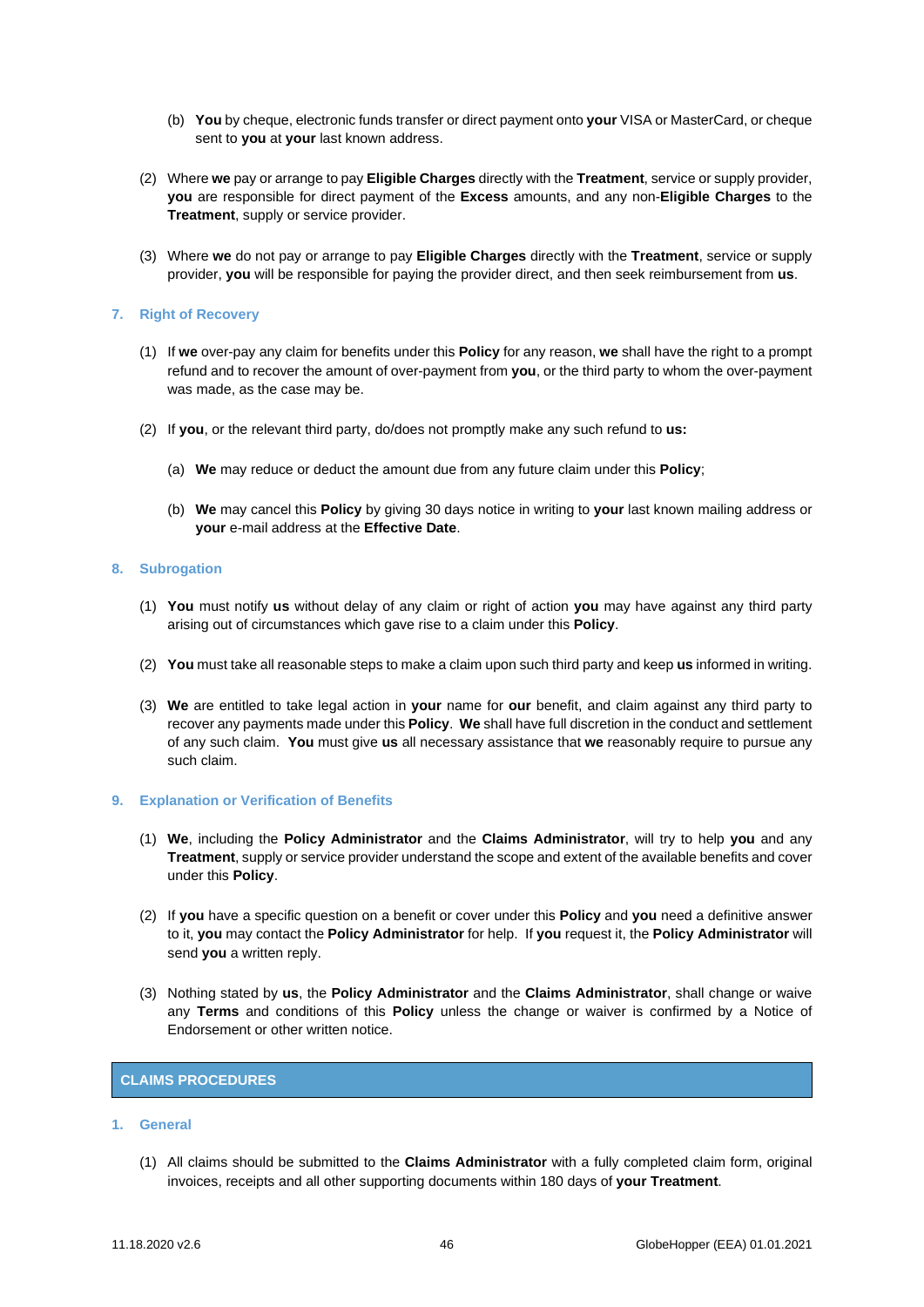- (b) **You** by cheque, electronic funds transfer or direct payment onto **your** VISA or MasterCard, or cheque sent to **you** at **your** last known address.
- (2) Where **we** pay or arrange to pay **Eligible Charges** directly with the **Treatment**, service or supply provider, **you** are responsible for direct payment of the **Excess** amounts, and any non-**Eligible Charges** to the **Treatment**, supply or service provider.
- (3) Where **we** do not pay or arrange to pay **Eligible Charges** directly with the **Treatment**, service or supply provider, **you** will be responsible for paying the provider direct, and then seek reimbursement from **us**.

## **7. Right of Recovery**

- (1) If **we** over-pay any claim for benefits under this **Policy** for any reason, **we** shall have the right to a prompt refund and to recover the amount of over-payment from **you**, or the third party to whom the over-payment was made, as the case may be.
- (2) If **you**, or the relevant third party, do/does not promptly make any such refund to **us:**
	- (a) **We** may reduce or deduct the amount due from any future claim under this **Policy**;
	- (b) **We** may cancel this **Policy** by giving 30 days notice in writing to **your** last known mailing address or **your** e-mail address at the **Effective Date**.

## **8. Subrogation**

- (1) **You** must notify **us** without delay of any claim or right of action **you** may have against any third party arising out of circumstances which gave rise to a claim under this **Policy**.
- (2) **You** must take all reasonable steps to make a claim upon such third party and keep **us** informed in writing.
- (3) **We** are entitled to take legal action in **your** name for **our** benefit, and claim against any third party to recover any payments made under this **Policy**. **We** shall have full discretion in the conduct and settlement of any such claim. **You** must give **us** all necessary assistance that **we** reasonably require to pursue any such claim.

#### **9. Explanation or Verification of Benefits**

- (1) **We**, including the **Policy Administrator** and the **Claims Administrator**, will try to help **you** and any **Treatment**, supply or service provider understand the scope and extent of the available benefits and cover under this **Policy**.
- (2) If **you** have a specific question on a benefit or cover under this **Policy** and **you** need a definitive answer to it, **you** may contact the **Policy Administrator** for help. If **you** request it, the **Policy Administrator** will send **you** a written reply.
- (3) Nothing stated by **us**, the **Policy Administrator** and the **Claims Administrator**, shall change or waive any **Terms** and conditions of this **Policy** unless the change or waiver is confirmed by a Notice of Endorsement or other written notice.

# <span id="page-45-0"></span>**CLAIMS PROCEDURES**

## **1. General**

(1) All claims should be submitted to the **Claims Administrator** with a fully completed claim form, original invoices, receipts and all other supporting documents within 180 days of **your Treatment**.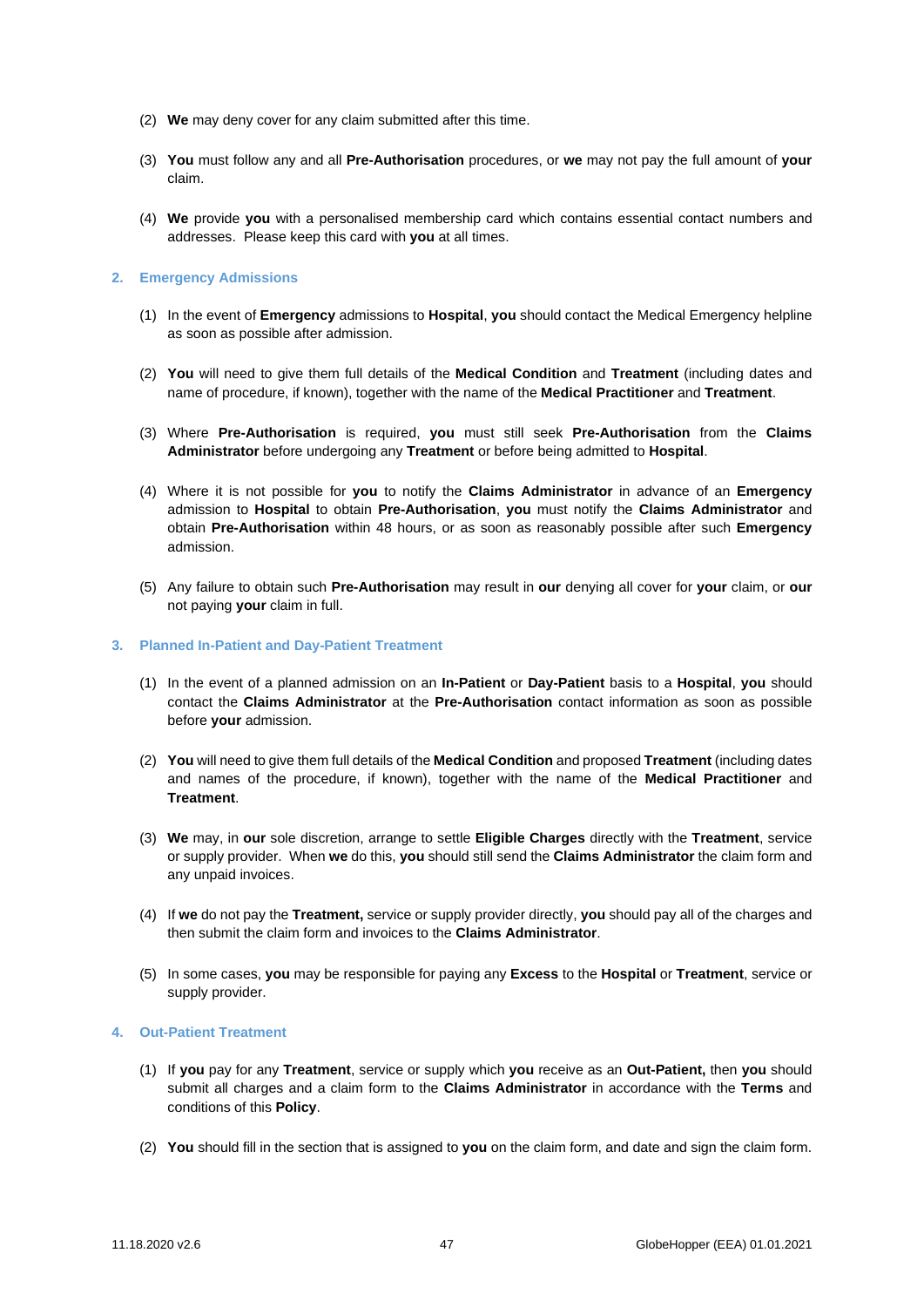- (2) **We** may deny cover for any claim submitted after this time.
- (3) **You** must follow any and all **Pre-Authorisation** procedures, or **we** may not pay the full amount of **your**  claim.
- (4) **We** provide **you** with a personalised membership card which contains essential contact numbers and addresses. Please keep this card with **you** at all times.

## **2. Emergency Admissions**

- (1) In the event of **Emergency** admissions to **Hospital**, **you** should contact the Medical Emergency helpline as soon as possible after admission.
- (2) **You** will need to give them full details of the **Medical Condition** and **Treatment** (including dates and name of procedure, if known), together with the name of the **Medical Practitioner** and **Treatment**.
- (3) Where **Pre-Authorisation** is required, **you** must still seek **Pre-Authorisation** from the **Claims Administrator** before undergoing any **Treatment** or before being admitted to **Hospital**.
- (4) Where it is not possible for **you** to notify the **Claims Administrator** in advance of an **Emergency** admission to **Hospital** to obtain **Pre-Authorisation**, **you** must notify the **Claims Administrator** and obtain **Pre-Authorisation** within 48 hours, or as soon as reasonably possible after such **Emergency** admission.
- (5) Any failure to obtain such **Pre-Authorisation** may result in **our** denying all cover for **your** claim, or **our**  not paying **your** claim in full.

# **3. Planned In-Patient and Day-Patient Treatment**

- (1) In the event of a planned admission on an **In-Patient** or **Day-Patient** basis to a **Hospital**, **you** should contact the **Claims Administrator** at the **Pre-Authorisation** contact information as soon as possible before **your** admission.
- (2) **You** will need to give them full details of the **Medical Condition** and proposed **Treatment** (including dates and names of the procedure, if known), together with the name of the **Medical Practitioner** and **Treatment**.
- (3) **We** may, in **our** sole discretion, arrange to settle **Eligible Charges** directly with the **Treatment**, service or supply provider. When **we** do this, **you** should still send the **Claims Administrator** the claim form and any unpaid invoices.
- (4) If **we** do not pay the **Treatment,** service or supply provider directly, **you** should pay all of the charges and then submit the claim form and invoices to the **Claims Administrator**.
- (5) In some cases, **you** may be responsible for paying any **Excess** to the **Hospital** or **Treatment**, service or supply provider.

#### **4. Out-Patient Treatment**

- (1) If **you** pay for any **Treatment**, service or supply which **you** receive as an **Out-Patient,** then **you** should submit all charges and a claim form to the **Claims Administrator** in accordance with the **Terms** and conditions of this **Policy**.
- (2) **You** should fill in the section that is assigned to **you** on the claim form, and date and sign the claim form.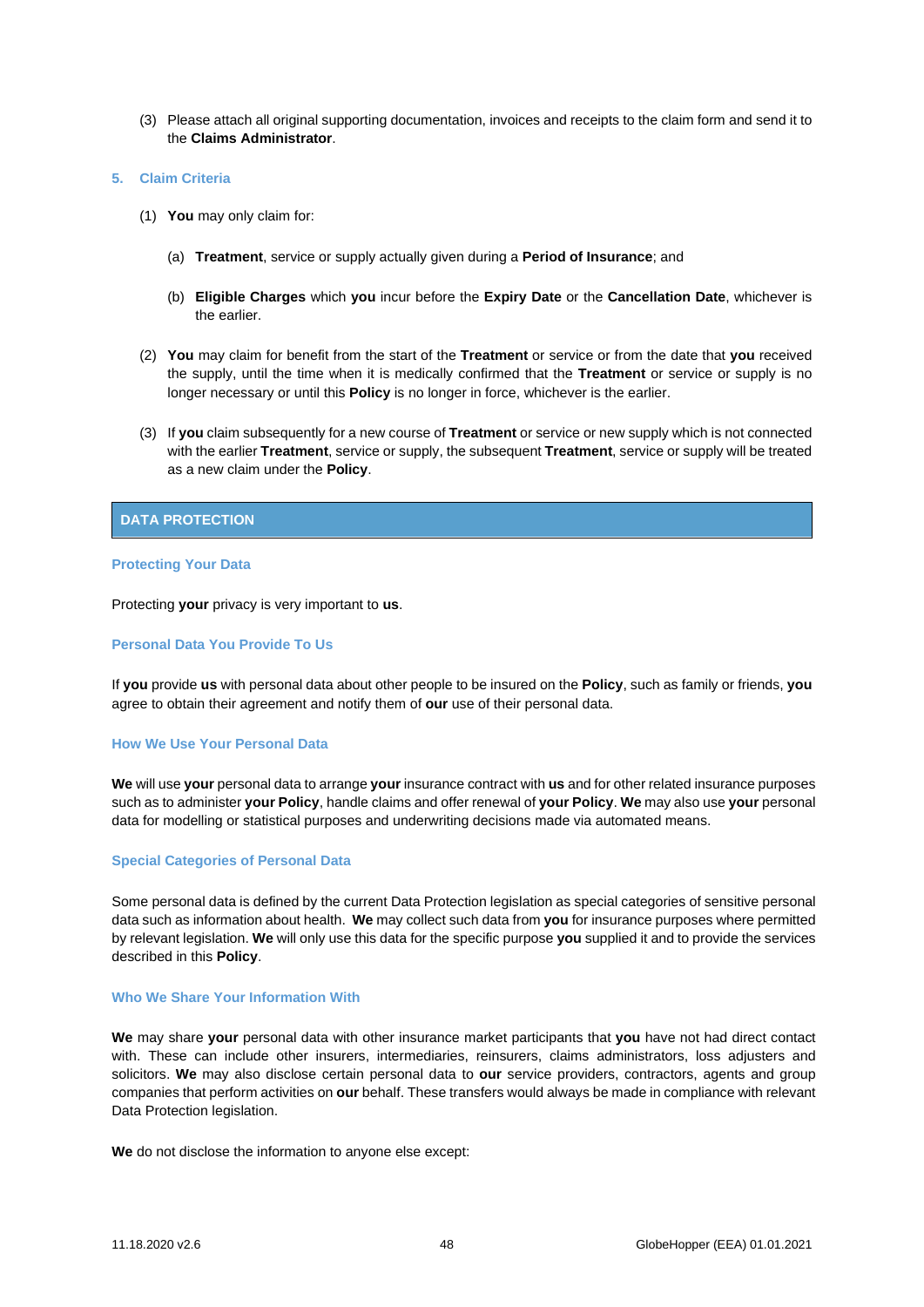(3) Please attach all original supporting documentation, invoices and receipts to the claim form and send it to the **Claims Administrator**.

## **5. Claim Criteria**

- (1) **You** may only claim for:
	- (a) **Treatment**, service or supply actually given during a **Period of Insurance**; and
	- (b) **Eligible Charges** which **you** incur before the **Expiry Date** or the **Cancellation Date**, whichever is the earlier.
- (2) **You** may claim for benefit from the start of the **Treatment** or service or from the date that **you** received the supply, until the time when it is medically confirmed that the **Treatment** or service or supply is no longer necessary or until this **Policy** is no longer in force, whichever is the earlier.
- (3) If **you** claim subsequently for a new course of **Treatment** or service or new supply which is not connected with the earlier **Treatment**, service or supply, the subsequent **Treatment**, service or supply will be treated as a new claim under the **Policy**.

## <span id="page-47-0"></span>**DATA PROTECTION**

#### **Protecting Your Data**

Protecting **your** privacy is very important to **us**.

## **Personal Data You Provide To Us**

If **you** provide **us** with personal data about other people to be insured on the **Policy**, such as family or friends, **you** agree to obtain their agreement and notify them of **our** use of their personal data.

#### **How We Use Your Personal Data**

**We** will use **your** personal data to arrange **your** insurance contract with **us** and for other related insurance purposes such as to administer **your Policy**, handle claims and offer renewal of **your Policy**. **We** may also use **your** personal data for modelling or statistical purposes and underwriting decisions made via automated means.

#### **Special Categories of Personal Data**

Some personal data is defined by the current Data Protection legislation as special categories of sensitive personal data such as information about health. **We** may collect such data from **you** for insurance purposes where permitted by relevant legislation. **We** will only use this data for the specific purpose **you** supplied it and to provide the services described in this **Policy**.

#### **Who We Share Your Information With**

**We** may share **your** personal data with other insurance market participants that **you** have not had direct contact with. These can include other insurers, intermediaries, reinsurers, claims administrators, loss adjusters and solicitors. **We** may also disclose certain personal data to **our** service providers, contractors, agents and group companies that perform activities on **our** behalf. These transfers would always be made in compliance with relevant Data Protection legislation.

**We** do not disclose the information to anyone else except: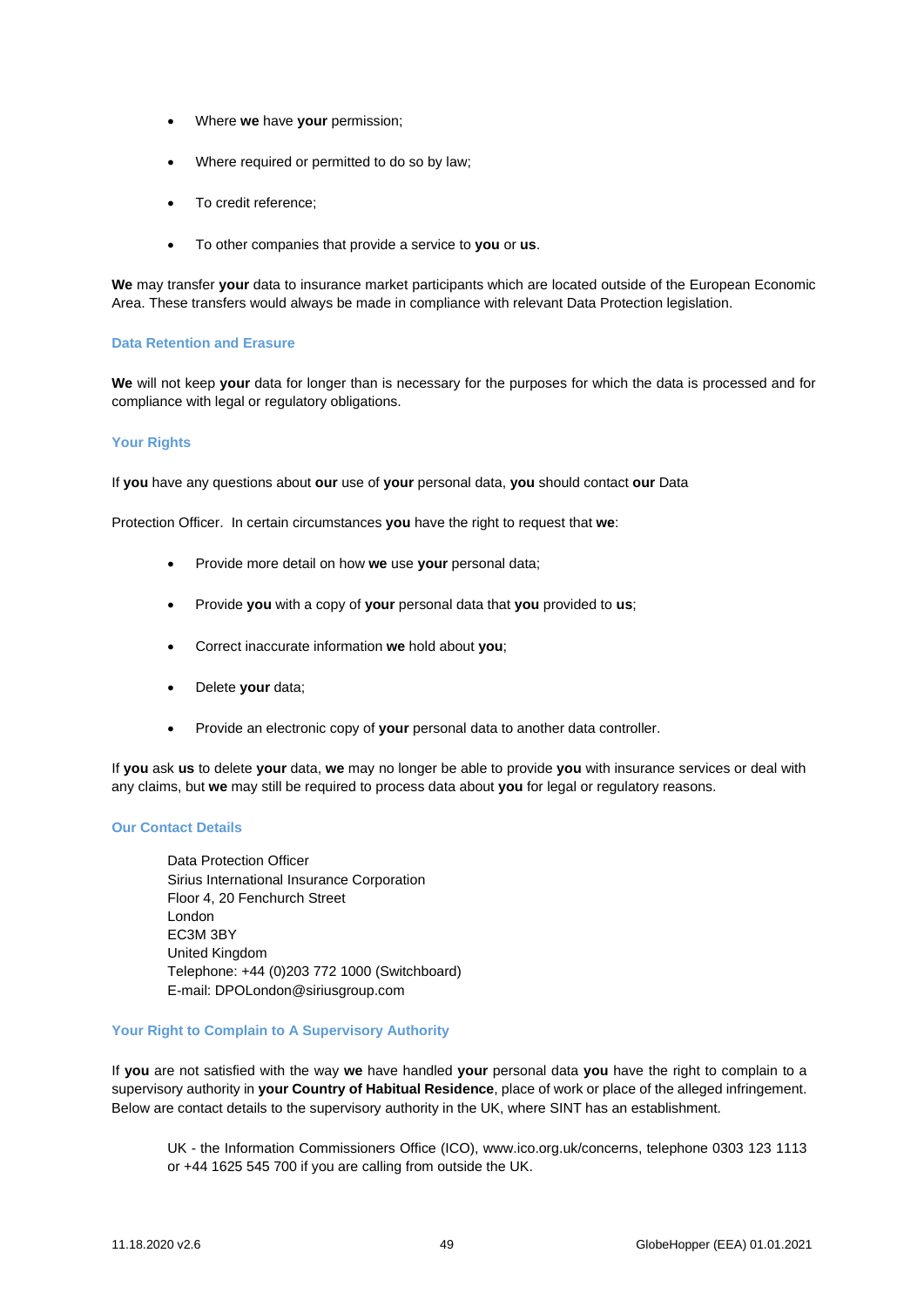- Where **we** have **your** permission;
- Where required or permitted to do so by law;
- To credit reference;
- To other companies that provide a service to **you** or **us**.

**We** may transfer **your** data to insurance market participants which are located outside of the European Economic Area. These transfers would always be made in compliance with relevant Data Protection legislation.

## **Data Retention and Erasure**

**We** will not keep **your** data for longer than is necessary for the purposes for which the data is processed and for compliance with legal or regulatory obligations.

# **Your Rights**

If **you** have any questions about **our** use of **your** personal data, **you** should contact **our** Data

Protection Officer. In certain circumstances **you** have the right to request that **we**:

- Provide more detail on how **we** use **your** personal data;
- Provide **you** with a copy of **your** personal data that **you** provided to **us**;
- Correct inaccurate information **we** hold about **you**;
- Delete **your** data;
- Provide an electronic copy of **your** personal data to another data controller.

If **you** ask **us** to delete **your** data, **we** may no longer be able to provide **you** with insurance services or deal with any claims, but **we** may still be required to process data about **you** for legal or regulatory reasons.

## **Our Contact Details**

Data Protection Officer Sirius International Insurance Corporation Floor 4, 20 Fenchurch Street London EC3M 3BY United Kingdom Telephone: +44 (0)203 772 1000 (Switchboard) E-mail[: DPOLondon@siriusgroup.com](mailto:DPOLondon@siriusgroup.com)

## **Your Right to Complain to A Supervisory Authority**

If **you** are not satisfied with the way **we** have handled **your** personal data **you** have the right to complain to a supervisory authority in **your Country of Habitual Residence**, place of work or place of the alleged infringement. Below are contact details to the supervisory authority in the UK, where SINT has an establishment.

UK - the Information Commissioners Office (ICO), www.ico.org.uk/concerns, telephone 0303 123 1113 or +44 1625 545 700 if you are calling from outside the UK.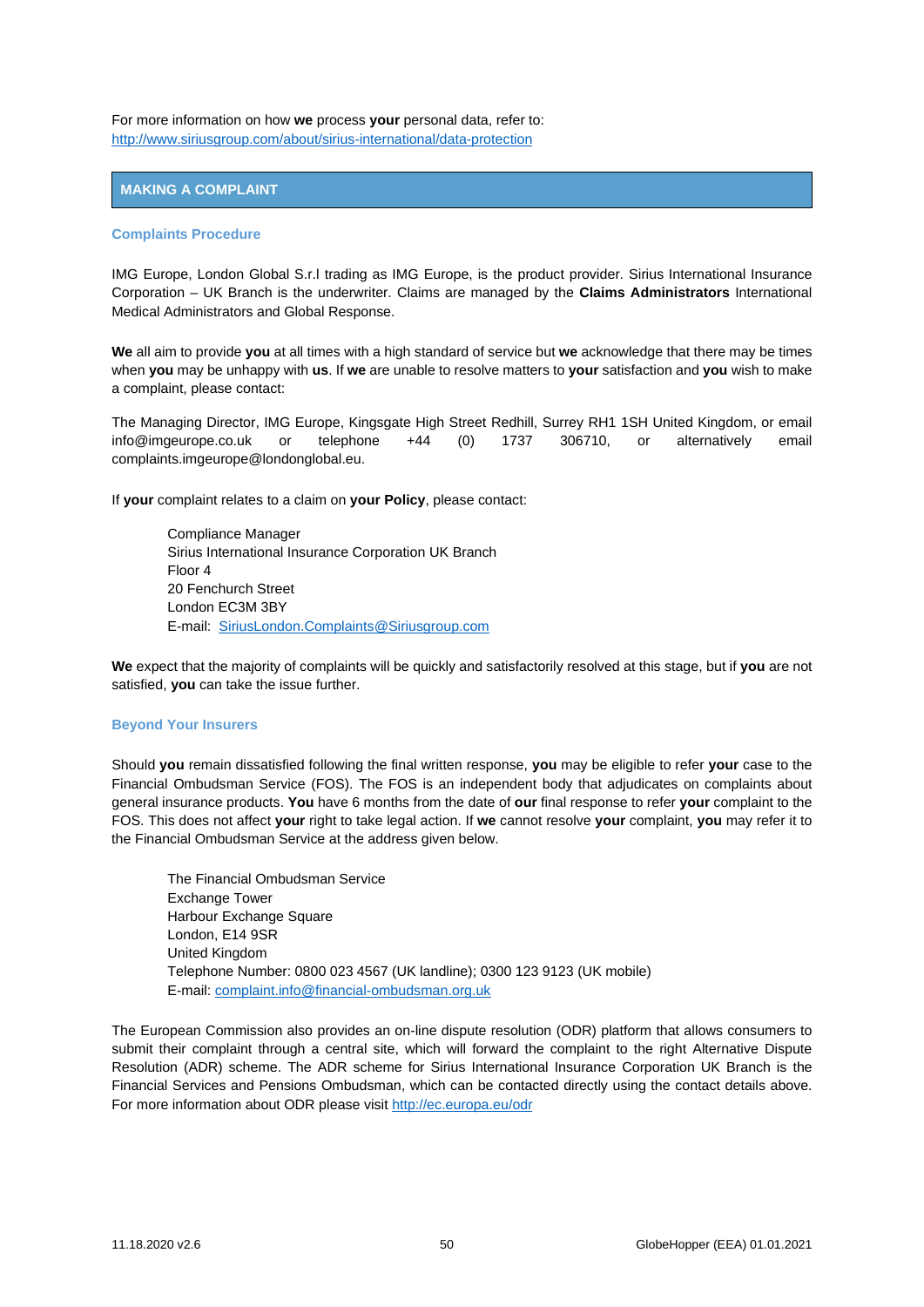For more information on how **we** process **your** personal data, refer to: <http://www.siriusgroup.com/about/sirius-international/data-protection>

# <span id="page-49-0"></span>**MAKING A COMPLAINT**

## **Complaints Procedure**

IMG Europe, London Global S.r.l trading as IMG Europe, is the product provider. Sirius International Insurance Corporation – UK Branch is the underwriter. Claims are managed by the **Claims Administrators** International Medical Administrators and Global Response.

**We** all aim to provide **you** at all times with a high standard of service but **we** acknowledge that there may be times when **you** may be unhappy with **us**. If **we** are unable to resolve matters to **your** satisfaction and **you** wish to make a complaint, please contact:

The Managing Director, IMG Europe, Kingsgate High Street Redhill, Surrey RH1 1SH United Kingdom, or email info@imgeurope.co.uk or telephone +44 (0) 1737 306710, or alternatively email complaints.imgeurope@londonglobal.eu.

If **your** complaint relates to a claim on **your Policy**, please contact:

Compliance Manager Sirius International Insurance Corporation UK Branch Floor 4 20 Fenchurch Street London EC3M 3BY E-mail: [SiriusLondon.Complaints@Siriusgroup.com](mailto:SiriusLondon.Complaints@Siriusgroup.com)

**We** expect that the majority of complaints will be quickly and satisfactorily resolved at this stage, but if **you** are not satisfied, **you** can take the issue further.

# **Beyond Your Insurers**

Should **you** remain dissatisfied following the final written response, **you** may be eligible to refer **your** case to the Financial Ombudsman Service (FOS). The FOS is an independent body that adjudicates on complaints about general insurance products. **You** have 6 months from the date of **our** final response to refer **your** complaint to the FOS. This does not affect **your** right to take legal action. If **we** cannot resolve **your** complaint, **you** may refer it to the Financial Ombudsman Service at the address given below.

The Financial Ombudsman Service Exchange Tower Harbour Exchange Square London, E14 9SR United Kingdom Telephone Number: 0800 023 4567 (UK landline); 0300 123 9123 (UK mobile) E-mail[: complaint.info@financial-ombudsman.org.uk](mailto:complaint.info@financial-ombudsman.org.uk)

The European Commission also provides an on-line dispute resolution (ODR) platform that allows consumers to submit their complaint through a central site, which will forward the complaint to the right Alternative Dispute Resolution (ADR) scheme. The ADR scheme for Sirius International Insurance Corporation UK Branch is the Financial Services and Pensions Ombudsman, which can be contacted directly using the contact details above. For more information about ODR please visi[t http://ec.europa.eu/odr](http://ec.europa.eu/odr)